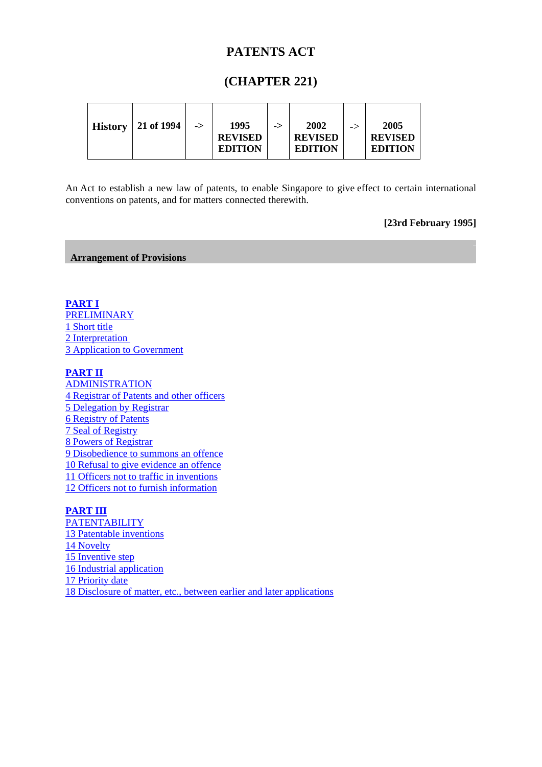# **PATENTS ACT**

## **(CHAPTER 221)**

| <b>History</b> | 21 of 1994 | -> | 1995<br><b>REVISED</b> | -> | 2002<br><b>REVISED</b> | -> | 2005<br><b>REVISED</b> |
|----------------|------------|----|------------------------|----|------------------------|----|------------------------|
|                |            |    | <b>EDITION</b>         |    | <b>EDITION</b>         |    | <b>EDITION</b>         |

An Act to establish a new law of patents, to enable Singapore to give effect to certain international conventions on patents, and for matters connected therewith.

## **[23rd February 1995]**

### **Arrangement of Provisions**

**PART I PRELIMINARY** 1 Short title 2 Interpretation 3 Application to Government

## **PART II**

**ADMINISTRATION** 4 Registrar of Patents and other officers 5 Delegation by Registrar 6 Registry of Patents 7 Seal of Registry 8 Powers of Registrar 9 Disobedience to summons an offence 10 Refusal to give evidence an offence 11 Officers not to traffic in inventions 12 Officers not to furnish information

### **PART III**

**PATENTABILITY** 13 Patentable inventions 14 Novelty 15 Inventive step 16 Industrial application 17 Priority date 18 Disclosure of matter, etc., between earlier and later applications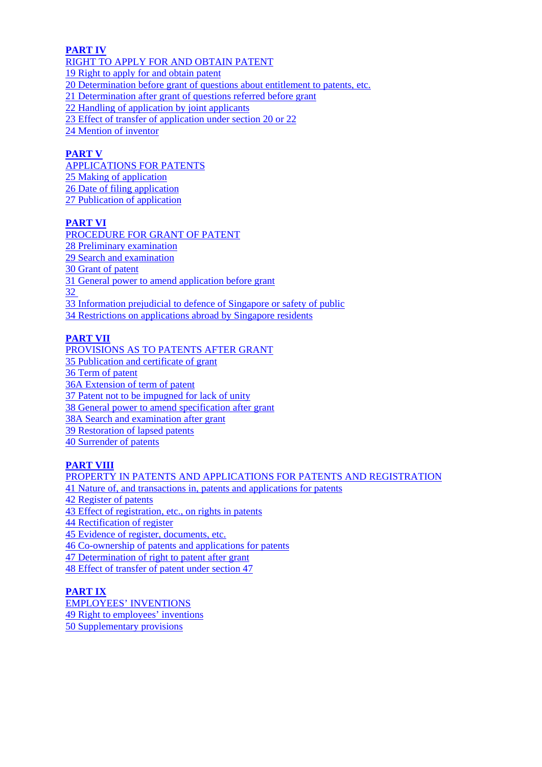## **PART IV**

RIGHT TO APPLY FOR AND OBTAIN PATENT

19 Right to apply for and obtain patent

20 Determination before grant of questions about entitlement to patents, etc.

21 Determination after grant of questions referred before grant

22 Handling of application by joint applicants

23 Effect of transfer of application under section 20 or 22

24 Mention of inventor

## **PART V**

APPLICATIONS FOR PATENTS 25 Making of application 26 Date of filing application 27 Publication of application

## **PART VI**

PROCEDURE FOR GRANT OF PATENT 28 Preliminary examination 29 Search and examination 30 Grant of patent 31 General power to amend application before grant 32 33 Information prejudicial to defence of Singapore or safety of public 34 Restrictions on applications abroad by Singapore residents

## **PART VII**

PROVISIONS AS TO PATENTS AFTER GRANT 35 Publication and certificate of grant 36 Term of patent 36A Extension of term of patent 37 Patent not to be impugned for lack of unity 38 General power to amend specification after grant 38A Search and examination after grant 39 Restoration of lapsed patents 40 Surrender of patents

## **PART VIII**

PROPERTY IN PATENTS AND APPLICATIONS FOR PATENTS AND REGISTRATION 41 Nature of, and transactions in, patents and applications for patents 42 Register of patents 43 Effect of registration, etc., on rights in patents 44 Rectification of register 45 Evidence of register, documents, etc. 46 Co-ownership of patents and applications for patents 47 Determination of right to patent after grant 48 Effect of transfer of patent under section 47

## **PART IX**

EMPLOYEES' INVENTIONS 49 Right to employees' inventions 50 Supplementary provisions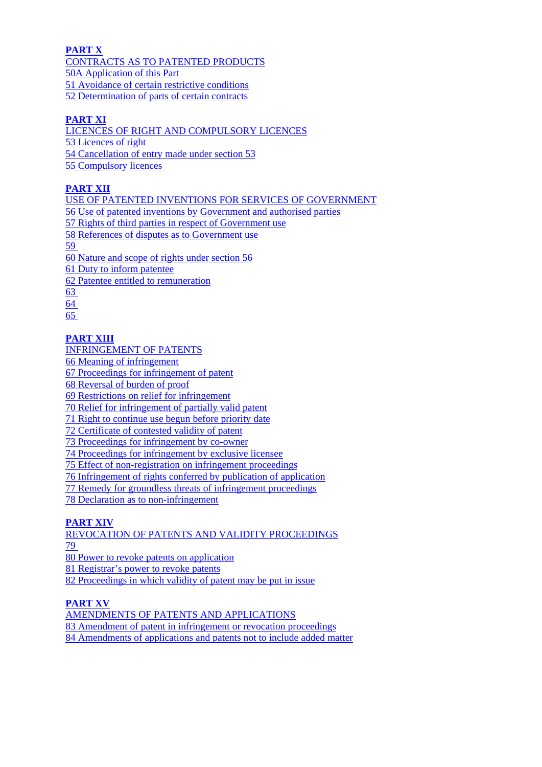## **PART X**

CONTRACTS AS TO PATENTED PRODUCTS 50A Application of this Part

51 Avoidance of certain restrictive conditions

52 Determination of parts of certain contracts

## **PART XI**

LICENCES OF RIGHT AND COMPULSORY LICENCES

53 Licences of right

54 Cancellation of entry made under section 53

55 Compulsory licences

## **PART XII**

USE OF PATENTED INVENTIONS FOR SERVICES OF GOVERNMENT 56 Use of patented inventions by Government and authorised parties 57 Rights of third parties in respect of Government use 58 References of disputes as to Government use  $59$ 60 Nature and scope of rights under section 56 61 Duty to inform patentee 62 Patentee entitled to remuneration 63 64 65

## **PART XIII**

INFRINGEMENT OF PATENTS

66 Meaning of infringement

67 Proceedings for infringement of patent

68 Reversal of burden of proof

69 Restrictions on relief for infringement

70 Relief for infringement of partially valid patent

71 Right to continue use begun before priority date

72 Certificate of contested validity of patent

73 Proceedings for infringement by co-owner

74 Proceedings for infringement by exclusive licensee

75 Effect of non-registration on infringement proceedings

76 Infringement of rights conferred by publication of application

77 Remedy for groundless threats of infringement proceedings

78 Declaration as to non-infringement

## **PART XIV**

REVOCATION OF PATENTS AND VALIDITY PROCEEDINGS 79

80 Power to revoke patents on application

81 Registrar's power to revoke patents

82 Proceedings in which validity of patent may be put in issue

## **PART XV**

AMENDMENTS OF PATENTS AND APPLICATIONS

83 Amendment of patent in infringement or revocation proceedings

84 Amendments of applications and patents not to include added matter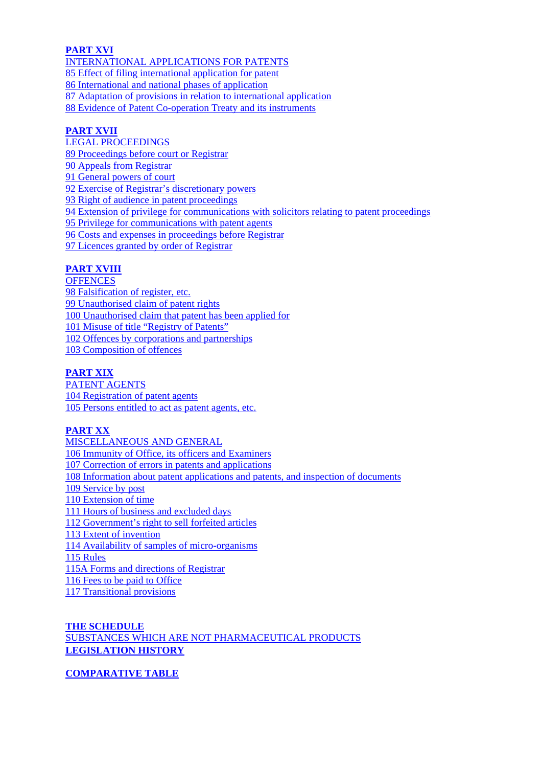## **PART XVI**

INTERNATIONAL APPLICATIONS FOR PATENTS 85 Effect of filing international application for patent 86 International and national phases of application 87 Adaptation of provisions in relation to international application 88 Evidence of Patent Co-operation Treaty and its instruments

## **PART XVII**

LEGAL PROCEEDINGS 89 Proceedings before court or Registrar 90 Appeals from Registrar 91 General powers of court 92 Exercise of Registrar's discretionary powers 93 Right of audience in patent proceedings 94 Extension of privilege for communications with solicitors relating to patent proceedings 95 Privilege for communications with patent agents 96 Costs and expenses in proceedings before Registrar 97 Licences granted by order of Registrar

# **PART XVIII**

**OFFENCES** 98 Falsification of register, etc. 99 Unauthorised claim of patent rights 100 Unauthorised claim that patent has been applied for 101 Misuse of title "Registry of Patents" 102 Offences by corporations and partnerships 103 Composition of offences

## **PART XIX**

PATENT AGENTS 104 Registration of patent agents 105 Persons entitled to act as patent agents, etc.

## **PART XX**

| MISCELLANEOUS AND GENERAL                                                          |  |  |  |  |  |  |
|------------------------------------------------------------------------------------|--|--|--|--|--|--|
| 106 Immunity of Office, its officers and Examiners                                 |  |  |  |  |  |  |
| 107 Correction of errors in patents and applications                               |  |  |  |  |  |  |
| 108 Information about patent applications and patents, and inspection of documents |  |  |  |  |  |  |
| 109 Service by post                                                                |  |  |  |  |  |  |
| 110 Extension of time                                                              |  |  |  |  |  |  |
| 111 Hours of business and excluded days                                            |  |  |  |  |  |  |
| 112 Government's right to sell forfeited articles                                  |  |  |  |  |  |  |
| 113 Extent of invention                                                            |  |  |  |  |  |  |
| 114 Availability of samples of micro-organisms                                     |  |  |  |  |  |  |
| 115 Rules                                                                          |  |  |  |  |  |  |
| 115A Forms and directions of Registrar                                             |  |  |  |  |  |  |
| 116 Fees to be paid to Office                                                      |  |  |  |  |  |  |
| 117 Transitional provisions                                                        |  |  |  |  |  |  |

### **THE SCHEDULE**

SUBSTANCES WHICH ARE NOT PHARMACEUTICAL PRODUCTS **LEGISLATION HISTORY**

**COMPARATIVE TABLE**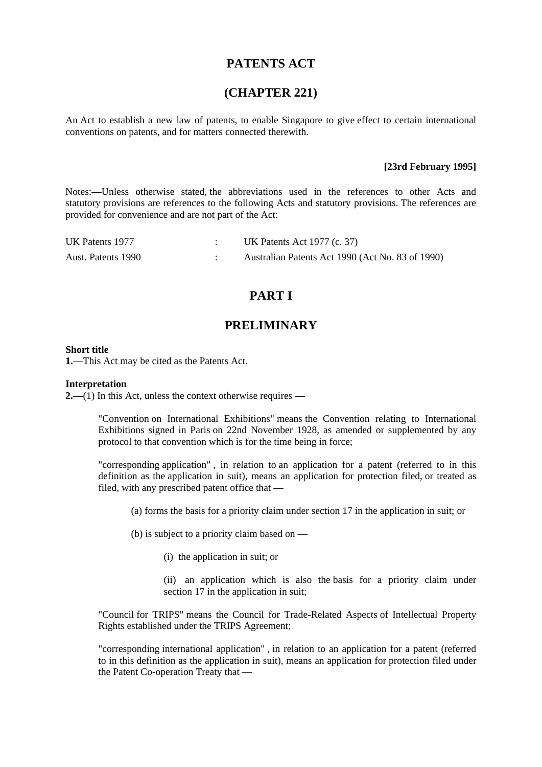# **PATENTS ACT**

# **(CHAPTER 221)**

An Act to establish a new law of patents, to enable Singapore to give effect to certain international conventions on patents, and for matters connected therewith.

#### **[23rd February 1995]**

Notes:—Unless otherwise stated, the abbreviations used in the references to other Acts and statutory provisions are references to the following Acts and statutory provisions. The references are provided for convenience and are not part of the Act:

| UK Patents 1977    | UK Patents Act 1977 (c. 37)                      |
|--------------------|--------------------------------------------------|
| Aust. Patents 1990 | Australian Patents Act 1990 (Act No. 83 of 1990) |

# **PART I**

## **PRELIMINARY**

#### **Short title**

**1.**—This Act may be cited as the Patents Act.

#### **Interpretation**

**2.**—(1) In this Act, unless the context otherwise requires —

"Convention on International Exhibitions" means the Convention relating to International Exhibitions signed in Paris on 22nd November 1928, as amended or supplemented by any protocol to that convention which is for the time being in force;

"corresponding application" , in relation to an application for a patent (referred to in this definition as the application in suit), means an application for protection filed, or treated as filed, with any prescribed patent office that —

(a) forms the basis for a priority claim under section 17 in the application in suit; or

(b) is subject to a priority claim based on —

- (i) the application in suit; or
- (ii) an application which is also the basis for a priority claim under section 17 in the application in suit;

"Council for TRIPS" means the Council for Trade-Related Aspects of Intellectual Property Rights established under the TRIPS Agreement;

"corresponding international application" , in relation to an application for a patent (referred to in this definition as the application in suit), means an application for protection filed under the Patent Co-operation Treaty that —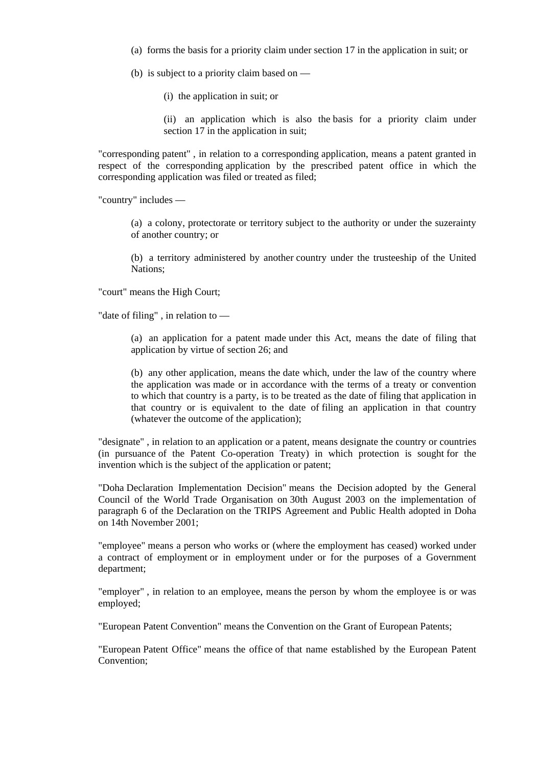- (a) forms the basis for a priority claim under section 17 in the application in suit; or
- (b) is subject to a priority claim based on
	- (i) the application in suit; or

(ii) an application which is also the basis for a priority claim under section 17 in the application in suit;

"corresponding patent" , in relation to a corresponding application, means a patent granted in respect of the corresponding application by the prescribed patent office in which the corresponding application was filed or treated as filed;

"country" includes —

(a) a colony, protectorate or territory subject to the authority or under the suzerainty of another country; or

(b) a territory administered by another country under the trusteeship of the United Nations<sup>.</sup>

"court" means the High Court;

"date of filing" , in relation to —

(a) an application for a patent made under this Act, means the date of filing that application by virtue of section 26; and

(b) any other application, means the date which, under the law of the country where the application was made or in accordance with the terms of a treaty or convention to which that country is a party, is to be treated as the date of filing that application in that country or is equivalent to the date of filing an application in that country (whatever the outcome of the application);

"designate" , in relation to an application or a patent, means designate the country or countries (in pursuance of the Patent Co-operation Treaty) in which protection is sought for the invention which is the subject of the application or patent;

"Doha Declaration Implementation Decision" means the Decision adopted by the General Council of the World Trade Organisation on 30th August 2003 on the implementation of paragraph 6 of the Declaration on the TRIPS Agreement and Public Health adopted in Doha on 14th November 2001;

"employee" means a person who works or (where the employment has ceased) worked under a contract of employment or in employment under or for the purposes of a Government department;

"employer" , in relation to an employee, means the person by whom the employee is or was employed;

"European Patent Convention" means the Convention on the Grant of European Patents;

"European Patent Office" means the office of that name established by the European Patent Convention;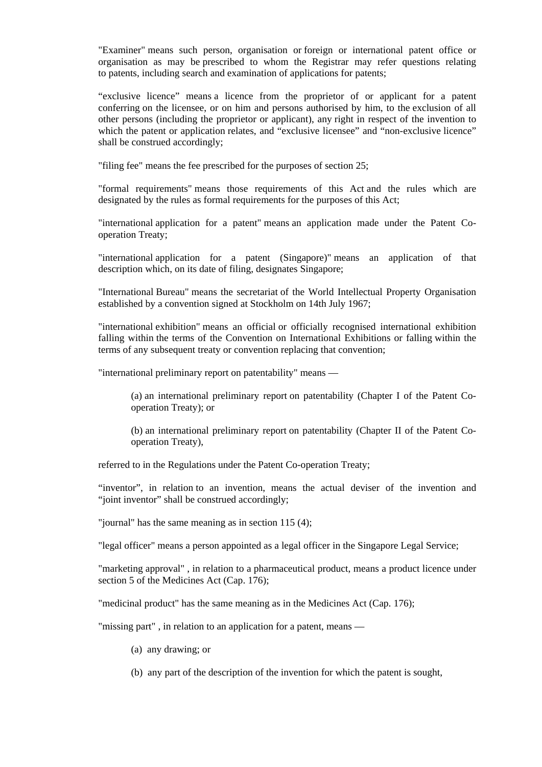"Examiner" means such person, organisation or foreign or international patent office or organisation as may be prescribed to whom the Registrar may refer questions relating to patents, including search and examination of applications for patents;

"exclusive licence" means a licence from the proprietor of or applicant for a patent conferring on the licensee, or on him and persons authorised by him, to the exclusion of all other persons (including the proprietor or applicant), any right in respect of the invention to which the patent or application relates, and "exclusive licensee" and "non-exclusive licence" shall be construed accordingly;

"filing fee" means the fee prescribed for the purposes of section 25;

"formal requirements" means those requirements of this Act and the rules which are designated by the rules as formal requirements for the purposes of this Act;

"international application for a patent" means an application made under the Patent Cooperation Treaty;

"international application for a patent (Singapore)" means an application of that description which, on its date of filing, designates Singapore;

"International Bureau" means the secretariat of the World Intellectual Property Organisation established by a convention signed at Stockholm on 14th July 1967;

"international exhibition" means an official or officially recognised international exhibition falling within the terms of the Convention on International Exhibitions or falling within the terms of any subsequent treaty or convention replacing that convention;

"international preliminary report on patentability" means —

(a) an international preliminary report on patentability (Chapter I of the Patent Cooperation Treaty); or

(b) an international preliminary report on patentability (Chapter II of the Patent Cooperation Treaty),

referred to in the Regulations under the Patent Co-operation Treaty;

"inventor", in relation to an invention, means the actual deviser of the invention and "joint inventor" shall be construed accordingly;

"journal" has the same meaning as in section 115 (4);

"legal officer" means a person appointed as a legal officer in the Singapore Legal Service;

"marketing approval" , in relation to a pharmaceutical product, means a product licence under section 5 of the Medicines Act (Cap. 176);

"medicinal product" has the same meaning as in the Medicines Act (Cap. 176);

"missing part" , in relation to an application for a patent, means —

- (a) any drawing; or
- (b) any part of the description of the invention for which the patent is sought,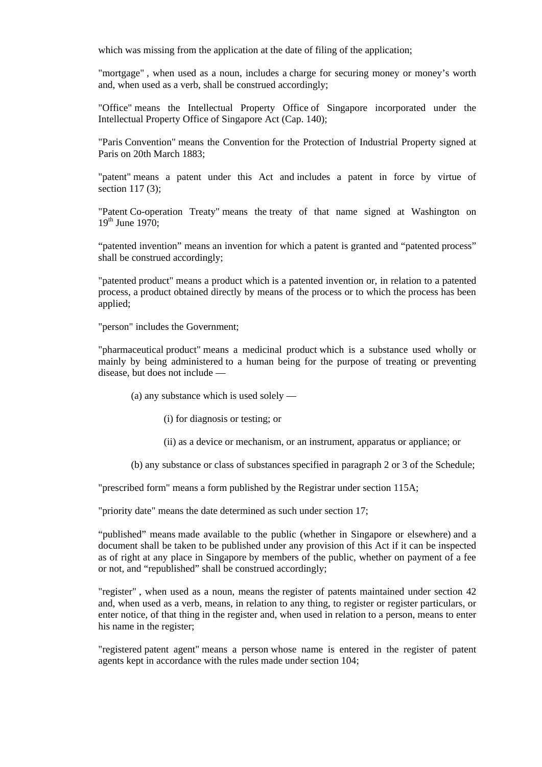which was missing from the application at the date of filing of the application;

"mortgage" , when used as a noun, includes a charge for securing money or money's worth and, when used as a verb, shall be construed accordingly;

"Office" means the Intellectual Property Office of Singapore incorporated under the Intellectual Property Office of Singapore Act (Cap. 140);

"Paris Convention" means the Convention for the Protection of Industrial Property signed at Paris on 20th March 1883;

"patent" means a patent under this Act and includes a patent in force by virtue of section 117 (3);

"Patent Co-operation Treaty" means the treaty of that name signed at Washington on  $19^{th}$  June  $1970$ :

"patented invention" means an invention for which a patent is granted and "patented process" shall be construed accordingly;

"patented product" means a product which is a patented invention or, in relation to a patented process, a product obtained directly by means of the process or to which the process has been applied;

"person" includes the Government;

"pharmaceutical product" means a medicinal product which is a substance used wholly or mainly by being administered to a human being for the purpose of treating or preventing disease, but does not include —

(a) any substance which is used solely —

- (i) for diagnosis or testing; or
- (ii) as a device or mechanism, or an instrument, apparatus or appliance; or
- (b) any substance or class of substances specified in paragraph 2 or 3 of the Schedule;

"prescribed form" means a form published by the Registrar under section 115A;

"priority date" means the date determined as such under section 17;

"published" means made available to the public (whether in Singapore or elsewhere) and a document shall be taken to be published under any provision of this Act if it can be inspected as of right at any place in Singapore by members of the public, whether on payment of a fee or not, and "republished" shall be construed accordingly;

"register" , when used as a noun, means the register of patents maintained under section 42 and, when used as a verb, means, in relation to any thing, to register or register particulars, or enter notice, of that thing in the register and, when used in relation to a person, means to enter his name in the register;

"registered patent agent" means a person whose name is entered in the register of patent agents kept in accordance with the rules made under section 104;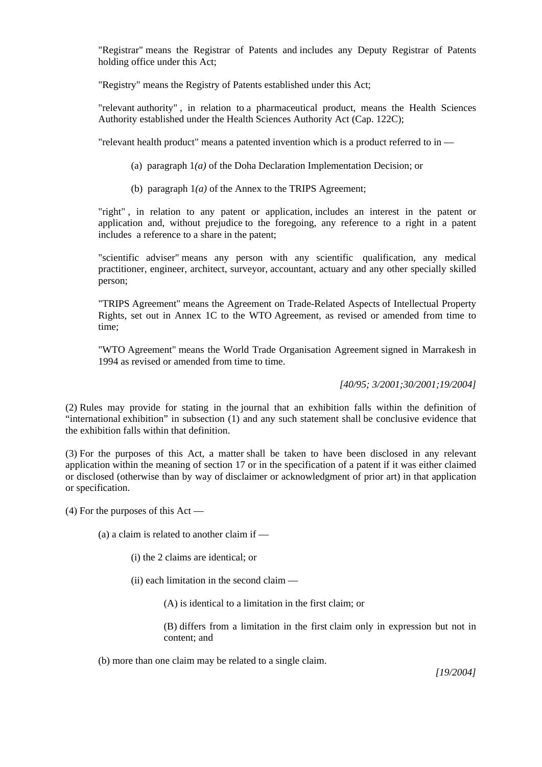"Registrar" means the Registrar of Patents and includes any Deputy Registrar of Patents holding office under this Act;

"Registry" means the Registry of Patents established under this Act;

"relevant authority" , in relation to a pharmaceutical product, means the Health Sciences Authority established under the Health Sciences Authority Act (Cap. 122C);

"relevant health product" means a patented invention which is a product referred to in —

- (a) paragraph 1*(a)* of the Doha Declaration Implementation Decision; or
- (b) paragraph 1*(a)* of the Annex to the TRIPS Agreement;

"right" , in relation to any patent or application, includes an interest in the patent or application and, without prejudice to the foregoing, any reference to a right in a patent includes a reference to a share in the patent;

"scientific adviser" means any person with any scientific qualification, any medical practitioner, engineer, architect, surveyor, accountant, actuary and any other specially skilled person;

"TRIPS Agreement" means the Agreement on Trade-Related Aspects of Intellectual Property Rights, set out in Annex 1C to the WTO Agreement, as revised or amended from time to time;

"WTO Agreement" means the World Trade Organisation Agreement signed in Marrakesh in 1994 as revised or amended from time to time.

*[40/95; 3/2001;30/2001;19/2004]* 

(2) Rules may provide for stating in the journal that an exhibition falls within the definition of "international exhibition" in subsection (1) and any such statement shall be conclusive evidence that the exhibition falls within that definition.

(3) For the purposes of this Act, a matter shall be taken to have been disclosed in any relevant application within the meaning of section 17 or in the specification of a patent if it was either claimed or disclosed (otherwise than by way of disclaimer or acknowledgment of prior art) in that application or specification.

(4) For the purposes of this Act —

(a) a claim is related to another claim if —

(i) the 2 claims are identical; or

(ii) each limitation in the second claim —

(A) is identical to a limitation in the first claim; or

(B) differs from a limitation in the first claim only in expression but not in content; and

(b) more than one claim may be related to a single claim.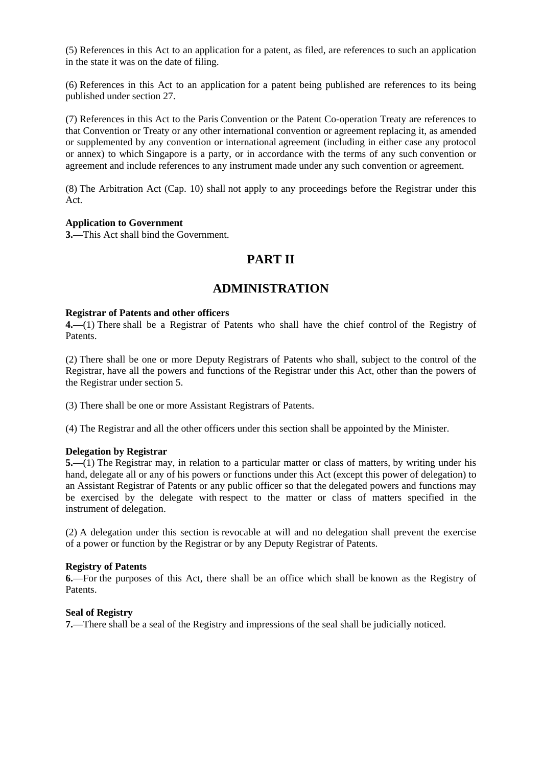(5) References in this Act to an application for a patent, as filed, are references to such an application in the state it was on the date of filing.

(6) References in this Act to an application for a patent being published are references to its being published under section 27.

(7) References in this Act to the Paris Convention or the Patent Co-operation Treaty are references to that Convention or Treaty or any other international convention or agreement replacing it, as amended or supplemented by any convention or international agreement (including in either case any protocol or annex) to which Singapore is a party, or in accordance with the terms of any such convention or agreement and include references to any instrument made under any such convention or agreement.

(8) The Arbitration Act (Cap. 10) shall not apply to any proceedings before the Registrar under this Act.

#### **Application to Government**

**3.**—This Act shall bind the Government.

# **PART II**

# **ADMINISTRATION**

#### **Registrar of Patents and other officers**

**4.**—(1) There shall be a Registrar of Patents who shall have the chief control of the Registry of Patents.

(2) There shall be one or more Deputy Registrars of Patents who shall, subject to the control of the Registrar, have all the powers and functions of the Registrar under this Act, other than the powers of the Registrar under section 5.

(3) There shall be one or more Assistant Registrars of Patents.

(4) The Registrar and all the other officers under this section shall be appointed by the Minister.

### **Delegation by Registrar**

**5.**—(1) The Registrar may, in relation to a particular matter or class of matters, by writing under his hand, delegate all or any of his powers or functions under this Act (except this power of delegation) to an Assistant Registrar of Patents or any public officer so that the delegated powers and functions may be exercised by the delegate with respect to the matter or class of matters specified in the instrument of delegation.

(2) A delegation under this section is revocable at will and no delegation shall prevent the exercise of a power or function by the Registrar or by any Deputy Registrar of Patents.

#### **Registry of Patents**

**6.**—For the purposes of this Act, there shall be an office which shall be known as the Registry of Patents.

### **Seal of Registry**

**7.**—There shall be a seal of the Registry and impressions of the seal shall be judicially noticed.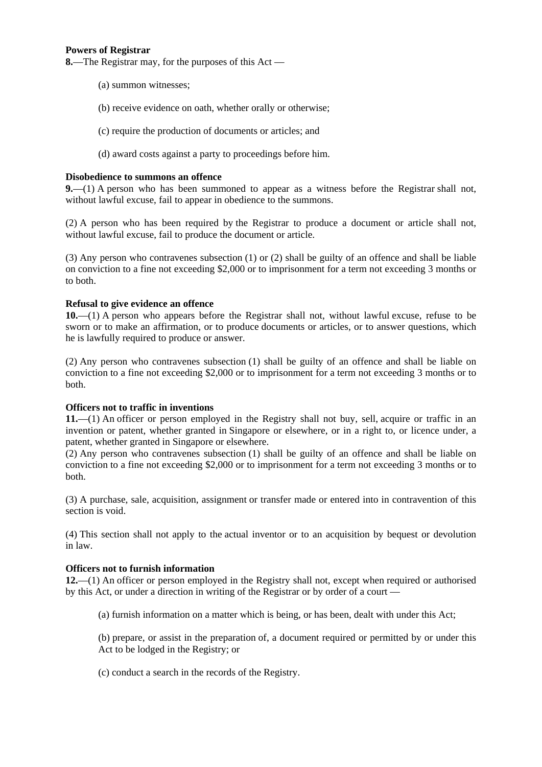### **Powers of Registrar**

**8.**—The Registrar may, for the purposes of this Act —

- (a) summon witnesses;
- (b) receive evidence on oath, whether orally or otherwise;
- (c) require the production of documents or articles; and
- (d) award costs against a party to proceedings before him.

#### **Disobedience to summons an offence**

**9.**—(1) A person who has been summoned to appear as a witness before the Registrar shall not, without lawful excuse, fail to appear in obedience to the summons.

(2) A person who has been required by the Registrar to produce a document or article shall not, without lawful excuse, fail to produce the document or article.

(3) Any person who contravenes subsection (1) or (2) shall be guilty of an offence and shall be liable on conviction to a fine not exceeding \$2,000 or to imprisonment for a term not exceeding 3 months or to both.

### **Refusal to give evidence an offence**

**10.**—(1) A person who appears before the Registrar shall not, without lawful excuse, refuse to be sworn or to make an affirmation, or to produce documents or articles, or to answer questions, which he is lawfully required to produce or answer.

(2) Any person who contravenes subsection (1) shall be guilty of an offence and shall be liable on conviction to a fine not exceeding \$2,000 or to imprisonment for a term not exceeding 3 months or to both.

#### **Officers not to traffic in inventions**

**11.**—(1) An officer or person employed in the Registry shall not buy, sell, acquire or traffic in an invention or patent, whether granted in Singapore or elsewhere, or in a right to, or licence under, a patent, whether granted in Singapore or elsewhere.

(2) Any person who contravenes subsection (1) shall be guilty of an offence and shall be liable on conviction to a fine not exceeding \$2,000 or to imprisonment for a term not exceeding 3 months or to both.

(3) A purchase, sale, acquisition, assignment or transfer made or entered into in contravention of this section is void.

(4) This section shall not apply to the actual inventor or to an acquisition by bequest or devolution in law.

#### **Officers not to furnish information**

**12.**—(1) An officer or person employed in the Registry shall not, except when required or authorised by this Act, or under a direction in writing of the Registrar or by order of a court —

(a) furnish information on a matter which is being, or has been, dealt with under this Act;

(b) prepare, or assist in the preparation of, a document required or permitted by or under this Act to be lodged in the Registry; or

(c) conduct a search in the records of the Registry.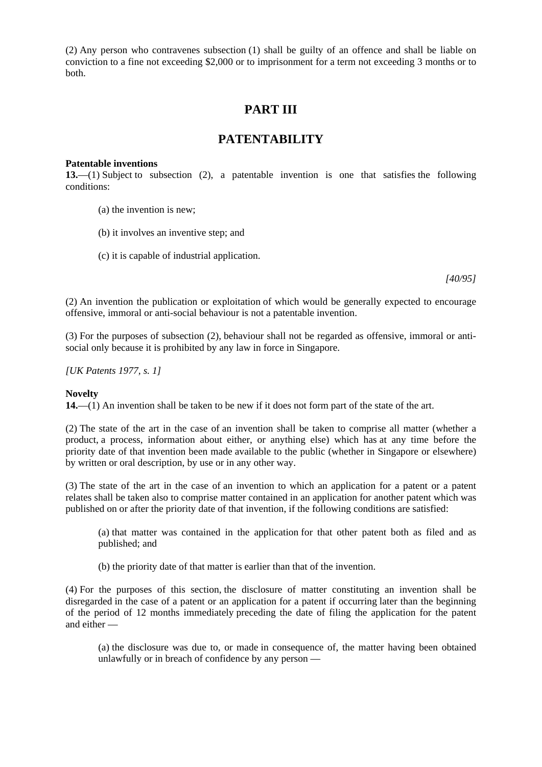(2) Any person who contravenes subsection (1) shall be guilty of an offence and shall be liable on conviction to a fine not exceeding \$2,000 or to imprisonment for a term not exceeding 3 months or to both.

# **PART III**

# **PATENTABILITY**

#### **Patentable inventions**

**13.**—(1) Subject to subsection (2), a patentable invention is one that satisfies the following conditions:

- (a) the invention is new;
- (b) it involves an inventive step; and
- (c) it is capable of industrial application.

*[40/95]* 

(2) An invention the publication or exploitation of which would be generally expected to encourage offensive, immoral or anti-social behaviour is not a patentable invention.

(3) For the purposes of subsection (2), behaviour shall not be regarded as offensive, immoral or antisocial only because it is prohibited by any law in force in Singapore.

*[UK Patents 1977, s. 1]* 

### **Novelty**

**14.**—(1) An invention shall be taken to be new if it does not form part of the state of the art.

(2) The state of the art in the case of an invention shall be taken to comprise all matter (whether a product, a process, information about either, or anything else) which has at any time before the priority date of that invention been made available to the public (whether in Singapore or elsewhere) by written or oral description, by use or in any other way.

(3) The state of the art in the case of an invention to which an application for a patent or a patent relates shall be taken also to comprise matter contained in an application for another patent which was published on or after the priority date of that invention, if the following conditions are satisfied:

(a) that matter was contained in the application for that other patent both as filed and as published; and

(b) the priority date of that matter is earlier than that of the invention.

(4) For the purposes of this section, the disclosure of matter constituting an invention shall be disregarded in the case of a patent or an application for a patent if occurring later than the beginning of the period of 12 months immediately preceding the date of filing the application for the patent and either —

(a) the disclosure was due to, or made in consequence of, the matter having been obtained unlawfully or in breach of confidence by any person —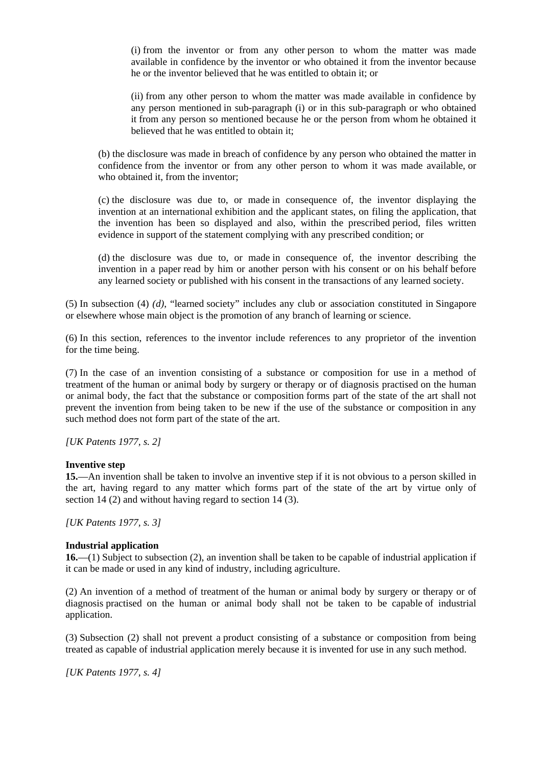(i) from the inventor or from any other person to whom the matter was made available in confidence by the inventor or who obtained it from the inventor because he or the inventor believed that he was entitled to obtain it; or

(ii) from any other person to whom the matter was made available in confidence by any person mentioned in sub-paragraph (i) or in this sub-paragraph or who obtained it from any person so mentioned because he or the person from whom he obtained it believed that he was entitled to obtain it;

(b) the disclosure was made in breach of confidence by any person who obtained the matter in confidence from the inventor or from any other person to whom it was made available, or who obtained it, from the inventor;

(c) the disclosure was due to, or made in consequence of, the inventor displaying the invention at an international exhibition and the applicant states, on filing the application, that the invention has been so displayed and also, within the prescribed period, files written evidence in support of the statement complying with any prescribed condition; or

(d) the disclosure was due to, or made in consequence of, the inventor describing the invention in a paper read by him or another person with his consent or on his behalf before any learned society or published with his consent in the transactions of any learned society.

(5) In subsection (4) *(d)*, "learned society" includes any club or association constituted in Singapore or elsewhere whose main object is the promotion of any branch of learning or science.

(6) In this section, references to the inventor include references to any proprietor of the invention for the time being.

(7) In the case of an invention consisting of a substance or composition for use in a method of treatment of the human or animal body by surgery or therapy or of diagnosis practised on the human or animal body, the fact that the substance or composition forms part of the state of the art shall not prevent the invention from being taken to be new if the use of the substance or composition in any such method does not form part of the state of the art.

*[UK Patents 1977, s. 2]* 

#### **Inventive step**

**15.**—An invention shall be taken to involve an inventive step if it is not obvious to a person skilled in the art, having regard to any matter which forms part of the state of the art by virtue only of section 14 (2) and without having regard to section 14 (3).

*[UK Patents 1977, s. 3]* 

### **Industrial application**

**16.**—(1) Subject to subsection (2), an invention shall be taken to be capable of industrial application if it can be made or used in any kind of industry, including agriculture.

(2) An invention of a method of treatment of the human or animal body by surgery or therapy or of diagnosis practised on the human or animal body shall not be taken to be capable of industrial application.

(3) Subsection (2) shall not prevent a product consisting of a substance or composition from being treated as capable of industrial application merely because it is invented for use in any such method.

*[UK Patents 1977, s. 4]*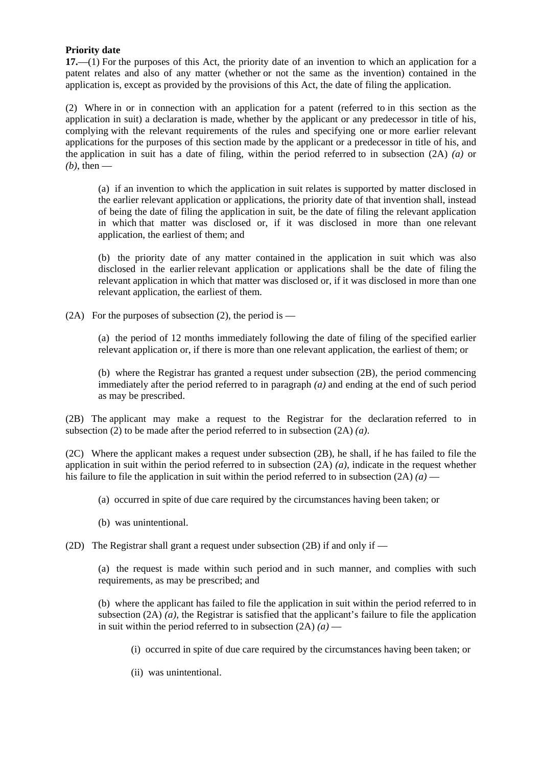## **Priority date**

**17.**—(1) For the purposes of this Act, the priority date of an invention to which an application for a patent relates and also of any matter (whether or not the same as the invention) contained in the application is, except as provided by the provisions of this Act, the date of filing the application.

(2) Where in or in connection with an application for a patent (referred to in this section as the application in suit) a declaration is made, whether by the applicant or any predecessor in title of his, complying with the relevant requirements of the rules and specifying one or more earlier relevant applications for the purposes of this section made by the applicant or a predecessor in title of his, and the application in suit has a date of filing, within the period referred to in subsection (2A) *(a)* or  $(b)$ , then —

(a) if an invention to which the application in suit relates is supported by matter disclosed in the earlier relevant application or applications, the priority date of that invention shall, instead of being the date of filing the application in suit, be the date of filing the relevant application in which that matter was disclosed or, if it was disclosed in more than one relevant application, the earliest of them; and

(b) the priority date of any matter contained in the application in suit which was also disclosed in the earlier relevant application or applications shall be the date of filing the relevant application in which that matter was disclosed or, if it was disclosed in more than one relevant application, the earliest of them.

(2A) For the purposes of subsection (2), the period is —

(a) the period of 12 months immediately following the date of filing of the specified earlier relevant application or, if there is more than one relevant application, the earliest of them; or

(b) where the Registrar has granted a request under subsection (2B), the period commencing immediately after the period referred to in paragraph *(a)* and ending at the end of such period as may be prescribed.

(2B) The applicant may make a request to the Registrar for the declaration referred to in subsection (2) to be made after the period referred to in subsection (2A) *(a)*.

(2C) Where the applicant makes a request under subsection (2B), he shall, if he has failed to file the application in suit within the period referred to in subsection (2A) *(a)*, indicate in the request whether his failure to file the application in suit within the period referred to in subsection (2A) (a) —

- (a) occurred in spite of due care required by the circumstances having been taken; or
- (b) was unintentional.

(2D) The Registrar shall grant a request under subsection (2B) if and only if —

(a) the request is made within such period and in such manner, and complies with such requirements, as may be prescribed; and

(b) where the applicant has failed to file the application in suit within the period referred to in subsection (2A) *(a)*, the Registrar is satisfied that the applicant's failure to file the application in suit within the period referred to in subsection  $(2A)$   $(a)$  —

(i) occurred in spite of due care required by the circumstances having been taken; or

(ii) was unintentional.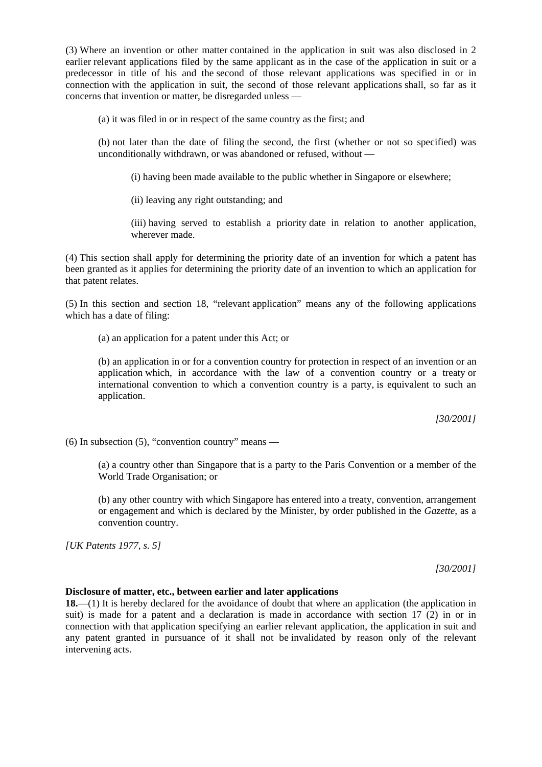(3) Where an invention or other matter contained in the application in suit was also disclosed in 2 earlier relevant applications filed by the same applicant as in the case of the application in suit or a predecessor in title of his and the second of those relevant applications was specified in or in connection with the application in suit, the second of those relevant applications shall, so far as it concerns that invention or matter, be disregarded unless —

(a) it was filed in or in respect of the same country as the first; and

(b) not later than the date of filing the second, the first (whether or not so specified) was unconditionally withdrawn, or was abandoned or refused, without —

(i) having been made available to the public whether in Singapore or elsewhere;

(ii) leaving any right outstanding; and

(iii) having served to establish a priority date in relation to another application, wherever made.

(4) This section shall apply for determining the priority date of an invention for which a patent has been granted as it applies for determining the priority date of an invention to which an application for that patent relates.

(5) In this section and section 18, "relevant application" means any of the following applications which has a date of filing:

(a) an application for a patent under this Act; or

(b) an application in or for a convention country for protection in respect of an invention or an application which, in accordance with the law of a convention country or a treaty or international convention to which a convention country is a party, is equivalent to such an application.

*[30/2001]* 

(6) In subsection (5), "convention country" means —

(a) a country other than Singapore that is a party to the Paris Convention or a member of the World Trade Organisation; or

(b) any other country with which Singapore has entered into a treaty, convention, arrangement or engagement and which is declared by the Minister, by order published in the *Gazette*, as a convention country.

*[UK Patents 1977, s. 5]* 

*[30/2001]* 

#### **Disclosure of matter, etc., between earlier and later applications**

**18.**—(1) It is hereby declared for the avoidance of doubt that where an application (the application in suit) is made for a patent and a declaration is made in accordance with section 17 (2) in or in connection with that application specifying an earlier relevant application, the application in suit and any patent granted in pursuance of it shall not be invalidated by reason only of the relevant intervening acts.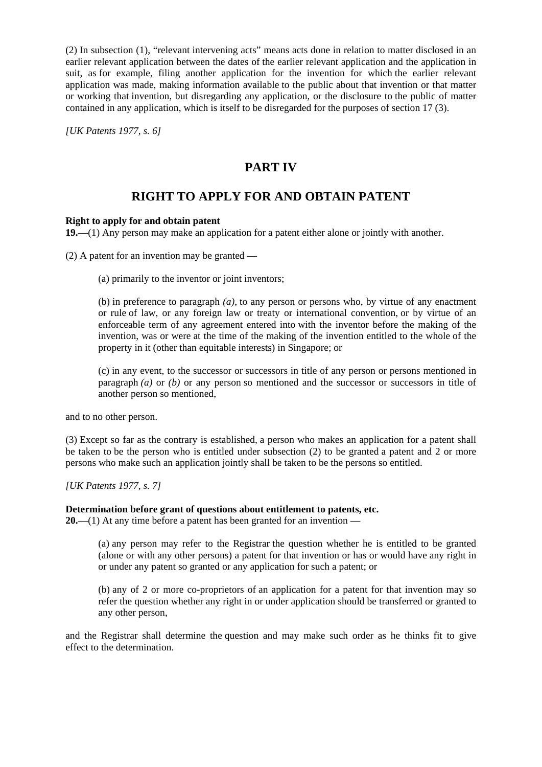(2) In subsection (1), "relevant intervening acts" means acts done in relation to matter disclosed in an earlier relevant application between the dates of the earlier relevant application and the application in suit, as for example, filing another application for the invention for which the earlier relevant application was made, making information available to the public about that invention or that matter or working that invention, but disregarding any application, or the disclosure to the public of matter contained in any application, which is itself to be disregarded for the purposes of section 17 (3).

*[UK Patents 1977, s. 6]* 

## **PART IV**

# **RIGHT TO APPLY FOR AND OBTAIN PATENT**

#### **Right to apply for and obtain patent**

**19.**—(1) Any person may make an application for a patent either alone or jointly with another.

(2) A patent for an invention may be granted —

(a) primarily to the inventor or joint inventors;

(b) in preference to paragraph *(a)*, to any person or persons who, by virtue of any enactment or rule of law, or any foreign law or treaty or international convention, or by virtue of an enforceable term of any agreement entered into with the inventor before the making of the invention, was or were at the time of the making of the invention entitled to the whole of the property in it (other than equitable interests) in Singapore; or

(c) in any event, to the successor or successors in title of any person or persons mentioned in paragraph *(a)* or *(b)* or any person so mentioned and the successor or successors in title of another person so mentioned,

and to no other person.

(3) Except so far as the contrary is established, a person who makes an application for a patent shall be taken to be the person who is entitled under subsection (2) to be granted a patent and 2 or more persons who make such an application jointly shall be taken to be the persons so entitled.

*[UK Patents 1977, s. 7]* 

### **Determination before grant of questions about entitlement to patents, etc.**

**20.**—(1) At any time before a patent has been granted for an invention —

(a) any person may refer to the Registrar the question whether he is entitled to be granted (alone or with any other persons) a patent for that invention or has or would have any right in or under any patent so granted or any application for such a patent; or

(b) any of 2 or more co-proprietors of an application for a patent for that invention may so refer the question whether any right in or under application should be transferred or granted to any other person,

and the Registrar shall determine the question and may make such order as he thinks fit to give effect to the determination.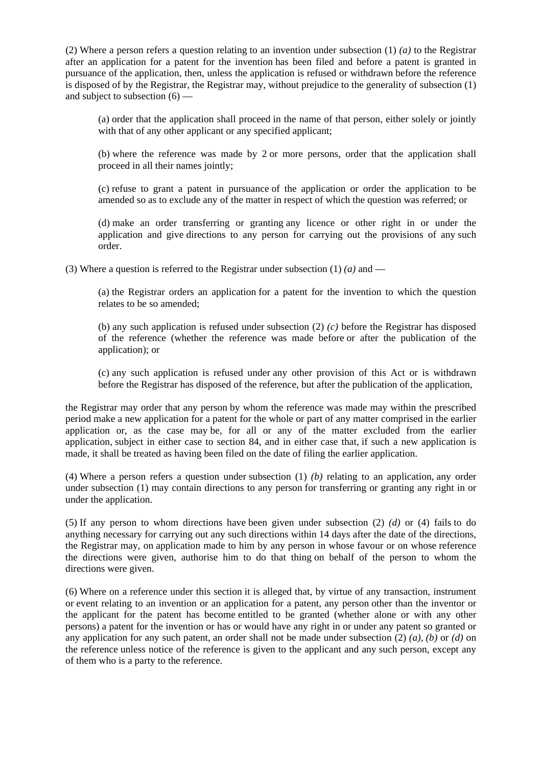(2) Where a person refers a question relating to an invention under subsection (1) *(a)* to the Registrar after an application for a patent for the invention has been filed and before a patent is granted in pursuance of the application, then, unless the application is refused or withdrawn before the reference is disposed of by the Registrar, the Registrar may, without prejudice to the generality of subsection (1) and subject to subsection (6) —

(a) order that the application shall proceed in the name of that person, either solely or jointly with that of any other applicant or any specified applicant;

(b) where the reference was made by 2 or more persons, order that the application shall proceed in all their names jointly;

(c) refuse to grant a patent in pursuance of the application or order the application to be amended so as to exclude any of the matter in respect of which the question was referred; or

(d) make an order transferring or granting any licence or other right in or under the application and give directions to any person for carrying out the provisions of any such order.

(3) Where a question is referred to the Registrar under subsection (1) *(a)* and —

(a) the Registrar orders an application for a patent for the invention to which the question relates to be so amended;

(b) any such application is refused under subsection (2) *(c)* before the Registrar has disposed of the reference (whether the reference was made before or after the publication of the application); or

(c) any such application is refused under any other provision of this Act or is withdrawn before the Registrar has disposed of the reference, but after the publication of the application,

the Registrar may order that any person by whom the reference was made may within the prescribed period make a new application for a patent for the whole or part of any matter comprised in the earlier application or, as the case may be, for all or any of the matter excluded from the earlier application, subject in either case to section 84, and in either case that, if such a new application is made, it shall be treated as having been filed on the date of filing the earlier application.

(4) Where a person refers a question under subsection (1) *(b)* relating to an application, any order under subsection (1) may contain directions to any person for transferring or granting any right in or under the application.

(5) If any person to whom directions have been given under subsection (2) *(d)* or (4) fails to do anything necessary for carrying out any such directions within 14 days after the date of the directions, the Registrar may, on application made to him by any person in whose favour or on whose reference the directions were given, authorise him to do that thing on behalf of the person to whom the directions were given.

(6) Where on a reference under this section it is alleged that, by virtue of any transaction, instrument or event relating to an invention or an application for a patent, any person other than the inventor or the applicant for the patent has become entitled to be granted (whether alone or with any other persons) a patent for the invention or has or would have any right in or under any patent so granted or any application for any such patent, an order shall not be made under subsection (2) *(a)*, *(b)* or *(d)* on the reference unless notice of the reference is given to the applicant and any such person, except any of them who is a party to the reference.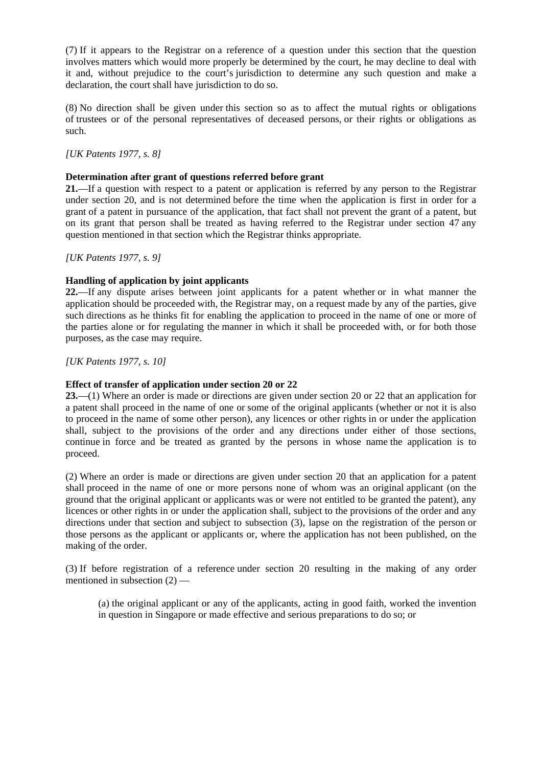(7) If it appears to the Registrar on a reference of a question under this section that the question involves matters which would more properly be determined by the court, he may decline to deal with it and, without prejudice to the court's jurisdiction to determine any such question and make a declaration, the court shall have jurisdiction to do so.

(8) No direction shall be given under this section so as to affect the mutual rights or obligations of trustees or of the personal representatives of deceased persons, or their rights or obligations as such.

*[UK Patents 1977, s. 8]* 

## **Determination after grant of questions referred before grant**

**21.**—If a question with respect to a patent or application is referred by any person to the Registrar under section 20, and is not determined before the time when the application is first in order for a grant of a patent in pursuance of the application, that fact shall not prevent the grant of a patent, but on its grant that person shall be treated as having referred to the Registrar under section 47 any question mentioned in that section which the Registrar thinks appropriate.

*[UK Patents 1977, s. 9]* 

## **Handling of application by joint applicants**

**22.**—If any dispute arises between joint applicants for a patent whether or in what manner the application should be proceeded with, the Registrar may, on a request made by any of the parties, give such directions as he thinks fit for enabling the application to proceed in the name of one or more of the parties alone or for regulating the manner in which it shall be proceeded with, or for both those purposes, as the case may require.

*[UK Patents 1977, s. 10]* 

### **Effect of transfer of application under section 20 or 22**

**23.**—(1) Where an order is made or directions are given under section 20 or 22 that an application for a patent shall proceed in the name of one or some of the original applicants (whether or not it is also to proceed in the name of some other person), any licences or other rights in or under the application shall, subject to the provisions of the order and any directions under either of those sections, continue in force and be treated as granted by the persons in whose name the application is to proceed.

(2) Where an order is made or directions are given under section 20 that an application for a patent shall proceed in the name of one or more persons none of whom was an original applicant (on the ground that the original applicant or applicants was or were not entitled to be granted the patent), any licences or other rights in or under the application shall, subject to the provisions of the order and any directions under that section and subject to subsection (3), lapse on the registration of the person or those persons as the applicant or applicants or, where the application has not been published, on the making of the order.

(3) If before registration of a reference under section 20 resulting in the making of any order mentioned in subsection  $(2)$  —

(a) the original applicant or any of the applicants, acting in good faith, worked the invention in question in Singapore or made effective and serious preparations to do so; or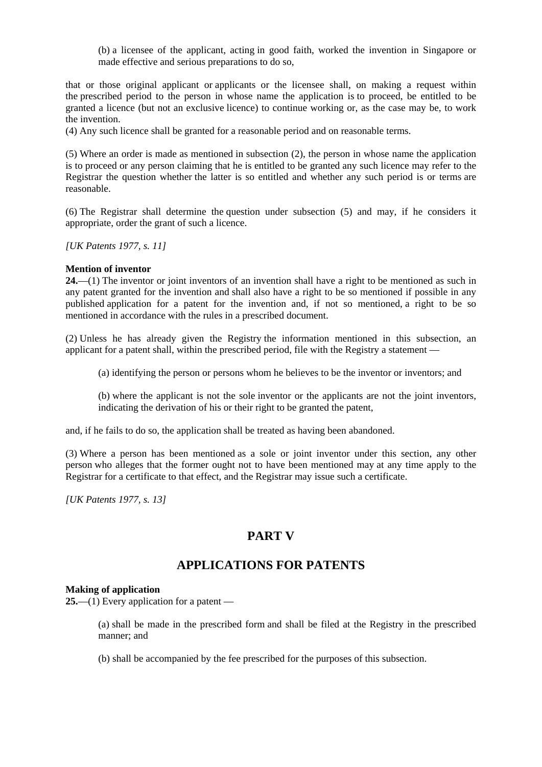(b) a licensee of the applicant, acting in good faith, worked the invention in Singapore or made effective and serious preparations to do so,

that or those original applicant or applicants or the licensee shall, on making a request within the prescribed period to the person in whose name the application is to proceed, be entitled to be granted a licence (but not an exclusive licence) to continue working or, as the case may be, to work the invention.

(4) Any such licence shall be granted for a reasonable period and on reasonable terms.

(5) Where an order is made as mentioned in subsection (2), the person in whose name the application is to proceed or any person claiming that he is entitled to be granted any such licence may refer to the Registrar the question whether the latter is so entitled and whether any such period is or terms are reasonable.

(6) The Registrar shall determine the question under subsection (5) and may, if he considers it appropriate, order the grant of such a licence.

*[UK Patents 1977, s. 11]* 

#### **Mention of inventor**

**24.**—(1) The inventor or joint inventors of an invention shall have a right to be mentioned as such in any patent granted for the invention and shall also have a right to be so mentioned if possible in any published application for a patent for the invention and, if not so mentioned, a right to be so mentioned in accordance with the rules in a prescribed document.

(2) Unless he has already given the Registry the information mentioned in this subsection, an applicant for a patent shall, within the prescribed period, file with the Registry a statement —

(a) identifying the person or persons whom he believes to be the inventor or inventors; and

(b) where the applicant is not the sole inventor or the applicants are not the joint inventors, indicating the derivation of his or their right to be granted the patent,

and, if he fails to do so, the application shall be treated as having been abandoned.

(3) Where a person has been mentioned as a sole or joint inventor under this section, any other person who alleges that the former ought not to have been mentioned may at any time apply to the Registrar for a certificate to that effect, and the Registrar may issue such a certificate.

*[UK Patents 1977, s. 13]* 

# **PART V**

# **APPLICATIONS FOR PATENTS**

#### **Making of application**

**25.**—(1) Every application for a patent —

(a) shall be made in the prescribed form and shall be filed at the Registry in the prescribed manner; and

(b) shall be accompanied by the fee prescribed for the purposes of this subsection.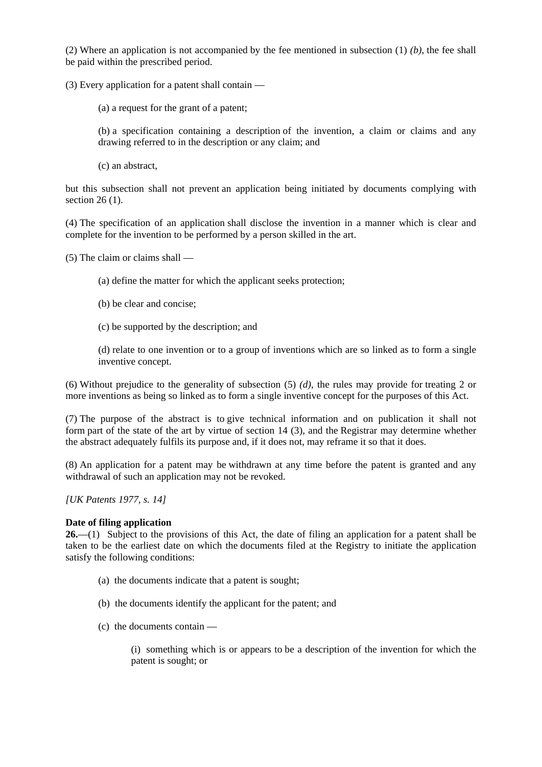(2) Where an application is not accompanied by the fee mentioned in subsection (1) *(b)*, the fee shall be paid within the prescribed period.

(3) Every application for a patent shall contain —

(a) a request for the grant of a patent;

(b) a specification containing a description of the invention, a claim or claims and any drawing referred to in the description or any claim; and

(c) an abstract,

but this subsection shall not prevent an application being initiated by documents complying with section 26 (1).

(4) The specification of an application shall disclose the invention in a manner which is clear and complete for the invention to be performed by a person skilled in the art.

(5) The claim or claims shall —

(a) define the matter for which the applicant seeks protection;

- (b) be clear and concise;
- (c) be supported by the description; and

(d) relate to one invention or to a group of inventions which are so linked as to form a single inventive concept.

(6) Without prejudice to the generality of subsection (5) *(d)*, the rules may provide for treating 2 or more inventions as being so linked as to form a single inventive concept for the purposes of this Act.

(7) The purpose of the abstract is to give technical information and on publication it shall not form part of the state of the art by virtue of section 14 (3), and the Registrar may determine whether the abstract adequately fulfils its purpose and, if it does not, may reframe it so that it does.

(8) An application for a patent may be withdrawn at any time before the patent is granted and any withdrawal of such an application may not be revoked.

*[UK Patents 1977, s. 14]* 

### **Date of filing application**

**26.**—(1) Subject to the provisions of this Act, the date of filing an application for a patent shall be taken to be the earliest date on which the documents filed at the Registry to initiate the application satisfy the following conditions:

- (a) the documents indicate that a patent is sought;
- (b) the documents identify the applicant for the patent; and
- (c) the documents contain —

(i) something which is or appears to be a description of the invention for which the patent is sought; or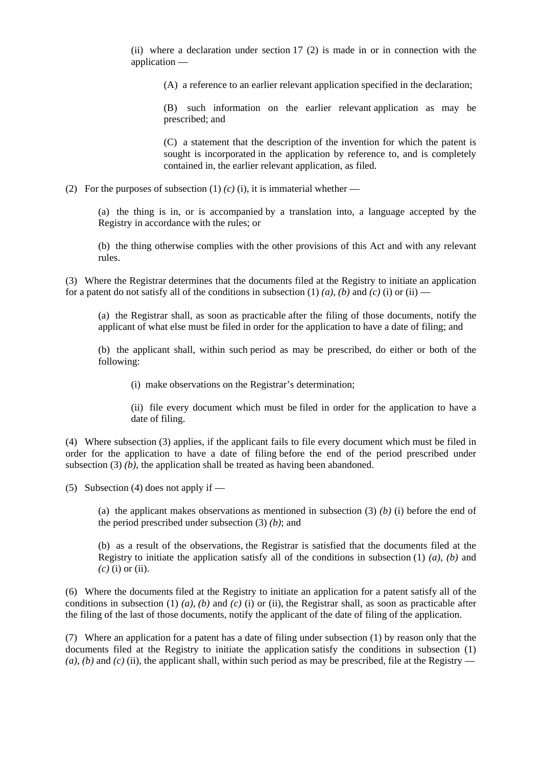(ii) where a declaration under section 17 (2) is made in or in connection with the application —

(A) a reference to an earlier relevant application specified in the declaration;

(B) such information on the earlier relevant application as may be prescribed; and

(C) a statement that the description of the invention for which the patent is sought is incorporated in the application by reference to, and is completely contained in, the earlier relevant application, as filed.

(2) For the purposes of subsection  $(1)$   $(c)$   $(i)$ , it is immaterial whether —

(a) the thing is in, or is accompanied by a translation into, a language accepted by the Registry in accordance with the rules; or

(b) the thing otherwise complies with the other provisions of this Act and with any relevant rules.

(3) Where the Registrar determines that the documents filed at the Registry to initiate an application for a patent do not satisfy all of the conditions in subsection  $(1)$   $(a)$ ,  $(b)$  and  $(c)$   $(i)$  or  $(ii)$  —

(a) the Registrar shall, as soon as practicable after the filing of those documents, notify the applicant of what else must be filed in order for the application to have a date of filing; and

(b) the applicant shall, within such period as may be prescribed, do either or both of the following:

(i) make observations on the Registrar's determination;

(ii) file every document which must be filed in order for the application to have a date of filing.

(4) Where subsection (3) applies, if the applicant fails to file every document which must be filed in order for the application to have a date of filing before the end of the period prescribed under subsection  $(3)$   $(b)$ , the application shall be treated as having been abandoned.

(5) Subsection (4) does not apply if —

(a) the applicant makes observations as mentioned in subsection (3) *(b)* (i) before the end of the period prescribed under subsection (3) *(b)*; and

(b) as a result of the observations, the Registrar is satisfied that the documents filed at the Registry to initiate the application satisfy all of the conditions in subsection (1) *(a)*, *(b)* and *(c)* (i) or (ii).

(6) Where the documents filed at the Registry to initiate an application for a patent satisfy all of the conditions in subsection (1) *(a)*, *(b)* and *(c)* (i) or (ii), the Registrar shall, as soon as practicable after the filing of the last of those documents, notify the applicant of the date of filing of the application.

(7) Where an application for a patent has a date of filing under subsection (1) by reason only that the documents filed at the Registry to initiate the application satisfy the conditions in subsection (1)  $(a)$ ,  $(b)$  and  $(c)$  (ii), the applicant shall, within such period as may be prescribed, file at the Registry —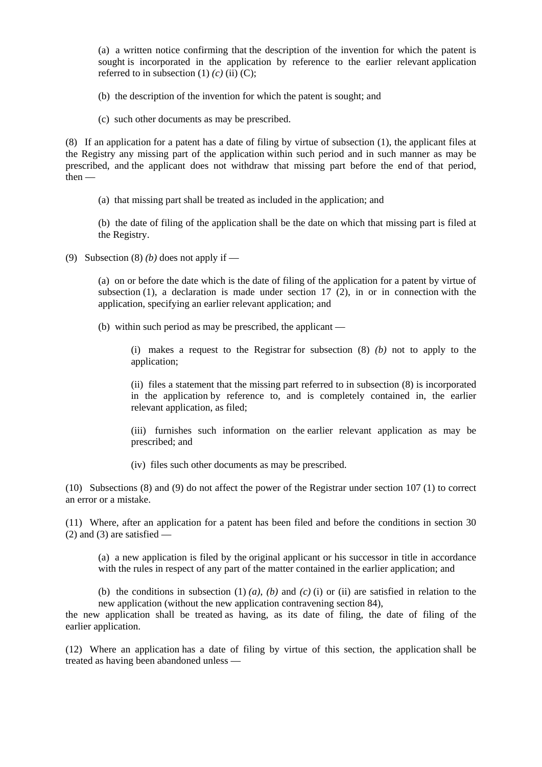(a) a written notice confirming that the description of the invention for which the patent is sought is incorporated in the application by reference to the earlier relevant application referred to in subsection  $(1)$   $(c)$   $(ii)$   $(C)$ ;

- (b) the description of the invention for which the patent is sought; and
- (c) such other documents as may be prescribed.

(8) If an application for a patent has a date of filing by virtue of subsection (1), the applicant files at the Registry any missing part of the application within such period and in such manner as may be prescribed, and the applicant does not withdraw that missing part before the end of that period, then —

(a) that missing part shall be treated as included in the application; and

(b) the date of filing of the application shall be the date on which that missing part is filed at the Registry.

(9) Subsection  $(8)$  *(b)* does not apply if —

(a) on or before the date which is the date of filing of the application for a patent by virtue of subsection  $(1)$ , a declaration is made under section 17  $(2)$ , in or in connection with the application, specifying an earlier relevant application; and

(b) within such period as may be prescribed, the applicant —

(i) makes a request to the Registrar for subsection (8) *(b)* not to apply to the application;

(ii) files a statement that the missing part referred to in subsection (8) is incorporated in the application by reference to, and is completely contained in, the earlier relevant application, as filed;

(iii) furnishes such information on the earlier relevant application as may be prescribed; and

(iv) files such other documents as may be prescribed.

(10) Subsections (8) and (9) do not affect the power of the Registrar under section 107 (1) to correct an error or a mistake.

(11) Where, after an application for a patent has been filed and before the conditions in section 30  $(2)$  and  $(3)$  are satisfied —

(a) a new application is filed by the original applicant or his successor in title in accordance with the rules in respect of any part of the matter contained in the earlier application; and

(b) the conditions in subsection  $(1)$   $(a)$ ,  $(b)$  and  $(c)$  (i) or (ii) are satisfied in relation to the new application (without the new application contravening section 84),

the new application shall be treated as having, as its date of filing, the date of filing of the earlier application.

(12) Where an application has a date of filing by virtue of this section, the application shall be treated as having been abandoned unless —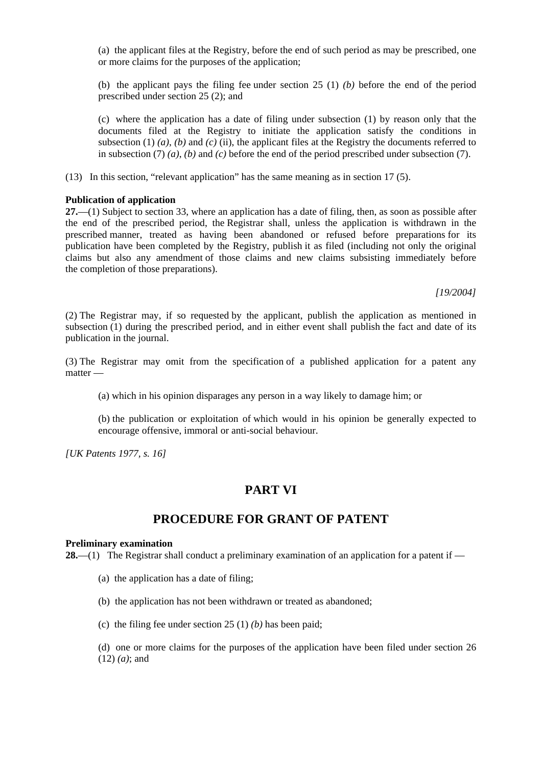(a) the applicant files at the Registry, before the end of such period as may be prescribed, one or more claims for the purposes of the application;

(b) the applicant pays the filing fee under section 25 (1) *(b)* before the end of the period prescribed under section 25 (2); and

(c) where the application has a date of filing under subsection (1) by reason only that the documents filed at the Registry to initiate the application satisfy the conditions in subsection (1) *(a)*, *(b)* and *(c)* (ii), the applicant files at the Registry the documents referred to in subsection (7) *(a)*, *(b)* and *(c)* before the end of the period prescribed under subsection (7).

(13) In this section, "relevant application" has the same meaning as in section 17 (5).

#### **Publication of application**

**27.**—(1) Subject to section 33, where an application has a date of filing, then, as soon as possible after the end of the prescribed period, the Registrar shall, unless the application is withdrawn in the prescribed manner, treated as having been abandoned or refused before preparations for its publication have been completed by the Registry, publish it as filed (including not only the original claims but also any amendment of those claims and new claims subsisting immediately before the completion of those preparations).

*[19/2004]* 

(2) The Registrar may, if so requested by the applicant, publish the application as mentioned in subsection (1) during the prescribed period, and in either event shall publish the fact and date of its publication in the journal.

(3) The Registrar may omit from the specification of a published application for a patent any matter —

(a) which in his opinion disparages any person in a way likely to damage him; or

(b) the publication or exploitation of which would in his opinion be generally expected to encourage offensive, immoral or anti-social behaviour.

*[UK Patents 1977, s. 16]* 

# **PART VI**

## **PROCEDURE FOR GRANT OF PATENT**

#### **Preliminary examination**

**28.**—(1) The Registrar shall conduct a preliminary examination of an application for a patent if —

- (a) the application has a date of filing;
- (b) the application has not been withdrawn or treated as abandoned;
- (c) the filing fee under section 25 (1) *(b)* has been paid;

(d) one or more claims for the purposes of the application have been filed under section 26 (12) *(a)*; and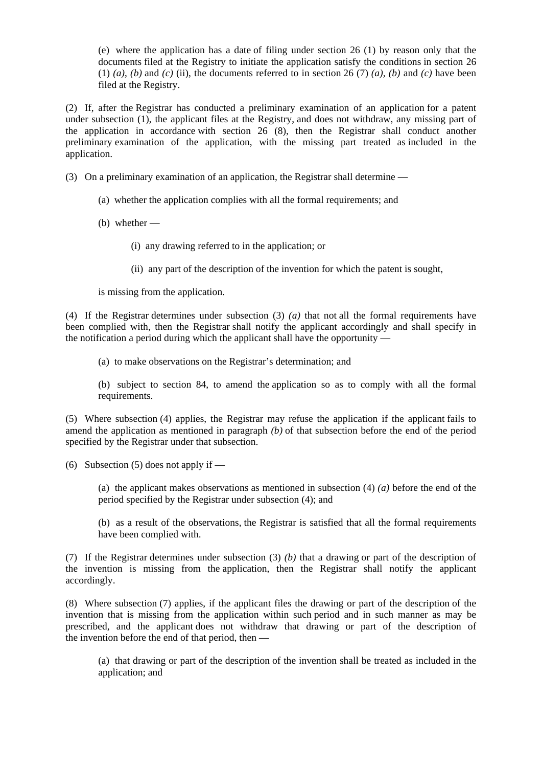(e) where the application has a date of filing under section 26 (1) by reason only that the documents filed at the Registry to initiate the application satisfy the conditions in section 26 (1)  $(a)$ ,  $(b)$  and  $(c)$  (ii), the documents referred to in section 26  $(7)$   $(a)$ ,  $(b)$  and  $(c)$  have been filed at the Registry.

(2) If, after the Registrar has conducted a preliminary examination of an application for a patent under subsection (1), the applicant files at the Registry, and does not withdraw, any missing part of the application in accordance with section 26 (8), then the Registrar shall conduct another preliminary examination of the application, with the missing part treated as included in the application.

(3) On a preliminary examination of an application, the Registrar shall determine —

- (a) whether the application complies with all the formal requirements; and
- (b) whether
	- (i) any drawing referred to in the application; or
	- (ii) any part of the description of the invention for which the patent is sought,

is missing from the application.

(4) If the Registrar determines under subsection (3) *(a)* that not all the formal requirements have been complied with, then the Registrar shall notify the applicant accordingly and shall specify in the notification a period during which the applicant shall have the opportunity —

(a) to make observations on the Registrar's determination; and

(b) subject to section 84, to amend the application so as to comply with all the formal requirements.

(5) Where subsection (4) applies, the Registrar may refuse the application if the applicant fails to amend the application as mentioned in paragraph *(b)* of that subsection before the end of the period specified by the Registrar under that subsection.

(6) Subsection (5) does not apply if —

(a) the applicant makes observations as mentioned in subsection (4) *(a)* before the end of the period specified by the Registrar under subsection (4); and

(b) as a result of the observations, the Registrar is satisfied that all the formal requirements have been complied with.

(7) If the Registrar determines under subsection (3) *(b)* that a drawing or part of the description of the invention is missing from the application, then the Registrar shall notify the applicant accordingly.

(8) Where subsection (7) applies, if the applicant files the drawing or part of the description of the invention that is missing from the application within such period and in such manner as may be prescribed, and the applicant does not withdraw that drawing or part of the description of the invention before the end of that period, then —

(a) that drawing or part of the description of the invention shall be treated as included in the application; and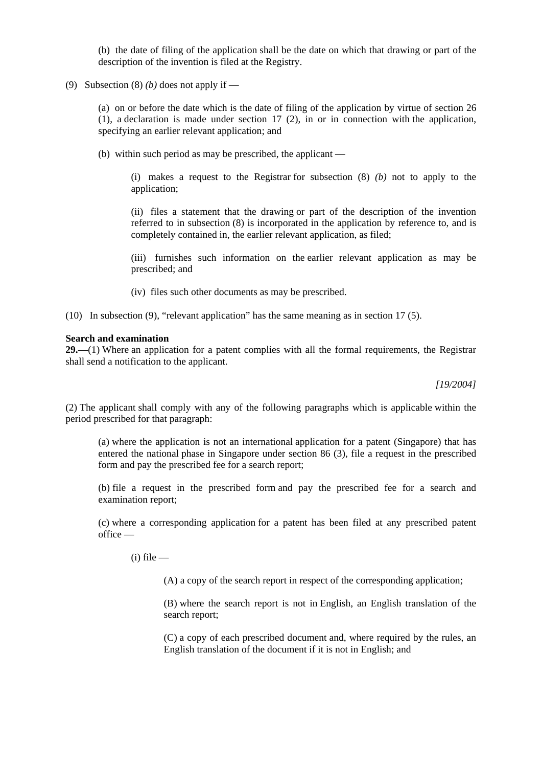(b) the date of filing of the application shall be the date on which that drawing or part of the description of the invention is filed at the Registry.

(9) Subsection (8) *(b)* does not apply if —

(a) on or before the date which is the date of filing of the application by virtue of section 26 (1), a declaration is made under section 17 (2), in or in connection with the application, specifying an earlier relevant application; and

(b) within such period as may be prescribed, the applicant —

(i) makes a request to the Registrar for subsection (8) *(b)* not to apply to the application;

(ii) files a statement that the drawing or part of the description of the invention referred to in subsection (8) is incorporated in the application by reference to, and is completely contained in, the earlier relevant application, as filed;

(iii) furnishes such information on the earlier relevant application as may be prescribed; and

(iv) files such other documents as may be prescribed.

(10) In subsection (9), "relevant application" has the same meaning as in section 17 (5).

#### **Search and examination**

**29.**—(1) Where an application for a patent complies with all the formal requirements, the Registrar shall send a notification to the applicant.

*[19/2004]* 

(2) The applicant shall comply with any of the following paragraphs which is applicable within the period prescribed for that paragraph:

(a) where the application is not an international application for a patent (Singapore) that has entered the national phase in Singapore under section 86 (3), file a request in the prescribed form and pay the prescribed fee for a search report;

(b) file a request in the prescribed form and pay the prescribed fee for a search and examination report;

(c) where a corresponding application for a patent has been filed at any prescribed patent office —

 $(i)$  file —

(A) a copy of the search report in respect of the corresponding application;

(B) where the search report is not in English, an English translation of the search report;

(C) a copy of each prescribed document and, where required by the rules, an English translation of the document if it is not in English; and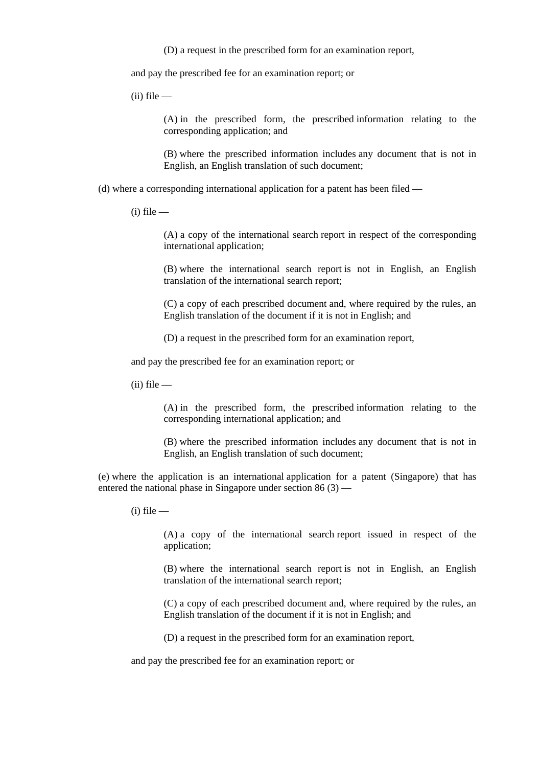(D) a request in the prescribed form for an examination report,

and pay the prescribed fee for an examination report; or

 $(ii)$  file —

(A) in the prescribed form, the prescribed information relating to the corresponding application; and

(B) where the prescribed information includes any document that is not in English, an English translation of such document;

(d) where a corresponding international application for a patent has been filed —

 $(i)$  file —

(A) a copy of the international search report in respect of the corresponding international application;

(B) where the international search report is not in English, an English translation of the international search report;

(C) a copy of each prescribed document and, where required by the rules, an English translation of the document if it is not in English; and

(D) a request in the prescribed form for an examination report,

and pay the prescribed fee for an examination report; or

 $(ii)$  file —

(A) in the prescribed form, the prescribed information relating to the corresponding international application; and

(B) where the prescribed information includes any document that is not in English, an English translation of such document;

(e) where the application is an international application for a patent (Singapore) that has entered the national phase in Singapore under section 86 (3) —

 $(i)$  file —

(A) a copy of the international search report issued in respect of the application;

(B) where the international search report is not in English, an English translation of the international search report;

(C) a copy of each prescribed document and, where required by the rules, an English translation of the document if it is not in English; and

(D) a request in the prescribed form for an examination report,

and pay the prescribed fee for an examination report; or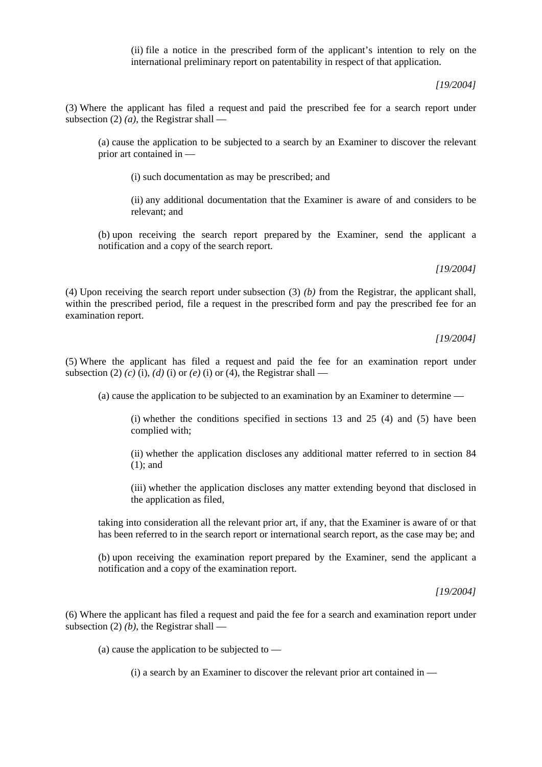(ii) file a notice in the prescribed form of the applicant's intention to rely on the international preliminary report on patentability in respect of that application.

*[19/2004]* 

(3) Where the applicant has filed a request and paid the prescribed fee for a search report under subsection (2) *(a)*, the Registrar shall —

(a) cause the application to be subjected to a search by an Examiner to discover the relevant prior art contained in —

(i) such documentation as may be prescribed; and

(ii) any additional documentation that the Examiner is aware of and considers to be relevant; and

(b) upon receiving the search report prepared by the Examiner, send the applicant a notification and a copy of the search report.

*[19/2004]* 

(4) Upon receiving the search report under subsection (3) *(b)* from the Registrar, the applicant shall, within the prescribed period, file a request in the prescribed form and pay the prescribed fee for an examination report.

*[19/2004]* 

(5) Where the applicant has filed a request and paid the fee for an examination report under subsection (2)  $(c)$  (i),  $(d)$  (i) or  $(e)$  (i) or (4), the Registrar shall —

(a) cause the application to be subjected to an examination by an Examiner to determine —

(i) whether the conditions specified in sections 13 and 25 (4) and (5) have been complied with;

(ii) whether the application discloses any additional matter referred to in section 84 (1); and

(iii) whether the application discloses any matter extending beyond that disclosed in the application as filed,

taking into consideration all the relevant prior art, if any, that the Examiner is aware of or that has been referred to in the search report or international search report, as the case may be; and

(b) upon receiving the examination report prepared by the Examiner, send the applicant a notification and a copy of the examination report.

*[19/2004]* 

(6) Where the applicant has filed a request and paid the fee for a search and examination report under subsection (2) *(b)*, the Registrar shall —

(a) cause the application to be subjected to —

(i) a search by an Examiner to discover the relevant prior art contained in —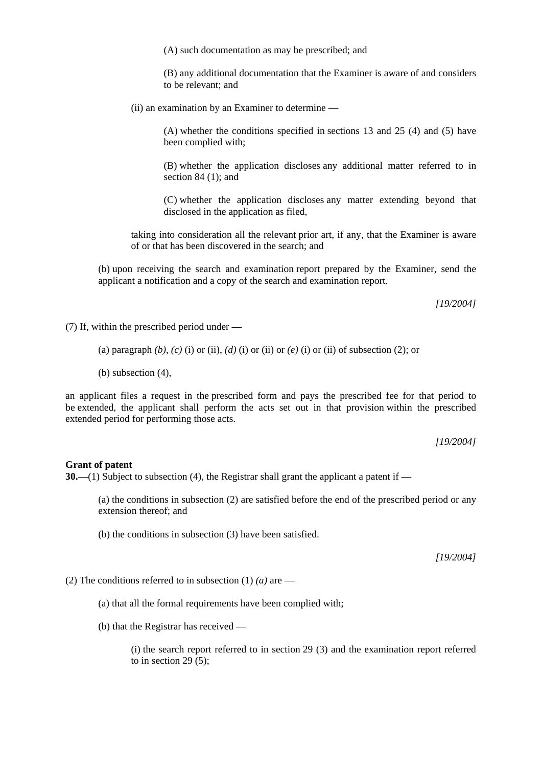(A) such documentation as may be prescribed; and

(B) any additional documentation that the Examiner is aware of and considers to be relevant; and

(ii) an examination by an Examiner to determine —

(A) whether the conditions specified in sections 13 and 25 (4) and (5) have been complied with;

(B) whether the application discloses any additional matter referred to in section 84 (1); and

(C) whether the application discloses any matter extending beyond that disclosed in the application as filed,

taking into consideration all the relevant prior art, if any, that the Examiner is aware of or that has been discovered in the search; and

(b) upon receiving the search and examination report prepared by the Examiner, send the applicant a notification and a copy of the search and examination report.

*[19/2004]* 

(7) If, within the prescribed period under —

(a) paragraph  $(b)$ ,  $(c)$  (i) or (ii),  $(d)$  (i) or (ii) or  $(e)$  (i) or (ii) of subsection (2); or

(b) subsection (4),

an applicant files a request in the prescribed form and pays the prescribed fee for that period to be extended, the applicant shall perform the acts set out in that provision within the prescribed extended period for performing those acts.

*[19/2004]* 

#### **Grant of patent**

**30.**—(1) Subject to subsection (4), the Registrar shall grant the applicant a patent if —

(a) the conditions in subsection (2) are satisfied before the end of the prescribed period or any extension thereof; and

(b) the conditions in subsection (3) have been satisfied.

*[19/2004]* 

(2) The conditions referred to in subsection  $(1)$  *(a)* are —

(a) that all the formal requirements have been complied with;

(b) that the Registrar has received —

(i) the search report referred to in section 29 (3) and the examination report referred to in section 29 (5);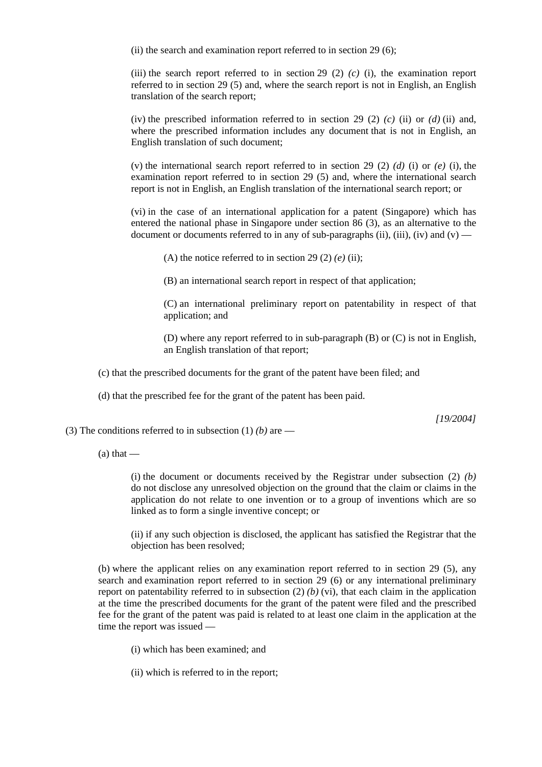(ii) the search and examination report referred to in section  $29(6)$ ;

(iii) the search report referred to in section 29 (2) *(c)* (i), the examination report referred to in section 29 (5) and, where the search report is not in English, an English translation of the search report;

(iv) the prescribed information referred to in section 29 (2)  $(c)$  (ii) or  $(d)$  (ii) and, where the prescribed information includes any document that is not in English, an English translation of such document;

(v) the international search report referred to in section 29 (2)  $(d)$  (i) or  $(e)$  (i), the examination report referred to in section 29 (5) and, where the international search report is not in English, an English translation of the international search report; or

(vi) in the case of an international application for a patent (Singapore) which has entered the national phase in Singapore under section 86 (3), as an alternative to the document or documents referred to in any of sub-paragraphs (ii), (iii), (iv) and (v) —

(A) the notice referred to in section 29 (2)  $(e)$  (ii);

(B) an international search report in respect of that application;

(C) an international preliminary report on patentability in respect of that application; and

(D) where any report referred to in sub-paragraph (B) or (C) is not in English, an English translation of that report;

- (c) that the prescribed documents for the grant of the patent have been filed; and
- (d) that the prescribed fee for the grant of the patent has been paid.

*[19/2004]* 

(3) The conditions referred to in subsection (1) *(b)* are —

 $(a)$  that —

(i) the document or documents received by the Registrar under subsection  $(2)$   $(b)$ do not disclose any unresolved objection on the ground that the claim or claims in the application do not relate to one invention or to a group of inventions which are so linked as to form a single inventive concept; or

(ii) if any such objection is disclosed, the applicant has satisfied the Registrar that the objection has been resolved;

(b) where the applicant relies on any examination report referred to in section 29 (5), any search and examination report referred to in section 29 (6) or any international preliminary report on patentability referred to in subsection  $(2)$  *(b)* (vi), that each claim in the application at the time the prescribed documents for the grant of the patent were filed and the prescribed fee for the grant of the patent was paid is related to at least one claim in the application at the time the report was issued —

(i) which has been examined; and

(ii) which is referred to in the report;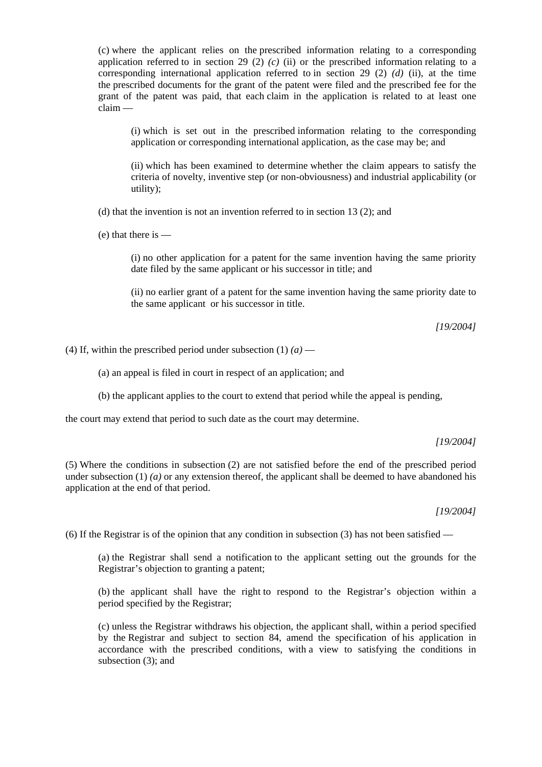(c) where the applicant relies on the prescribed information relating to a corresponding application referred to in section 29 (2) *(c)* (ii) or the prescribed information relating to a corresponding international application referred to in section 29 (2) *(d)* (ii), at the time the prescribed documents for the grant of the patent were filed and the prescribed fee for the grant of the patent was paid, that each claim in the application is related to at least one claim —

(i) which is set out in the prescribed information relating to the corresponding application or corresponding international application, as the case may be; and

(ii) which has been examined to determine whether the claim appears to satisfy the criteria of novelty, inventive step (or non-obviousness) and industrial applicability (or utility);

(d) that the invention is not an invention referred to in section 13 (2); and

 $(e)$  that there is —

(i) no other application for a patent for the same invention having the same priority date filed by the same applicant or his successor in title; and

(ii) no earlier grant of a patent for the same invention having the same priority date to the same applicant or his successor in title.

*[19/2004]* 

(4) If, within the prescribed period under subsection  $(1)$   $(a)$  —

(a) an appeal is filed in court in respect of an application; and

(b) the applicant applies to the court to extend that period while the appeal is pending,

the court may extend that period to such date as the court may determine.

*[19/2004]* 

(5) Where the conditions in subsection (2) are not satisfied before the end of the prescribed period under subsection  $(1)$  *(a)* or any extension thereof, the applicant shall be deemed to have abandoned his application at the end of that period.

*[19/2004]* 

(6) If the Registrar is of the opinion that any condition in subsection  $(3)$  has not been satisfied —

(a) the Registrar shall send a notification to the applicant setting out the grounds for the Registrar's objection to granting a patent;

(b) the applicant shall have the right to respond to the Registrar's objection within a period specified by the Registrar;

(c) unless the Registrar withdraws his objection, the applicant shall, within a period specified by the Registrar and subject to section 84, amend the specification of his application in accordance with the prescribed conditions, with a view to satisfying the conditions in subsection (3); and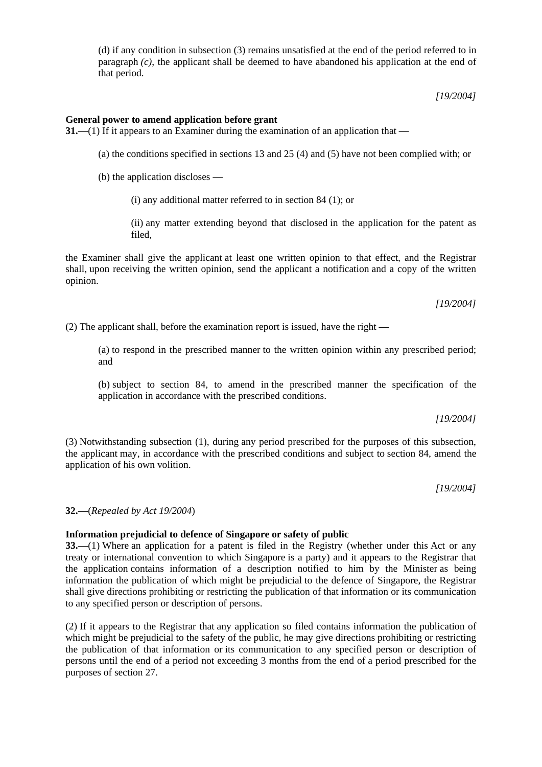(d) if any condition in subsection (3) remains unsatisfied at the end of the period referred to in paragraph  $(c)$ , the applicant shall be deemed to have abandoned his application at the end of that period.

*[19/2004]* 

#### **General power to amend application before grant**

**31.**—(1) If it appears to an Examiner during the examination of an application that —

- (a) the conditions specified in sections 13 and 25 (4) and (5) have not been complied with; or
- (b) the application discloses —

(i) any additional matter referred to in section 84 (1); or

(ii) any matter extending beyond that disclosed in the application for the patent as filed,

the Examiner shall give the applicant at least one written opinion to that effect, and the Registrar shall, upon receiving the written opinion, send the applicant a notification and a copy of the written opinion.

*[19/2004]* 

(2) The applicant shall, before the examination report is issued, have the right —

(a) to respond in the prescribed manner to the written opinion within any prescribed period; and

(b) subject to section 84, to amend in the prescribed manner the specification of the application in accordance with the prescribed conditions.

*[19/2004]* 

(3) Notwithstanding subsection (1), during any period prescribed for the purposes of this subsection, the applicant may, in accordance with the prescribed conditions and subject to section 84, amend the application of his own volition.

*[19/2004]* 

**32.**—(*Repealed by Act 19/2004*)

#### **Information prejudicial to defence of Singapore or safety of public**

**33.**—(1) Where an application for a patent is filed in the Registry (whether under this Act or any treaty or international convention to which Singapore is a party) and it appears to the Registrar that the application contains information of a description notified to him by the Minister as being information the publication of which might be prejudicial to the defence of Singapore, the Registrar shall give directions prohibiting or restricting the publication of that information or its communication to any specified person or description of persons.

(2) If it appears to the Registrar that any application so filed contains information the publication of which might be prejudicial to the safety of the public, he may give directions prohibiting or restricting the publication of that information or its communication to any specified person or description of persons until the end of a period not exceeding 3 months from the end of a period prescribed for the purposes of section 27.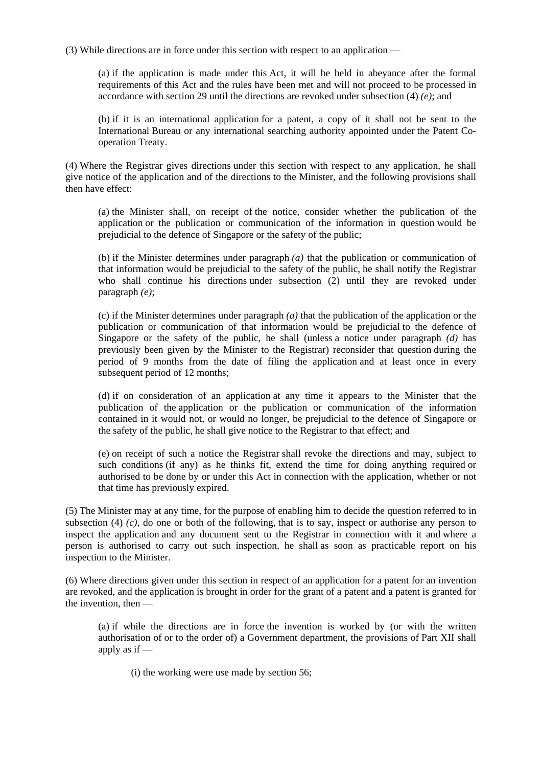(3) While directions are in force under this section with respect to an application —

(a) if the application is made under this Act, it will be held in abeyance after the formal requirements of this Act and the rules have been met and will not proceed to be processed in accordance with section 29 until the directions are revoked under subsection (4) *(e)*; and

(b) if it is an international application for a patent, a copy of it shall not be sent to the International Bureau or any international searching authority appointed under the Patent Cooperation Treaty.

(4) Where the Registrar gives directions under this section with respect to any application, he shall give notice of the application and of the directions to the Minister, and the following provisions shall then have effect:

(a) the Minister shall, on receipt of the notice, consider whether the publication of the application or the publication or communication of the information in question would be prejudicial to the defence of Singapore or the safety of the public;

(b) if the Minister determines under paragraph *(a)* that the publication or communication of that information would be prejudicial to the safety of the public, he shall notify the Registrar who shall continue his directions under subsection (2) until they are revoked under paragraph *(e)*;

(c) if the Minister determines under paragraph *(a)* that the publication of the application or the publication or communication of that information would be prejudicial to the defence of Singapore or the safety of the public, he shall (unless a notice under paragraph *(d)* has previously been given by the Minister to the Registrar) reconsider that question during the period of 9 months from the date of filing the application and at least once in every subsequent period of 12 months;

(d) if on consideration of an application at any time it appears to the Minister that the publication of the application or the publication or communication of the information contained in it would not, or would no longer, be prejudicial to the defence of Singapore or the safety of the public, he shall give notice to the Registrar to that effect; and

(e) on receipt of such a notice the Registrar shall revoke the directions and may, subject to such conditions (if any) as he thinks fit, extend the time for doing anything required or authorised to be done by or under this Act in connection with the application, whether or not that time has previously expired.

(5) The Minister may at any time, for the purpose of enabling him to decide the question referred to in subsection (4) *(c)*, do one or both of the following, that is to say, inspect or authorise any person to inspect the application and any document sent to the Registrar in connection with it and where a person is authorised to carry out such inspection, he shall as soon as practicable report on his inspection to the Minister.

(6) Where directions given under this section in respect of an application for a patent for an invention are revoked, and the application is brought in order for the grant of a patent and a patent is granted for the invention, then —

(a) if while the directions are in force the invention is worked by (or with the written authorisation of or to the order of) a Government department, the provisions of Part XII shall apply as if —

(i) the working were use made by section 56;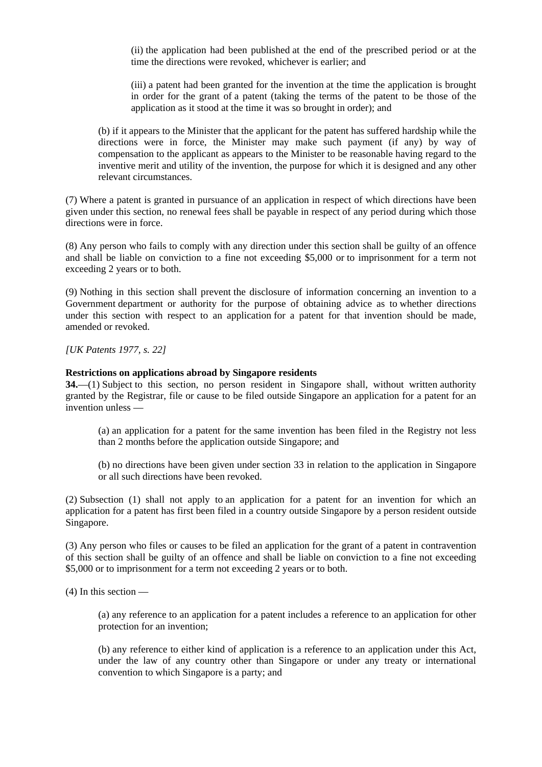(ii) the application had been published at the end of the prescribed period or at the time the directions were revoked, whichever is earlier; and

(iii) a patent had been granted for the invention at the time the application is brought in order for the grant of a patent (taking the terms of the patent to be those of the application as it stood at the time it was so brought in order); and

(b) if it appears to the Minister that the applicant for the patent has suffered hardship while the directions were in force, the Minister may make such payment (if any) by way of compensation to the applicant as appears to the Minister to be reasonable having regard to the inventive merit and utility of the invention, the purpose for which it is designed and any other relevant circumstances.

(7) Where a patent is granted in pursuance of an application in respect of which directions have been given under this section, no renewal fees shall be payable in respect of any period during which those directions were in force.

(8) Any person who fails to comply with any direction under this section shall be guilty of an offence and shall be liable on conviction to a fine not exceeding \$5,000 or to imprisonment for a term not exceeding 2 years or to both.

(9) Nothing in this section shall prevent the disclosure of information concerning an invention to a Government department or authority for the purpose of obtaining advice as to whether directions under this section with respect to an application for a patent for that invention should be made, amended or revoked.

*[UK Patents 1977, s. 22]* 

#### **Restrictions on applications abroad by Singapore residents**

**34.**—(1) Subject to this section, no person resident in Singapore shall, without written authority granted by the Registrar, file or cause to be filed outside Singapore an application for a patent for an invention unless —

(a) an application for a patent for the same invention has been filed in the Registry not less than 2 months before the application outside Singapore; and

(b) no directions have been given under section 33 in relation to the application in Singapore or all such directions have been revoked.

(2) Subsection (1) shall not apply to an application for a patent for an invention for which an application for a patent has first been filed in a country outside Singapore by a person resident outside Singapore.

(3) Any person who files or causes to be filed an application for the grant of a patent in contravention of this section shall be guilty of an offence and shall be liable on conviction to a fine not exceeding \$5,000 or to imprisonment for a term not exceeding 2 years or to both.

(4) In this section —

(a) any reference to an application for a patent includes a reference to an application for other protection for an invention;

(b) any reference to either kind of application is a reference to an application under this Act, under the law of any country other than Singapore or under any treaty or international convention to which Singapore is a party; and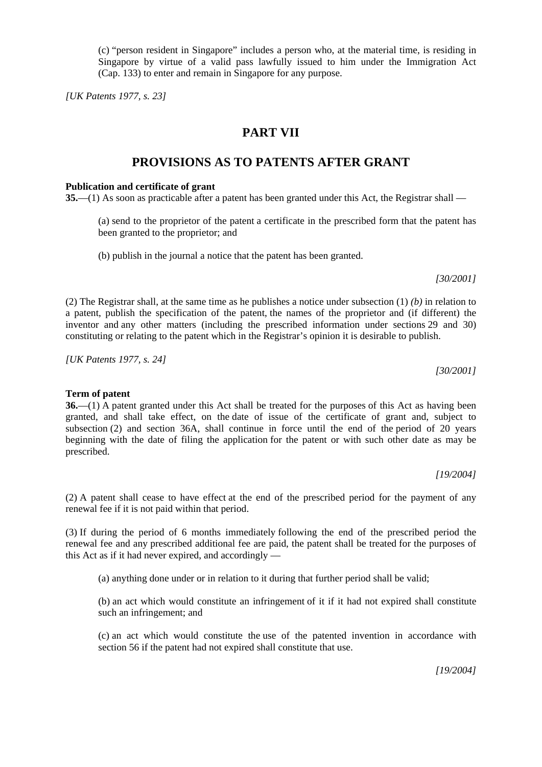(c) "person resident in Singapore" includes a person who, at the material time, is residing in Singapore by virtue of a valid pass lawfully issued to him under the Immigration Act (Cap. 133) to enter and remain in Singapore for any purpose.

*[UK Patents 1977, s. 23]* 

# **PART VII**

## **PROVISIONS AS TO PATENTS AFTER GRANT**

#### **Publication and certificate of grant**

**35.**—(1) As soon as practicable after a patent has been granted under this Act, the Registrar shall —

(a) send to the proprietor of the patent a certificate in the prescribed form that the patent has been granted to the proprietor; and

(b) publish in the journal a notice that the patent has been granted.

*[30/2001]* 

*[30/2001]* 

(2) The Registrar shall, at the same time as he publishes a notice under subsection (1) *(b)* in relation to a patent, publish the specification of the patent, the names of the proprietor and (if different) the inventor and any other matters (including the prescribed information under sections 29 and 30) constituting or relating to the patent which in the Registrar's opinion it is desirable to publish.

*[UK Patents 1977, s. 24]* 

#### **Term of patent**

**36.**—(1) A patent granted under this Act shall be treated for the purposes of this Act as having been granted, and shall take effect, on the date of issue of the certificate of grant and, subject to subsection (2) and section 36A, shall continue in force until the end of the period of 20 years beginning with the date of filing the application for the patent or with such other date as may be prescribed.

*[19/2004]* 

(2) A patent shall cease to have effect at the end of the prescribed period for the payment of any renewal fee if it is not paid within that period.

(3) If during the period of 6 months immediately following the end of the prescribed period the renewal fee and any prescribed additional fee are paid, the patent shall be treated for the purposes of this Act as if it had never expired, and accordingly —

(a) anything done under or in relation to it during that further period shall be valid;

(b) an act which would constitute an infringement of it if it had not expired shall constitute such an infringement; and

(c) an act which would constitute the use of the patented invention in accordance with section 56 if the patent had not expired shall constitute that use.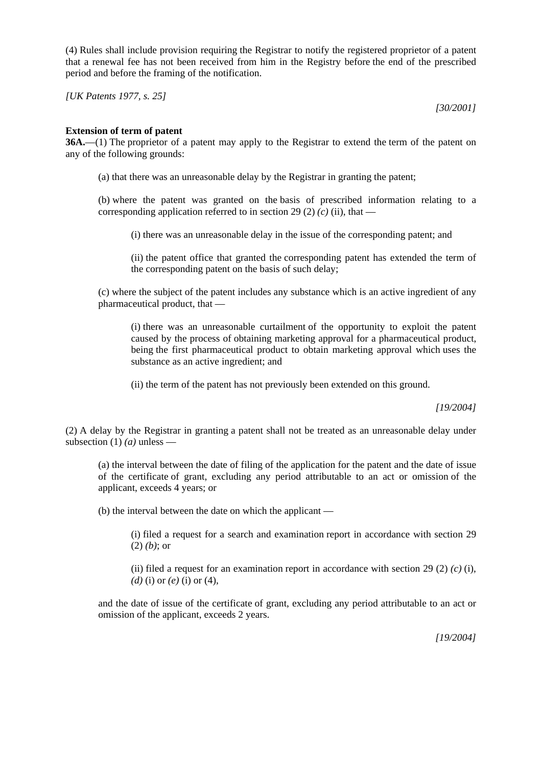(4) Rules shall include provision requiring the Registrar to notify the registered proprietor of a patent that a renewal fee has not been received from him in the Registry before the end of the prescribed period and before the framing of the notification.

*[UK Patents 1977, s. 25]* 

*[30/2001]* 

### **Extension of term of patent**

**36A.**—(1) The proprietor of a patent may apply to the Registrar to extend the term of the patent on any of the following grounds:

(a) that there was an unreasonable delay by the Registrar in granting the patent;

(b) where the patent was granted on the basis of prescribed information relating to a corresponding application referred to in section 29 (2)  $(c)$  (ii), that —

(i) there was an unreasonable delay in the issue of the corresponding patent; and

(ii) the patent office that granted the corresponding patent has extended the term of the corresponding patent on the basis of such delay;

(c) where the subject of the patent includes any substance which is an active ingredient of any pharmaceutical product, that —

(i) there was an unreasonable curtailment of the opportunity to exploit the patent caused by the process of obtaining marketing approval for a pharmaceutical product, being the first pharmaceutical product to obtain marketing approval which uses the substance as an active ingredient; and

(ii) the term of the patent has not previously been extended on this ground.

*[19/2004]* 

(2) A delay by the Registrar in granting a patent shall not be treated as an unreasonable delay under subsection  $(1)$   $(a)$  unless —

(a) the interval between the date of filing of the application for the patent and the date of issue of the certificate of grant, excluding any period attributable to an act or omission of the applicant, exceeds 4 years; or

(b) the interval between the date on which the applicant —

(i) filed a request for a search and examination report in accordance with section 29 (2) *(b)*; or

(ii) filed a request for an examination report in accordance with section 29 (2) *(c)* (i), *(d)* (i) or *(e)* (i) or (4),

and the date of issue of the certificate of grant, excluding any period attributable to an act or omission of the applicant, exceeds 2 years.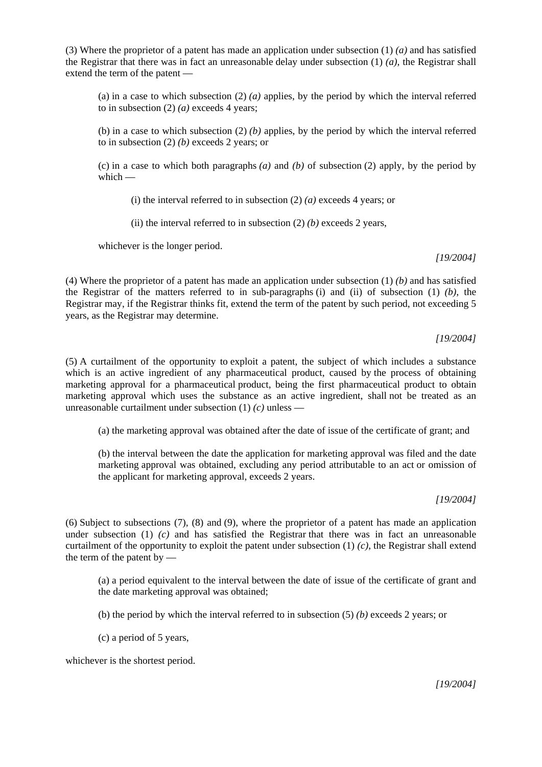(3) Where the proprietor of a patent has made an application under subsection (1) *(a)* and has satisfied the Registrar that there was in fact an unreasonable delay under subsection (1) *(a)*, the Registrar shall extend the term of the patent —

(a) in a case to which subsection  $(2)$  *(a)* applies, by the period by which the interval referred to in subsection  $(2)$   $(a)$  exceeds 4 years;

(b) in a case to which subsection (2) *(b)* applies, by the period by which the interval referred to in subsection (2) *(b)* exceeds 2 years; or

(c) in a case to which both paragraphs *(a)* and *(b)* of subsection (2) apply, by the period by which —

(i) the interval referred to in subsection (2) *(a)* exceeds 4 years; or

(ii) the interval referred to in subsection  $(2)$  *(b)* exceeds 2 years,

whichever is the longer period.

*[19/2004]* 

(4) Where the proprietor of a patent has made an application under subsection (1) *(b)* and has satisfied the Registrar of the matters referred to in sub-paragraphs (i) and (ii) of subsection (1) *(b)*, the Registrar may, if the Registrar thinks fit, extend the term of the patent by such period, not exceeding 5 years, as the Registrar may determine.

*[19/2004]* 

(5) A curtailment of the opportunity to exploit a patent, the subject of which includes a substance which is an active ingredient of any pharmaceutical product, caused by the process of obtaining marketing approval for a pharmaceutical product, being the first pharmaceutical product to obtain marketing approval which uses the substance as an active ingredient, shall not be treated as an unreasonable curtailment under subsection (1) *(c)* unless —

(a) the marketing approval was obtained after the date of issue of the certificate of grant; and

(b) the interval between the date the application for marketing approval was filed and the date marketing approval was obtained, excluding any period attributable to an act or omission of the applicant for marketing approval, exceeds 2 years.

*[19/2004]* 

(6) Subject to subsections (7), (8) and (9), where the proprietor of a patent has made an application under subsection (1) *(c)* and has satisfied the Registrar that there was in fact an unreasonable curtailment of the opportunity to exploit the patent under subsection (1) *(c)*, the Registrar shall extend the term of the patent by —

(a) a period equivalent to the interval between the date of issue of the certificate of grant and the date marketing approval was obtained;

(b) the period by which the interval referred to in subsection (5) *(b)* exceeds 2 years; or

(c) a period of 5 years,

whichever is the shortest period.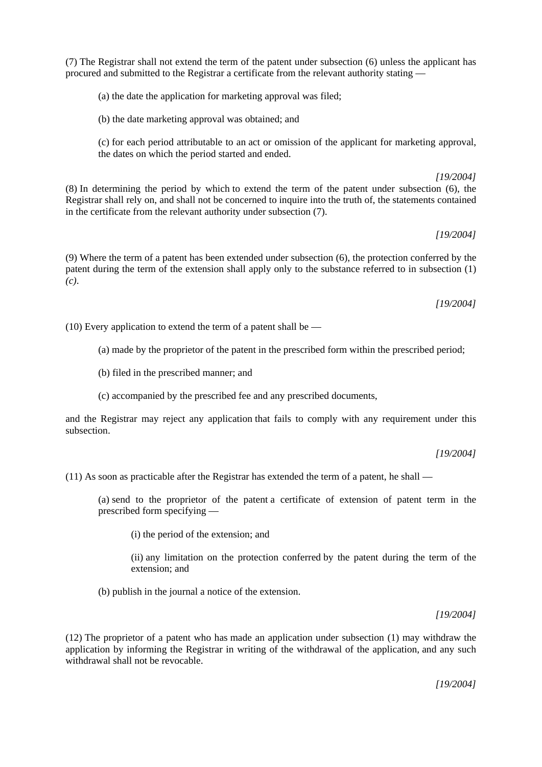(7) The Registrar shall not extend the term of the patent under subsection (6) unless the applicant has procured and submitted to the Registrar a certificate from the relevant authority stating —

(a) the date the application for marketing approval was filed;

(b) the date marketing approval was obtained; and

(c) for each period attributable to an act or omission of the applicant for marketing approval, the dates on which the period started and ended.

*[19/2004]*  (8) In determining the period by which to extend the term of the patent under subsection (6), the Registrar shall rely on, and shall not be concerned to inquire into the truth of, the statements contained in the certificate from the relevant authority under subsection (7).

*[19/2004]* 

(9) Where the term of a patent has been extended under subsection (6), the protection conferred by the patent during the term of the extension shall apply only to the substance referred to in subsection (1) *(c)*.

*[19/2004]* 

(10) Every application to extend the term of a patent shall be —

(a) made by the proprietor of the patent in the prescribed form within the prescribed period;

- (b) filed in the prescribed manner; and
- (c) accompanied by the prescribed fee and any prescribed documents,

and the Registrar may reject any application that fails to comply with any requirement under this subsection.

*[19/2004]* 

(11) As soon as practicable after the Registrar has extended the term of a patent, he shall —

(a) send to the proprietor of the patent a certificate of extension of patent term in the prescribed form specifying —

(i) the period of the extension; and

(ii) any limitation on the protection conferred by the patent during the term of the extension; and

(b) publish in the journal a notice of the extension.

*[19/2004]* 

(12) The proprietor of a patent who has made an application under subsection (1) may withdraw the application by informing the Registrar in writing of the withdrawal of the application, and any such withdrawal shall not be revocable.

*[19/2004]*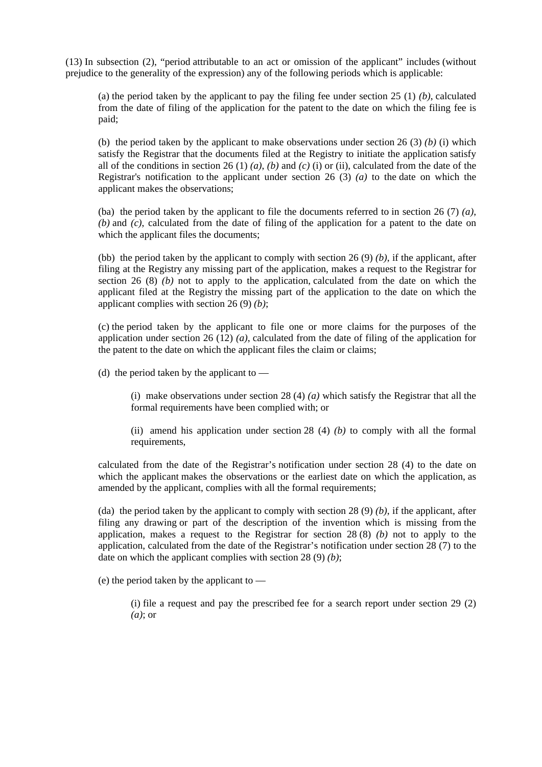(13) In subsection (2), "period attributable to an act or omission of the applicant" includes (without prejudice to the generality of the expression) any of the following periods which is applicable:

(a) the period taken by the applicant to pay the filing fee under section 25 (1) *(b)*, calculated from the date of filing of the application for the patent to the date on which the filing fee is paid;

(b) the period taken by the applicant to make observations under section 26 (3) *(b)* (i) which satisfy the Registrar that the documents filed at the Registry to initiate the application satisfy all of the conditions in section 26 (1)  $(a)$ ,  $(b)$  and  $(c)$  (i) or (ii), calculated from the date of the Registrar's notification to the applicant under section 26 (3) *(a)* to the date on which the applicant makes the observations;

(ba) the period taken by the applicant to file the documents referred to in section 26 (7) *(a)*, *(b)* and *(c)*, calculated from the date of filing of the application for a patent to the date on which the applicant files the documents;

(bb) the period taken by the applicant to comply with section 26 (9) *(b)*, if the applicant, after filing at the Registry any missing part of the application, makes a request to the Registrar for section 26  $(8)$  *(b)* not to apply to the application, calculated from the date on which the applicant filed at the Registry the missing part of the application to the date on which the applicant complies with section 26 (9) *(b)*;

(c) the period taken by the applicant to file one or more claims for the purposes of the application under section 26 (12) *(a)*, calculated from the date of filing of the application for the patent to the date on which the applicant files the claim or claims;

(d) the period taken by the applicant to —

(i) make observations under section 28 (4) *(a)* which satisfy the Registrar that all the formal requirements have been complied with; or

(ii) amend his application under section 28 (4) *(b)* to comply with all the formal requirements,

calculated from the date of the Registrar's notification under section 28 (4) to the date on which the applicant makes the observations or the earliest date on which the application, as amended by the applicant, complies with all the formal requirements;

(da) the period taken by the applicant to comply with section 28 (9) *(b)*, if the applicant, after filing any drawing or part of the description of the invention which is missing from the application, makes a request to the Registrar for section 28 (8) *(b)* not to apply to the application, calculated from the date of the Registrar's notification under section 28 (7) to the date on which the applicant complies with section 28 (9) *(b)*;

(e) the period taken by the applicant to —

(i) file a request and pay the prescribed fee for a search report under section 29 (2) *(a)*; or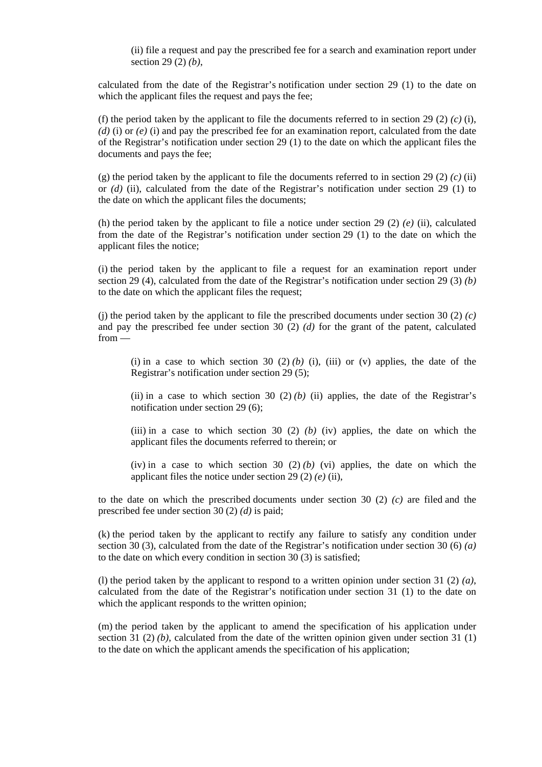(ii) file a request and pay the prescribed fee for a search and examination report under section 29 (2) *(b)*,

calculated from the date of the Registrar's notification under section 29 (1) to the date on which the applicant files the request and pays the fee;

(f) the period taken by the applicant to file the documents referred to in section 29 (2)  $(c)$  (i), *(d)* (i) or *(e)* (i) and pay the prescribed fee for an examination report, calculated from the date of the Registrar's notification under section 29 (1) to the date on which the applicant files the documents and pays the fee;

(g) the period taken by the applicant to file the documents referred to in section 29 (2) *(c)* (ii) or *(d)* (ii), calculated from the date of the Registrar's notification under section 29 (1) to the date on which the applicant files the documents;

(h) the period taken by the applicant to file a notice under section 29 (2) *(e)* (ii), calculated from the date of the Registrar's notification under section 29 (1) to the date on which the applicant files the notice;

(i) the period taken by the applicant to file a request for an examination report under section 29 (4), calculated from the date of the Registrar's notification under section 29 (3) *(b)* to the date on which the applicant files the request;

(i) the period taken by the applicant to file the prescribed documents under section 30  $(2)$   $(c)$ and pay the prescribed fee under section 30 (2) *(d)* for the grant of the patent, calculated from —

(i) in a case to which section 30 (2)  $(b)$  (i), (iii) or (v) applies, the date of the Registrar's notification under section 29 (5);

(ii) in a case to which section 30 (2) *(b)* (ii) applies, the date of the Registrar's notification under section 29 (6);

(iii) in a case to which section 30 (2)  $(b)$  (iv) applies, the date on which the applicant files the documents referred to therein; or

(iv) in a case to which section 30 (2)  $(b)$  (vi) applies, the date on which the applicant files the notice under section 29 (2) *(e)* (ii),

to the date on which the prescribed documents under section 30 (2) *(c)* are filed and the prescribed fee under section 30 (2) *(d)* is paid;

(k) the period taken by the applicant to rectify any failure to satisfy any condition under section 30 (3), calculated from the date of the Registrar's notification under section 30 (6) *(a)*  to the date on which every condition in section 30 (3) is satisfied;

(l) the period taken by the applicant to respond to a written opinion under section 31 (2) *(a)*, calculated from the date of the Registrar's notification under section 31 (1) to the date on which the applicant responds to the written opinion;

(m) the period taken by the applicant to amend the specification of his application under section 31 (2) *(b)*, calculated from the date of the written opinion given under section 31 (1) to the date on which the applicant amends the specification of his application;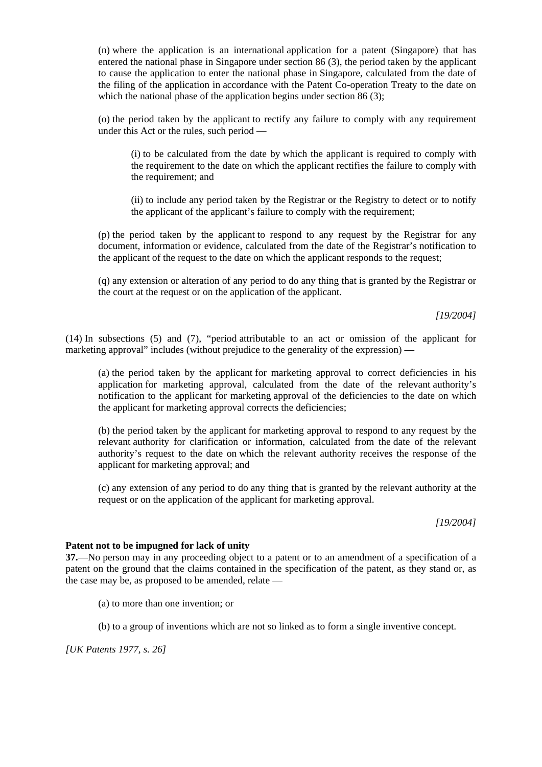(n) where the application is an international application for a patent (Singapore) that has entered the national phase in Singapore under section 86 (3), the period taken by the applicant to cause the application to enter the national phase in Singapore, calculated from the date of the filing of the application in accordance with the Patent Co-operation Treaty to the date on which the national phase of the application begins under section 86 (3);

(o) the period taken by the applicant to rectify any failure to comply with any requirement under this Act or the rules, such period —

(i) to be calculated from the date by which the applicant is required to comply with the requirement to the date on which the applicant rectifies the failure to comply with the requirement; and

(ii) to include any period taken by the Registrar or the Registry to detect or to notify the applicant of the applicant's failure to comply with the requirement;

(p) the period taken by the applicant to respond to any request by the Registrar for any document, information or evidence, calculated from the date of the Registrar's notification to the applicant of the request to the date on which the applicant responds to the request;

(q) any extension or alteration of any period to do any thing that is granted by the Registrar or the court at the request or on the application of the applicant.

*[19/2004]* 

(14) In subsections (5) and (7), "period attributable to an act or omission of the applicant for marketing approval" includes (without prejudice to the generality of the expression) —

(a) the period taken by the applicant for marketing approval to correct deficiencies in his application for marketing approval, calculated from the date of the relevant authority's notification to the applicant for marketing approval of the deficiencies to the date on which the applicant for marketing approval corrects the deficiencies;

(b) the period taken by the applicant for marketing approval to respond to any request by the relevant authority for clarification or information, calculated from the date of the relevant authority's request to the date on which the relevant authority receives the response of the applicant for marketing approval; and

(c) any extension of any period to do any thing that is granted by the relevant authority at the request or on the application of the applicant for marketing approval.

*[19/2004]* 

### **Patent not to be impugned for lack of unity**

**37.**—No person may in any proceeding object to a patent or to an amendment of a specification of a patent on the ground that the claims contained in the specification of the patent, as they stand or, as the case may be, as proposed to be amended, relate —

(a) to more than one invention; or

(b) to a group of inventions which are not so linked as to form a single inventive concept.

*[UK Patents 1977, s. 26]*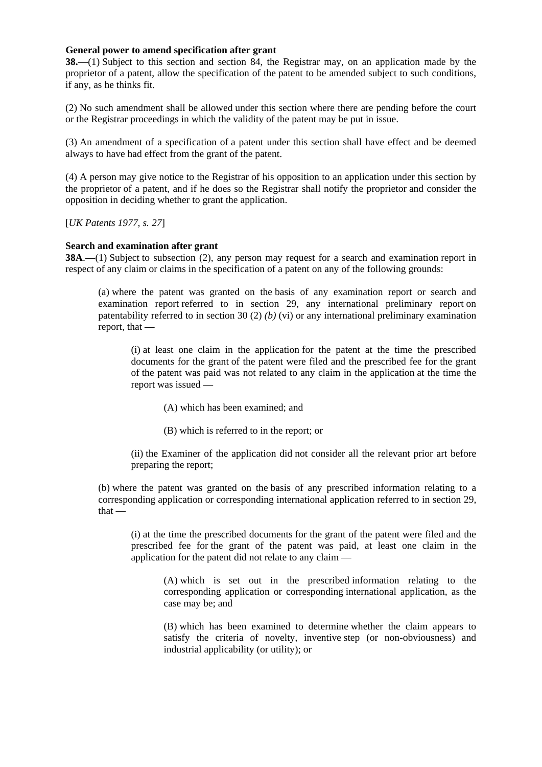### **General power to amend specification after grant**

**38.**—(1) Subject to this section and section 84, the Registrar may, on an application made by the proprietor of a patent, allow the specification of the patent to be amended subject to such conditions, if any, as he thinks fit.

(2) No such amendment shall be allowed under this section where there are pending before the court or the Registrar proceedings in which the validity of the patent may be put in issue.

(3) An amendment of a specification of a patent under this section shall have effect and be deemed always to have had effect from the grant of the patent.

(4) A person may give notice to the Registrar of his opposition to an application under this section by the proprietor of a patent, and if he does so the Registrar shall notify the proprietor and consider the opposition in deciding whether to grant the application.

[*UK Patents 1977, s. 27*]

### **Search and examination after grant**

**38A**.—(1) Subject to subsection (2), any person may request for a search and examination report in respect of any claim or claims in the specification of a patent on any of the following grounds:

(a) where the patent was granted on the basis of any examination report or search and examination report referred to in section 29, any international preliminary report on patentability referred to in section 30 (2) *(b)* (vi) or any international preliminary examination report, that —

(i) at least one claim in the application for the patent at the time the prescribed documents for the grant of the patent were filed and the prescribed fee for the grant of the patent was paid was not related to any claim in the application at the time the report was issued —

(A) which has been examined; and

(B) which is referred to in the report; or

(ii) the Examiner of the application did not consider all the relevant prior art before preparing the report;

(b) where the patent was granted on the basis of any prescribed information relating to a corresponding application or corresponding international application referred to in section 29, that —

(i) at the time the prescribed documents for the grant of the patent were filed and the prescribed fee for the grant of the patent was paid, at least one claim in the application for the patent did not relate to any claim —

(A) which is set out in the prescribed information relating to the corresponding application or corresponding international application, as the case may be; and

(B) which has been examined to determine whether the claim appears to satisfy the criteria of novelty, inventive step (or non-obviousness) and industrial applicability (or utility); or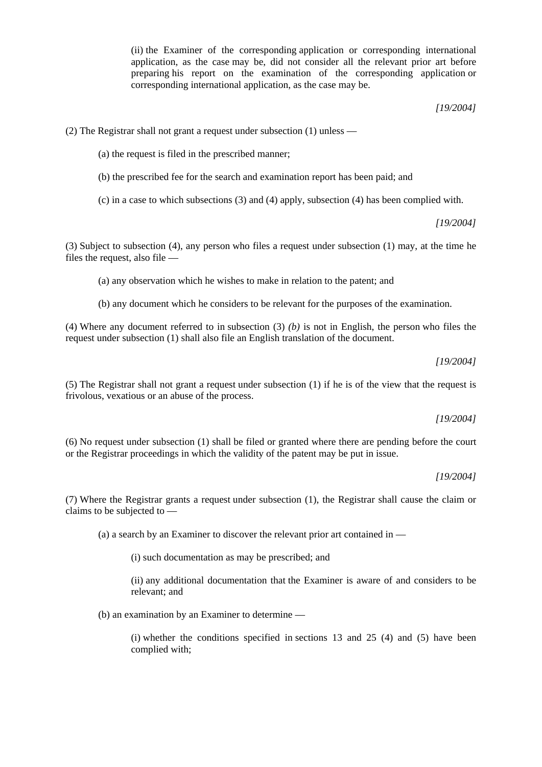(ii) the Examiner of the corresponding application or corresponding international application, as the case may be, did not consider all the relevant prior art before preparing his report on the examination of the corresponding application or corresponding international application, as the case may be.

*[19/2004]* 

(2) The Registrar shall not grant a request under subsection (1) unless —

- (a) the request is filed in the prescribed manner;
- (b) the prescribed fee for the search and examination report has been paid; and
- (c) in a case to which subsections (3) and (4) apply, subsection (4) has been complied with.

*[19/2004]* 

(3) Subject to subsection (4), any person who files a request under subsection (1) may, at the time he files the request, also file —

- (a) any observation which he wishes to make in relation to the patent; and
- (b) any document which he considers to be relevant for the purposes of the examination.

(4) Where any document referred to in subsection (3) *(b)* is not in English, the person who files the request under subsection (1) shall also file an English translation of the document.

*[19/2004]* 

(5) The Registrar shall not grant a request under subsection (1) if he is of the view that the request is frivolous, vexatious or an abuse of the process.

#### *[19/2004]*

(6) No request under subsection (1) shall be filed or granted where there are pending before the court or the Registrar proceedings in which the validity of the patent may be put in issue.

*[19/2004]* 

(7) Where the Registrar grants a request under subsection (1), the Registrar shall cause the claim or claims to be subjected to —

(a) a search by an Examiner to discover the relevant prior art contained in —

(i) such documentation as may be prescribed; and

(ii) any additional documentation that the Examiner is aware of and considers to be relevant; and

(b) an examination by an Examiner to determine —

(i) whether the conditions specified in sections 13 and 25 (4) and (5) have been complied with;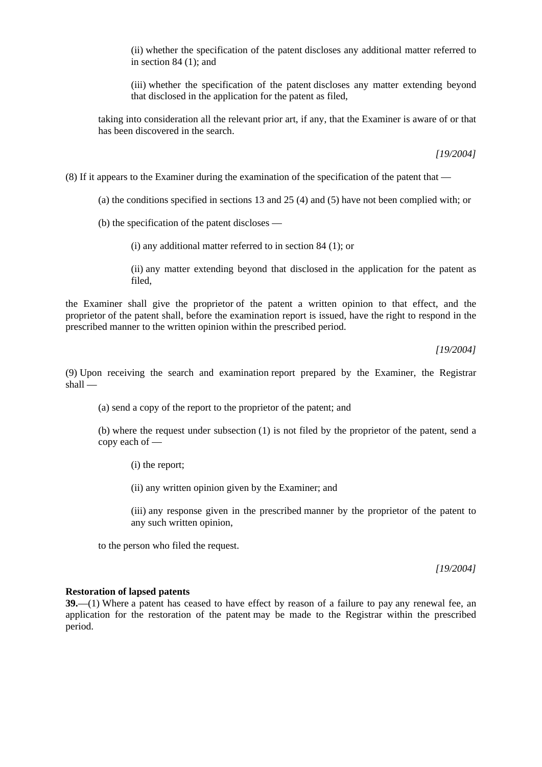(ii) whether the specification of the patent discloses any additional matter referred to in section 84 (1); and

(iii) whether the specification of the patent discloses any matter extending beyond that disclosed in the application for the patent as filed,

taking into consideration all the relevant prior art, if any, that the Examiner is aware of or that has been discovered in the search.

*[19/2004]* 

(8) If it appears to the Examiner during the examination of the specification of the patent that —

- (a) the conditions specified in sections 13 and 25 (4) and (5) have not been complied with; or
- (b) the specification of the patent discloses —

(i) any additional matter referred to in section 84 (1); or

(ii) any matter extending beyond that disclosed in the application for the patent as filed,

the Examiner shall give the proprietor of the patent a written opinion to that effect, and the proprietor of the patent shall, before the examination report is issued, have the right to respond in the prescribed manner to the written opinion within the prescribed period.

*[19/2004]* 

(9) Upon receiving the search and examination report prepared by the Examiner, the Registrar shall —

(a) send a copy of the report to the proprietor of the patent; and

(b) where the request under subsection (1) is not filed by the proprietor of the patent, send a copy each of —

(i) the report;

(ii) any written opinion given by the Examiner; and

(iii) any response given in the prescribed manner by the proprietor of the patent to any such written opinion,

to the person who filed the request.

*[19/2004]* 

#### **Restoration of lapsed patents**

**39.**—(1) Where a patent has ceased to have effect by reason of a failure to pay any renewal fee, an application for the restoration of the patent may be made to the Registrar within the prescribed period.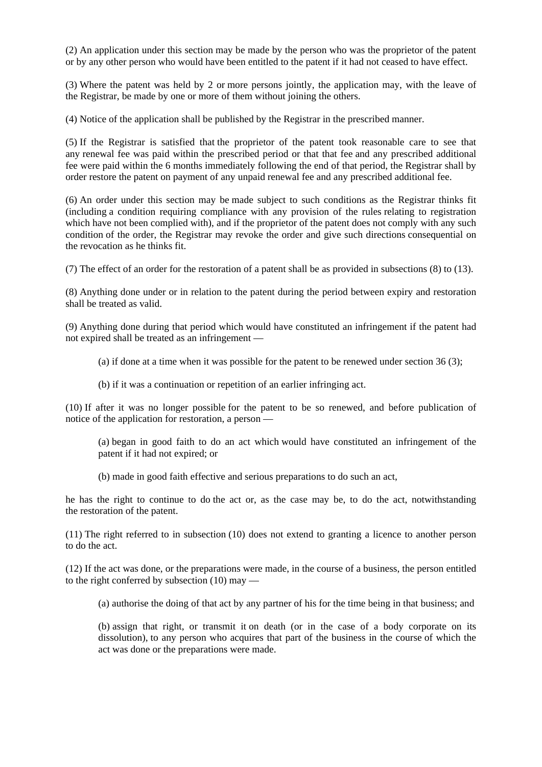(2) An application under this section may be made by the person who was the proprietor of the patent or by any other person who would have been entitled to the patent if it had not ceased to have effect.

(3) Where the patent was held by 2 or more persons jointly, the application may, with the leave of the Registrar, be made by one or more of them without joining the others.

(4) Notice of the application shall be published by the Registrar in the prescribed manner.

(5) If the Registrar is satisfied that the proprietor of the patent took reasonable care to see that any renewal fee was paid within the prescribed period or that that fee and any prescribed additional fee were paid within the 6 months immediately following the end of that period, the Registrar shall by order restore the patent on payment of any unpaid renewal fee and any prescribed additional fee.

(6) An order under this section may be made subject to such conditions as the Registrar thinks fit (including a condition requiring compliance with any provision of the rules relating to registration which have not been complied with), and if the proprietor of the patent does not comply with any such condition of the order, the Registrar may revoke the order and give such directions consequential on the revocation as he thinks fit.

(7) The effect of an order for the restoration of a patent shall be as provided in subsections (8) to (13).

(8) Anything done under or in relation to the patent during the period between expiry and restoration shall be treated as valid.

(9) Anything done during that period which would have constituted an infringement if the patent had not expired shall be treated as an infringement —

(a) if done at a time when it was possible for the patent to be renewed under section 36 (3);

(b) if it was a continuation or repetition of an earlier infringing act.

(10) If after it was no longer possible for the patent to be so renewed, and before publication of notice of the application for restoration, a person —

(a) began in good faith to do an act which would have constituted an infringement of the patent if it had not expired; or

(b) made in good faith effective and serious preparations to do such an act,

he has the right to continue to do the act or, as the case may be, to do the act, notwithstanding the restoration of the patent.

(11) The right referred to in subsection (10) does not extend to granting a licence to another person to do the act.

(12) If the act was done, or the preparations were made, in the course of a business, the person entitled to the right conferred by subsection (10) may —

(a) authorise the doing of that act by any partner of his for the time being in that business; and

(b) assign that right, or transmit it on death (or in the case of a body corporate on its dissolution), to any person who acquires that part of the business in the course of which the act was done or the preparations were made.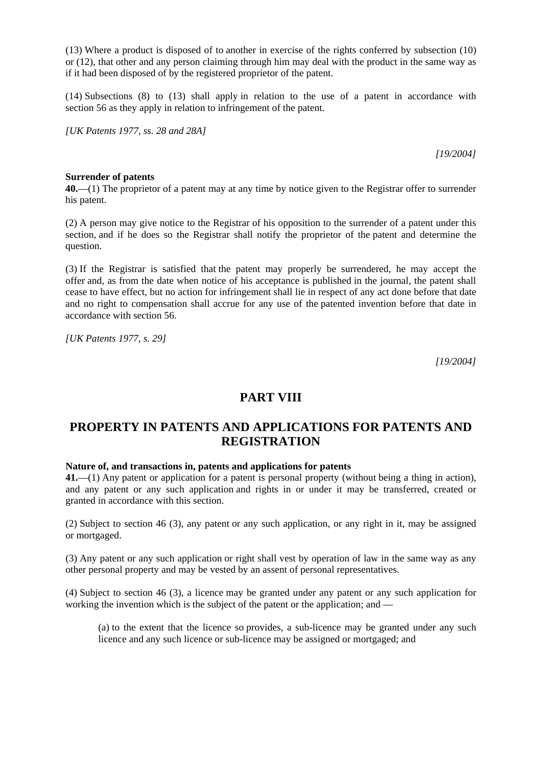(13) Where a product is disposed of to another in exercise of the rights conferred by subsection (10) or (12), that other and any person claiming through him may deal with the product in the same way as if it had been disposed of by the registered proprietor of the patent.

(14) Subsections (8) to (13) shall apply in relation to the use of a patent in accordance with section 56 as they apply in relation to infringement of the patent.

*[UK Patents 1977, ss. 28 and 28A]* 

## **Surrender of patents**

**40.**—(1) The proprietor of a patent may at any time by notice given to the Registrar offer to surrender his patent.

(2) A person may give notice to the Registrar of his opposition to the surrender of a patent under this section, and if he does so the Registrar shall notify the proprietor of the patent and determine the question.

(3) If the Registrar is satisfied that the patent may properly be surrendered, he may accept the offer and, as from the date when notice of his acceptance is published in the journal, the patent shall cease to have effect, but no action for infringement shall lie in respect of any act done before that date and no right to compensation shall accrue for any use of the patented invention before that date in accordance with section 56.

*[UK Patents 1977, s. 29]* 

*[19/2004]* 

## **PART VIII**

# **PROPERTY IN PATENTS AND APPLICATIONS FOR PATENTS AND REGISTRATION**

## **Nature of, and transactions in, patents and applications for patents**

**41.**—(1) Any patent or application for a patent is personal property (without being a thing in action), and any patent or any such application and rights in or under it may be transferred, created or granted in accordance with this section.

(2) Subject to section 46 (3), any patent or any such application, or any right in it, may be assigned or mortgaged.

(3) Any patent or any such application or right shall vest by operation of law in the same way as any other personal property and may be vested by an assent of personal representatives.

(4) Subject to section 46 (3), a licence may be granted under any patent or any such application for working the invention which is the subject of the patent or the application; and —

(a) to the extent that the licence so provides, a sub-licence may be granted under any such licence and any such licence or sub-licence may be assigned or mortgaged; and

*[19/2004]*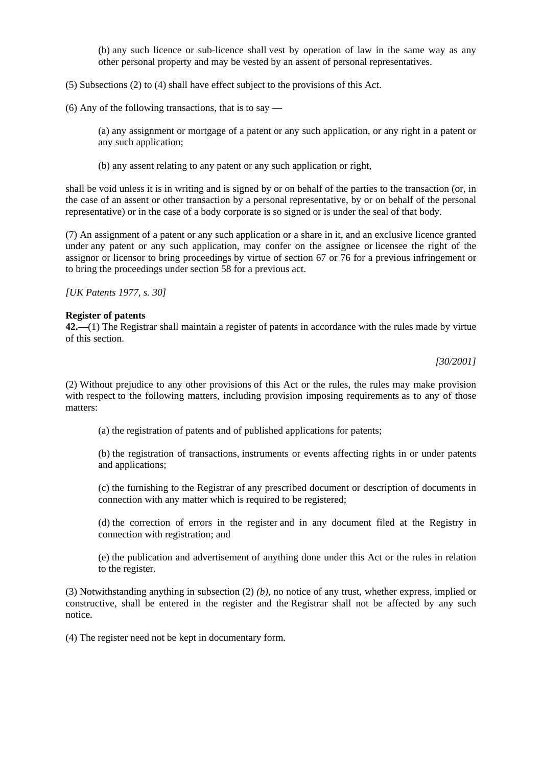(b) any such licence or sub-licence shall vest by operation of law in the same way as any other personal property and may be vested by an assent of personal representatives.

(5) Subsections (2) to (4) shall have effect subject to the provisions of this Act.

(6) Any of the following transactions, that is to say —

(a) any assignment or mortgage of a patent or any such application, or any right in a patent or any such application;

(b) any assent relating to any patent or any such application or right,

shall be void unless it is in writing and is signed by or on behalf of the parties to the transaction (or, in the case of an assent or other transaction by a personal representative, by or on behalf of the personal representative) or in the case of a body corporate is so signed or is under the seal of that body.

(7) An assignment of a patent or any such application or a share in it, and an exclusive licence granted under any patent or any such application, may confer on the assignee or licensee the right of the assignor or licensor to bring proceedings by virtue of section 67 or 76 for a previous infringement or to bring the proceedings under section 58 for a previous act.

*[UK Patents 1977, s. 30]* 

### **Register of patents**

**42.**—(1) The Registrar shall maintain a register of patents in accordance with the rules made by virtue of this section.

*[30/2001]* 

(2) Without prejudice to any other provisions of this Act or the rules, the rules may make provision with respect to the following matters, including provision imposing requirements as to any of those matters:

(a) the registration of patents and of published applications for patents;

(b) the registration of transactions, instruments or events affecting rights in or under patents and applications;

(c) the furnishing to the Registrar of any prescribed document or description of documents in connection with any matter which is required to be registered;

(d) the correction of errors in the register and in any document filed at the Registry in connection with registration; and

(e) the publication and advertisement of anything done under this Act or the rules in relation to the register.

(3) Notwithstanding anything in subsection (2) *(b)*, no notice of any trust, whether express, implied or constructive, shall be entered in the register and the Registrar shall not be affected by any such notice.

(4) The register need not be kept in documentary form.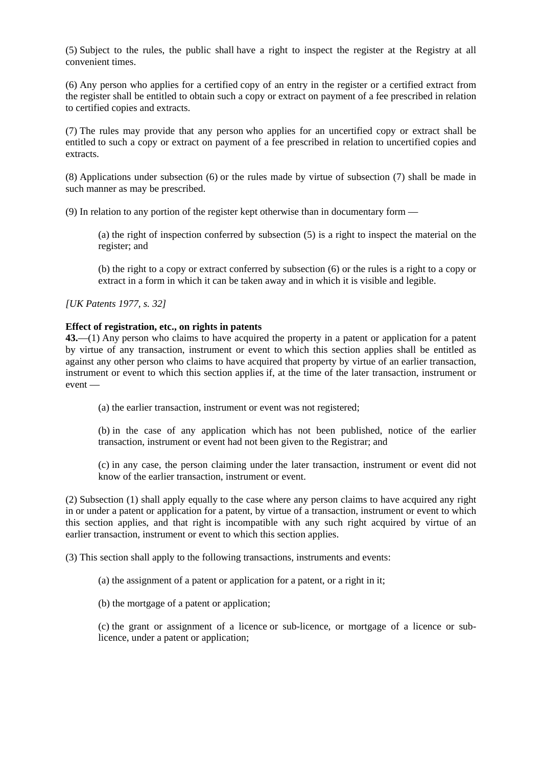(5) Subject to the rules, the public shall have a right to inspect the register at the Registry at all convenient times.

(6) Any person who applies for a certified copy of an entry in the register or a certified extract from the register shall be entitled to obtain such a copy or extract on payment of a fee prescribed in relation to certified copies and extracts.

(7) The rules may provide that any person who applies for an uncertified copy or extract shall be entitled to such a copy or extract on payment of a fee prescribed in relation to uncertified copies and extracts.

(8) Applications under subsection (6) or the rules made by virtue of subsection (7) shall be made in such manner as may be prescribed.

(9) In relation to any portion of the register kept otherwise than in documentary form —

(a) the right of inspection conferred by subsection (5) is a right to inspect the material on the register; and

(b) the right to a copy or extract conferred by subsection (6) or the rules is a right to a copy or extract in a form in which it can be taken away and in which it is visible and legible.

*[UK Patents 1977, s. 32]* 

### **Effect of registration, etc., on rights in patents**

**43.**—(1) Any person who claims to have acquired the property in a patent or application for a patent by virtue of any transaction, instrument or event to which this section applies shall be entitled as against any other person who claims to have acquired that property by virtue of an earlier transaction, instrument or event to which this section applies if, at the time of the later transaction, instrument or event —

(a) the earlier transaction, instrument or event was not registered;

(b) in the case of any application which has not been published, notice of the earlier transaction, instrument or event had not been given to the Registrar; and

(c) in any case, the person claiming under the later transaction, instrument or event did not know of the earlier transaction, instrument or event.

(2) Subsection (1) shall apply equally to the case where any person claims to have acquired any right in or under a patent or application for a patent, by virtue of a transaction, instrument or event to which this section applies, and that right is incompatible with any such right acquired by virtue of an earlier transaction, instrument or event to which this section applies.

(3) This section shall apply to the following transactions, instruments and events:

(a) the assignment of a patent or application for a patent, or a right in it;

(b) the mortgage of a patent or application;

(c) the grant or assignment of a licence or sub-licence, or mortgage of a licence or sublicence, under a patent or application;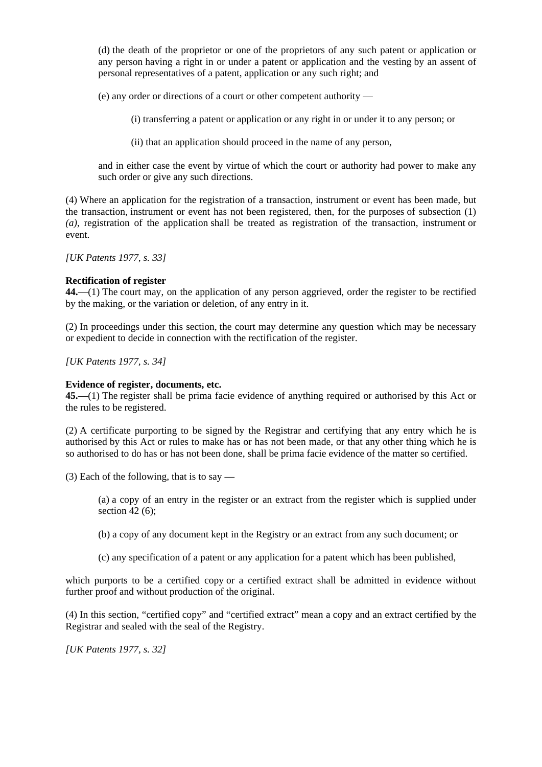(d) the death of the proprietor or one of the proprietors of any such patent or application or any person having a right in or under a patent or application and the vesting by an assent of personal representatives of a patent, application or any such right; and

(e) any order or directions of a court or other competent authority —

(i) transferring a patent or application or any right in or under it to any person; or

(ii) that an application should proceed in the name of any person,

and in either case the event by virtue of which the court or authority had power to make any such order or give any such directions.

(4) Where an application for the registration of a transaction, instrument or event has been made, but the transaction, instrument or event has not been registered, then, for the purposes of subsection (1) *(a)*, registration of the application shall be treated as registration of the transaction, instrument or event.

*[UK Patents 1977, s. 33]* 

## **Rectification of register**

**44.**—(1) The court may, on the application of any person aggrieved, order the register to be rectified by the making, or the variation or deletion, of any entry in it.

(2) In proceedings under this section, the court may determine any question which may be necessary or expedient to decide in connection with the rectification of the register.

*[UK Patents 1977, s. 34]* 

### **Evidence of register, documents, etc.**

**45.**—(1) The register shall be prima facie evidence of anything required or authorised by this Act or the rules to be registered.

(2) A certificate purporting to be signed by the Registrar and certifying that any entry which he is authorised by this Act or rules to make has or has not been made, or that any other thing which he is so authorised to do has or has not been done, shall be prima facie evidence of the matter so certified.

(3) Each of the following, that is to say —

(a) a copy of an entry in the register or an extract from the register which is supplied under section 42 $(6)$ ;

(b) a copy of any document kept in the Registry or an extract from any such document; or

(c) any specification of a patent or any application for a patent which has been published,

which purports to be a certified copy or a certified extract shall be admitted in evidence without further proof and without production of the original.

(4) In this section, "certified copy" and "certified extract" mean a copy and an extract certified by the Registrar and sealed with the seal of the Registry.

*[UK Patents 1977, s. 32]*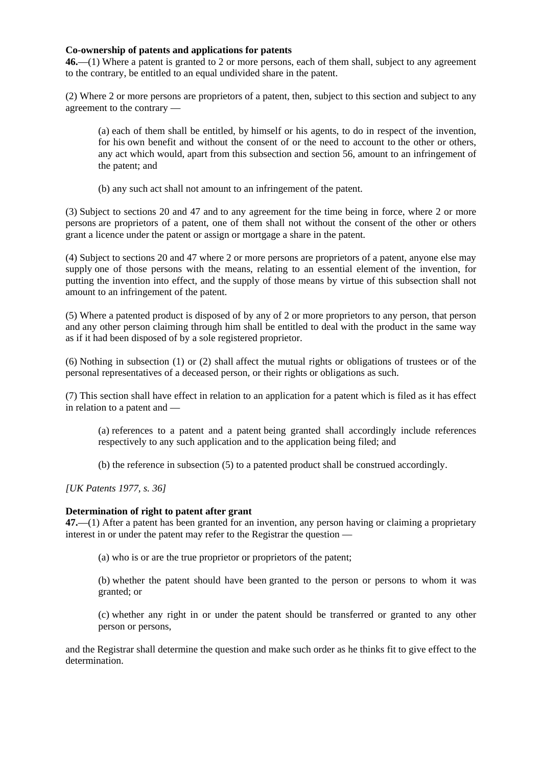### **Co-ownership of patents and applications for patents**

**46.**—(1) Where a patent is granted to 2 or more persons, each of them shall, subject to any agreement to the contrary, be entitled to an equal undivided share in the patent.

(2) Where 2 or more persons are proprietors of a patent, then, subject to this section and subject to any agreement to the contrary —

(a) each of them shall be entitled, by himself or his agents, to do in respect of the invention, for his own benefit and without the consent of or the need to account to the other or others, any act which would, apart from this subsection and section 56, amount to an infringement of the patent; and

(b) any such act shall not amount to an infringement of the patent.

(3) Subject to sections 20 and 47 and to any agreement for the time being in force, where 2 or more persons are proprietors of a patent, one of them shall not without the consent of the other or others grant a licence under the patent or assign or mortgage a share in the patent.

(4) Subject to sections 20 and 47 where 2 or more persons are proprietors of a patent, anyone else may supply one of those persons with the means, relating to an essential element of the invention, for putting the invention into effect, and the supply of those means by virtue of this subsection shall not amount to an infringement of the patent.

(5) Where a patented product is disposed of by any of 2 or more proprietors to any person, that person and any other person claiming through him shall be entitled to deal with the product in the same way as if it had been disposed of by a sole registered proprietor.

(6) Nothing in subsection (1) or (2) shall affect the mutual rights or obligations of trustees or of the personal representatives of a deceased person, or their rights or obligations as such.

(7) This section shall have effect in relation to an application for a patent which is filed as it has effect in relation to a patent and —

- (a) references to a patent and a patent being granted shall accordingly include references respectively to any such application and to the application being filed; and
- (b) the reference in subsection (5) to a patented product shall be construed accordingly.

*[UK Patents 1977, s. 36]* 

### **Determination of right to patent after grant**

**47.**—(1) After a patent has been granted for an invention, any person having or claiming a proprietary interest in or under the patent may refer to the Registrar the question —

(a) who is or are the true proprietor or proprietors of the patent;

(b) whether the patent should have been granted to the person or persons to whom it was granted; or

(c) whether any right in or under the patent should be transferred or granted to any other person or persons,

and the Registrar shall determine the question and make such order as he thinks fit to give effect to the determination.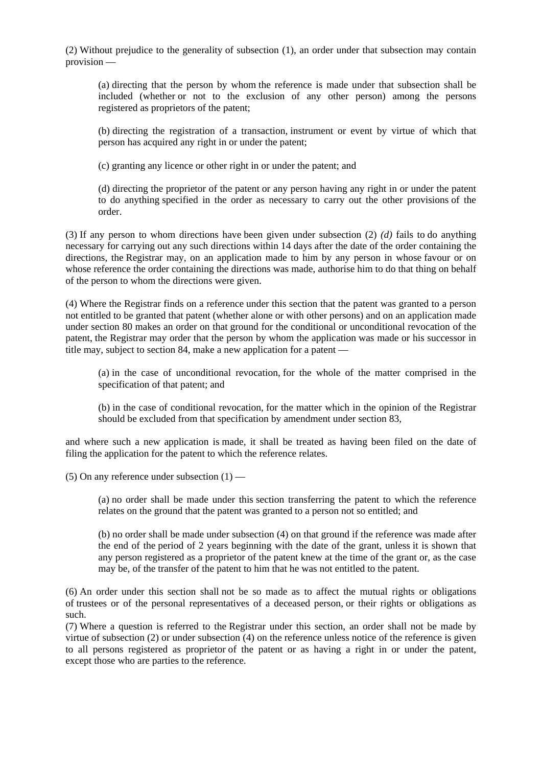(2) Without prejudice to the generality of subsection (1), an order under that subsection may contain provision —

(a) directing that the person by whom the reference is made under that subsection shall be included (whether or not to the exclusion of any other person) among the persons registered as proprietors of the patent;

(b) directing the registration of a transaction, instrument or event by virtue of which that person has acquired any right in or under the patent;

(c) granting any licence or other right in or under the patent; and

(d) directing the proprietor of the patent or any person having any right in or under the patent to do anything specified in the order as necessary to carry out the other provisions of the order.

(3) If any person to whom directions have been given under subsection (2) *(d)* fails to do anything necessary for carrying out any such directions within 14 days after the date of the order containing the directions, the Registrar may, on an application made to him by any person in whose favour or on whose reference the order containing the directions was made, authorise him to do that thing on behalf of the person to whom the directions were given.

(4) Where the Registrar finds on a reference under this section that the patent was granted to a person not entitled to be granted that patent (whether alone or with other persons) and on an application made under section 80 makes an order on that ground for the conditional or unconditional revocation of the patent, the Registrar may order that the person by whom the application was made or his successor in title may, subject to section 84, make a new application for a patent —

(a) in the case of unconditional revocation, for the whole of the matter comprised in the specification of that patent; and

(b) in the case of conditional revocation, for the matter which in the opinion of the Registrar should be excluded from that specification by amendment under section 83,

and where such a new application is made, it shall be treated as having been filed on the date of filing the application for the patent to which the reference relates.

(5) On any reference under subsection  $(1)$  —

(a) no order shall be made under this section transferring the patent to which the reference relates on the ground that the patent was granted to a person not so entitled; and

(b) no order shall be made under subsection (4) on that ground if the reference was made after the end of the period of 2 years beginning with the date of the grant, unless it is shown that any person registered as a proprietor of the patent knew at the time of the grant or, as the case may be, of the transfer of the patent to him that he was not entitled to the patent.

(6) An order under this section shall not be so made as to affect the mutual rights or obligations of trustees or of the personal representatives of a deceased person, or their rights or obligations as such.

(7) Where a question is referred to the Registrar under this section, an order shall not be made by virtue of subsection (2) or under subsection (4) on the reference unless notice of the reference is given to all persons registered as proprietor of the patent or as having a right in or under the patent, except those who are parties to the reference.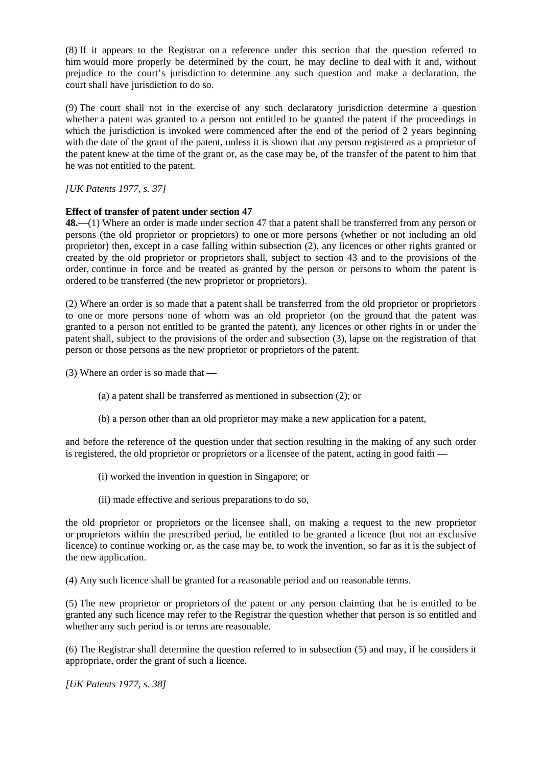(8) If it appears to the Registrar on a reference under this section that the question referred to him would more properly be determined by the court, he may decline to deal with it and, without prejudice to the court's jurisdiction to determine any such question and make a declaration, the court shall have jurisdiction to do so.

(9) The court shall not in the exercise of any such declaratory jurisdiction determine a question whether a patent was granted to a person not entitled to be granted the patent if the proceedings in which the jurisdiction is invoked were commenced after the end of the period of 2 years beginning with the date of the grant of the patent, unless it is shown that any person registered as a proprietor of the patent knew at the time of the grant or, as the case may be, of the transfer of the patent to him that he was not entitled to the patent.

*[UK Patents 1977, s. 37]* 

## **Effect of transfer of patent under section 47**

**48.**—(1) Where an order is made under section 47 that a patent shall be transferred from any person or persons (the old proprietor or proprietors) to one or more persons (whether or not including an old proprietor) then, except in a case falling within subsection (2), any licences or other rights granted or created by the old proprietor or proprietors shall, subject to section 43 and to the provisions of the order, continue in force and be treated as granted by the person or persons to whom the patent is ordered to be transferred (the new proprietor or proprietors).

(2) Where an order is so made that a patent shall be transferred from the old proprietor or proprietors to one or more persons none of whom was an old proprietor (on the ground that the patent was granted to a person not entitled to be granted the patent), any licences or other rights in or under the patent shall, subject to the provisions of the order and subsection (3), lapse on the registration of that person or those persons as the new proprietor or proprietors of the patent.

(3) Where an order is so made that —

- (a) a patent shall be transferred as mentioned in subsection (2); or
- (b) a person other than an old proprietor may make a new application for a patent,

and before the reference of the question under that section resulting in the making of any such order is registered, the old proprietor or proprietors or a licensee of the patent, acting in good faith —

- (i) worked the invention in question in Singapore; or
- (ii) made effective and serious preparations to do so,

the old proprietor or proprietors or the licensee shall, on making a request to the new proprietor or proprietors within the prescribed period, be entitled to be granted a licence (but not an exclusive licence) to continue working or, as the case may be, to work the invention, so far as it is the subject of the new application.

(4) Any such licence shall be granted for a reasonable period and on reasonable terms.

(5) The new proprietor or proprietors of the patent or any person claiming that he is entitled to be granted any such licence may refer to the Registrar the question whether that person is so entitled and whether any such period is or terms are reasonable.

(6) The Registrar shall determine the question referred to in subsection (5) and may, if he considers it appropriate, order the grant of such a licence.

*[UK Patents 1977, s. 38]*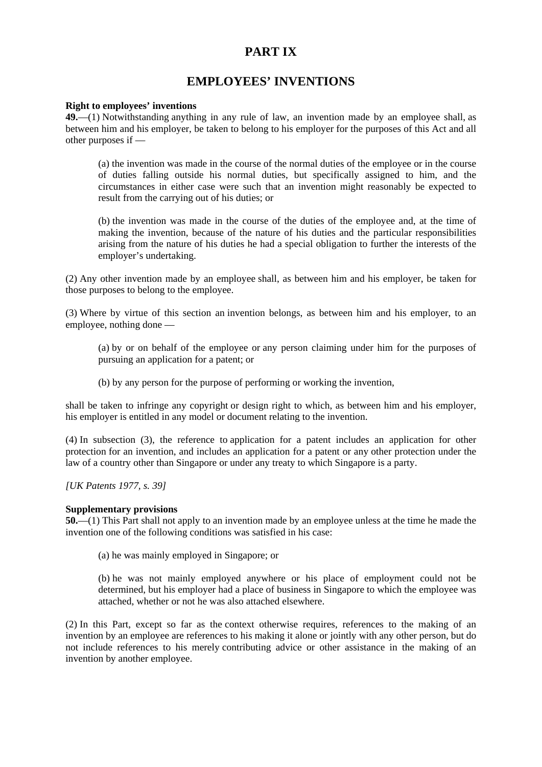# **PART IX**

# **EMPLOYEES' INVENTIONS**

### **Right to employees' inventions**

**49.**—(1) Notwithstanding anything in any rule of law, an invention made by an employee shall, as between him and his employer, be taken to belong to his employer for the purposes of this Act and all other purposes if —

(a) the invention was made in the course of the normal duties of the employee or in the course of duties falling outside his normal duties, but specifically assigned to him, and the circumstances in either case were such that an invention might reasonably be expected to result from the carrying out of his duties; or

(b) the invention was made in the course of the duties of the employee and, at the time of making the invention, because of the nature of his duties and the particular responsibilities arising from the nature of his duties he had a special obligation to further the interests of the employer's undertaking.

(2) Any other invention made by an employee shall, as between him and his employer, be taken for those purposes to belong to the employee.

(3) Where by virtue of this section an invention belongs, as between him and his employer, to an employee, nothing done —

(a) by or on behalf of the employee or any person claiming under him for the purposes of pursuing an application for a patent; or

(b) by any person for the purpose of performing or working the invention,

shall be taken to infringe any copyright or design right to which, as between him and his employer, his employer is entitled in any model or document relating to the invention.

(4) In subsection (3), the reference to application for a patent includes an application for other protection for an invention, and includes an application for a patent or any other protection under the law of a country other than Singapore or under any treaty to which Singapore is a party.

*[UK Patents 1977, s. 39]* 

### **Supplementary provisions**

**50.**—(1) This Part shall not apply to an invention made by an employee unless at the time he made the invention one of the following conditions was satisfied in his case:

(a) he was mainly employed in Singapore; or

(b) he was not mainly employed anywhere or his place of employment could not be determined, but his employer had a place of business in Singapore to which the employee was attached, whether or not he was also attached elsewhere.

(2) In this Part, except so far as the context otherwise requires, references to the making of an invention by an employee are references to his making it alone or jointly with any other person, but do not include references to his merely contributing advice or other assistance in the making of an invention by another employee.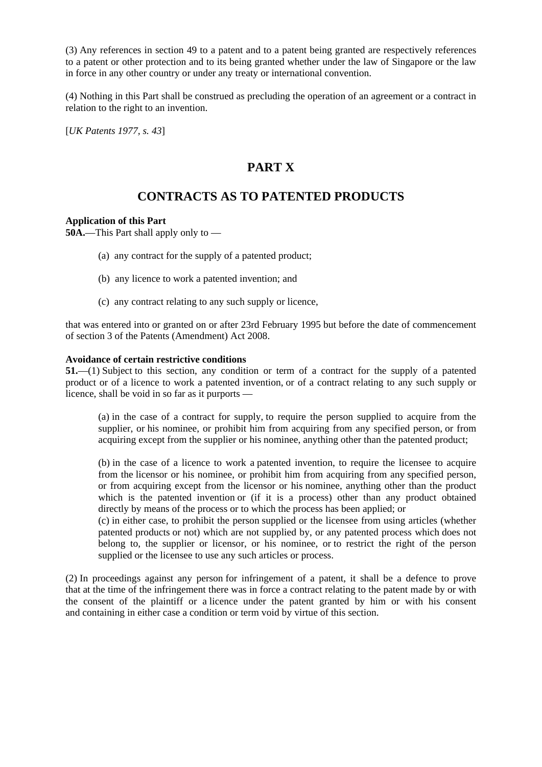(3) Any references in section 49 to a patent and to a patent being granted are respectively references to a patent or other protection and to its being granted whether under the law of Singapore or the law in force in any other country or under any treaty or international convention.

(4) Nothing in this Part shall be construed as precluding the operation of an agreement or a contract in relation to the right to an invention.

[*UK Patents 1977, s. 43*]

# **PART X**

# **CONTRACTS AS TO PATENTED PRODUCTS**

### **Application of this Part**

**50A.**—This Part shall apply only to —

- (a) any contract for the supply of a patented product;
- (b) any licence to work a patented invention; and
- (c) any contract relating to any such supply or licence,

that was entered into or granted on or after 23rd February 1995 but before the date of commencement of section 3 of the Patents (Amendment) Act 2008.

### **Avoidance of certain restrictive conditions**

**51.**—(1) Subject to this section, any condition or term of a contract for the supply of a patented product or of a licence to work a patented invention, or of a contract relating to any such supply or licence, shall be void in so far as it purports —

(a) in the case of a contract for supply, to require the person supplied to acquire from the supplier, or his nominee, or prohibit him from acquiring from any specified person, or from acquiring except from the supplier or his nominee, anything other than the patented product;

(b) in the case of a licence to work a patented invention, to require the licensee to acquire from the licensor or his nominee, or prohibit him from acquiring from any specified person, or from acquiring except from the licensor or his nominee, anything other than the product which is the patented invention or (if it is a process) other than any product obtained directly by means of the process or to which the process has been applied; or

(c) in either case, to prohibit the person supplied or the licensee from using articles (whether patented products or not) which are not supplied by, or any patented process which does not belong to, the supplier or licensor, or his nominee, or to restrict the right of the person supplied or the licensee to use any such articles or process.

(2) In proceedings against any person for infringement of a patent, it shall be a defence to prove that at the time of the infringement there was in force a contract relating to the patent made by or with the consent of the plaintiff or a licence under the patent granted by him or with his consent and containing in either case a condition or term void by virtue of this section.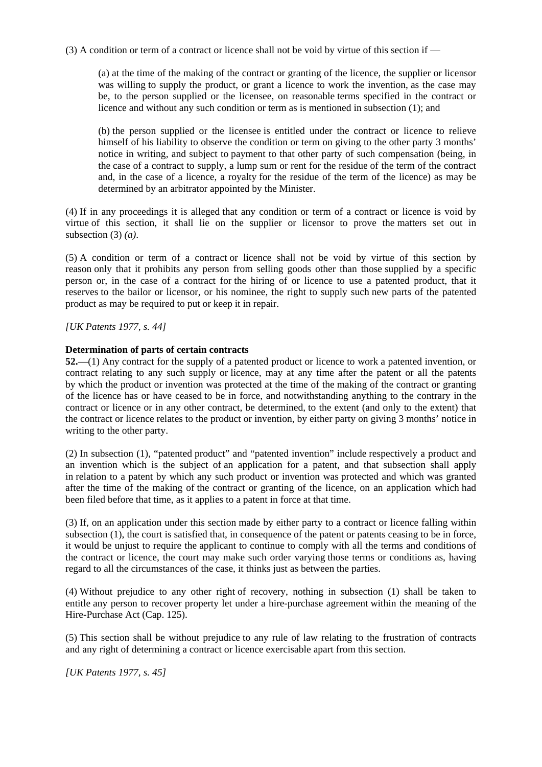(3) A condition or term of a contract or licence shall not be void by virtue of this section if —

(a) at the time of the making of the contract or granting of the licence, the supplier or licensor was willing to supply the product, or grant a licence to work the invention, as the case may be, to the person supplied or the licensee, on reasonable terms specified in the contract or licence and without any such condition or term as is mentioned in subsection (1); and

(b) the person supplied or the licensee is entitled under the contract or licence to relieve himself of his liability to observe the condition or term on giving to the other party 3 months' notice in writing, and subject to payment to that other party of such compensation (being, in the case of a contract to supply, a lump sum or rent for the residue of the term of the contract and, in the case of a licence, a royalty for the residue of the term of the licence) as may be determined by an arbitrator appointed by the Minister.

(4) If in any proceedings it is alleged that any condition or term of a contract or licence is void by virtue of this section, it shall lie on the supplier or licensor to prove the matters set out in subsection (3) *(a)*.

(5) A condition or term of a contract or licence shall not be void by virtue of this section by reason only that it prohibits any person from selling goods other than those supplied by a specific person or, in the case of a contract for the hiring of or licence to use a patented product, that it reserves to the bailor or licensor, or his nominee, the right to supply such new parts of the patented product as may be required to put or keep it in repair.

## *[UK Patents 1977, s. 44]*

### **Determination of parts of certain contracts**

**52.**—(1) Any contract for the supply of a patented product or licence to work a patented invention, or contract relating to any such supply or licence, may at any time after the patent or all the patents by which the product or invention was protected at the time of the making of the contract or granting of the licence has or have ceased to be in force, and notwithstanding anything to the contrary in the contract or licence or in any other contract, be determined, to the extent (and only to the extent) that the contract or licence relates to the product or invention, by either party on giving 3 months' notice in writing to the other party.

(2) In subsection (1), "patented product" and "patented invention" include respectively a product and an invention which is the subject of an application for a patent, and that subsection shall apply in relation to a patent by which any such product or invention was protected and which was granted after the time of the making of the contract or granting of the licence, on an application which had been filed before that time, as it applies to a patent in force at that time.

(3) If, on an application under this section made by either party to a contract or licence falling within subsection (1), the court is satisfied that, in consequence of the patent or patents ceasing to be in force, it would be unjust to require the applicant to continue to comply with all the terms and conditions of the contract or licence, the court may make such order varying those terms or conditions as, having regard to all the circumstances of the case, it thinks just as between the parties.

(4) Without prejudice to any other right of recovery, nothing in subsection (1) shall be taken to entitle any person to recover property let under a hire-purchase agreement within the meaning of the Hire-Purchase Act (Cap. 125).

(5) This section shall be without prejudice to any rule of law relating to the frustration of contracts and any right of determining a contract or licence exercisable apart from this section.

*[UK Patents 1977, s. 45]*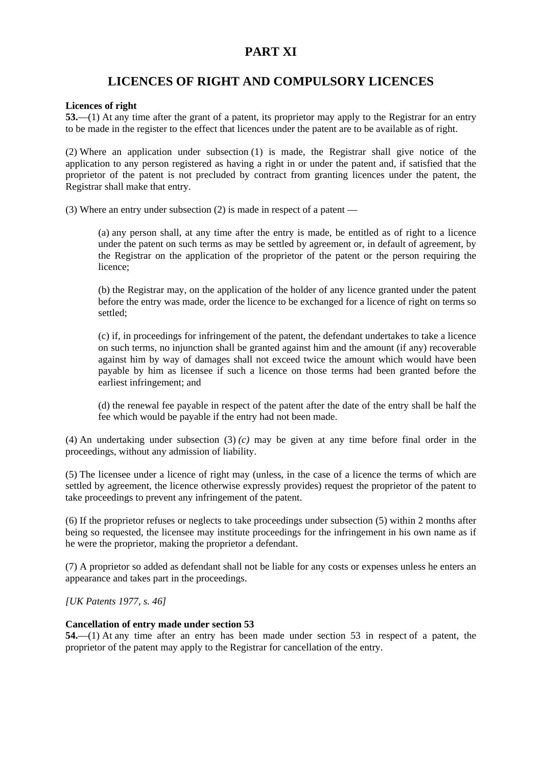# **PART XI**

# **LICENCES OF RIGHT AND COMPULSORY LICENCES**

### **Licences of right**

**53.**—(1) At any time after the grant of a patent, its proprietor may apply to the Registrar for an entry to be made in the register to the effect that licences under the patent are to be available as of right.

(2) Where an application under subsection (1) is made, the Registrar shall give notice of the application to any person registered as having a right in or under the patent and, if satisfied that the proprietor of the patent is not precluded by contract from granting licences under the patent, the Registrar shall make that entry.

(3) Where an entry under subsection (2) is made in respect of a patent —

(a) any person shall, at any time after the entry is made, be entitled as of right to a licence under the patent on such terms as may be settled by agreement or, in default of agreement, by the Registrar on the application of the proprietor of the patent or the person requiring the licence;

(b) the Registrar may, on the application of the holder of any licence granted under the patent before the entry was made, order the licence to be exchanged for a licence of right on terms so settled;

(c) if, in proceedings for infringement of the patent, the defendant undertakes to take a licence on such terms, no injunction shall be granted against him and the amount (if any) recoverable against him by way of damages shall not exceed twice the amount which would have been payable by him as licensee if such a licence on those terms had been granted before the earliest infringement; and

(d) the renewal fee payable in respect of the patent after the date of the entry shall be half the fee which would be payable if the entry had not been made.

(4) An undertaking under subsection (3) *(c)* may be given at any time before final order in the proceedings, without any admission of liability.

(5) The licensee under a licence of right may (unless, in the case of a licence the terms of which are settled by agreement, the licence otherwise expressly provides) request the proprietor of the patent to take proceedings to prevent any infringement of the patent.

(6) If the proprietor refuses or neglects to take proceedings under subsection (5) within 2 months after being so requested, the licensee may institute proceedings for the infringement in his own name as if he were the proprietor, making the proprietor a defendant.

(7) A proprietor so added as defendant shall not be liable for any costs or expenses unless he enters an appearance and takes part in the proceedings.

### *[UK Patents 1977, s. 46]*

### **Cancellation of entry made under section 53**

**54.**—(1) At any time after an entry has been made under section 53 in respect of a patent, the proprietor of the patent may apply to the Registrar for cancellation of the entry.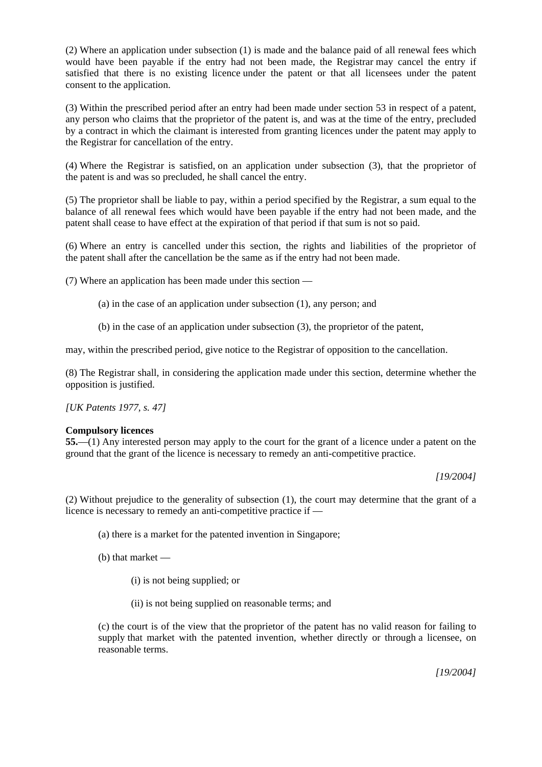(2) Where an application under subsection (1) is made and the balance paid of all renewal fees which would have been payable if the entry had not been made, the Registrar may cancel the entry if satisfied that there is no existing licence under the patent or that all licensees under the patent consent to the application.

(3) Within the prescribed period after an entry had been made under section 53 in respect of a patent, any person who claims that the proprietor of the patent is, and was at the time of the entry, precluded by a contract in which the claimant is interested from granting licences under the patent may apply to the Registrar for cancellation of the entry.

(4) Where the Registrar is satisfied, on an application under subsection (3), that the proprietor of the patent is and was so precluded, he shall cancel the entry.

(5) The proprietor shall be liable to pay, within a period specified by the Registrar, a sum equal to the balance of all renewal fees which would have been payable if the entry had not been made, and the patent shall cease to have effect at the expiration of that period if that sum is not so paid.

(6) Where an entry is cancelled under this section, the rights and liabilities of the proprietor of the patent shall after the cancellation be the same as if the entry had not been made.

(7) Where an application has been made under this section —

- (a) in the case of an application under subsection (1), any person; and
- (b) in the case of an application under subsection (3), the proprietor of the patent,

may, within the prescribed period, give notice to the Registrar of opposition to the cancellation.

(8) The Registrar shall, in considering the application made under this section, determine whether the opposition is justified.

*[UK Patents 1977, s. 47]* 

### **Compulsory licences**

**55.**—(1) Any interested person may apply to the court for the grant of a licence under a patent on the ground that the grant of the licence is necessary to remedy an anti-competitive practice.

### *[19/2004]*

(2) Without prejudice to the generality of subsection (1), the court may determine that the grant of a licence is necessary to remedy an anti-competitive practice if —

(a) there is a market for the patented invention in Singapore;

(b) that market —

(i) is not being supplied; or

(ii) is not being supplied on reasonable terms; and

(c) the court is of the view that the proprietor of the patent has no valid reason for failing to supply that market with the patented invention, whether directly or through a licensee, on reasonable terms.

*[19/2004]*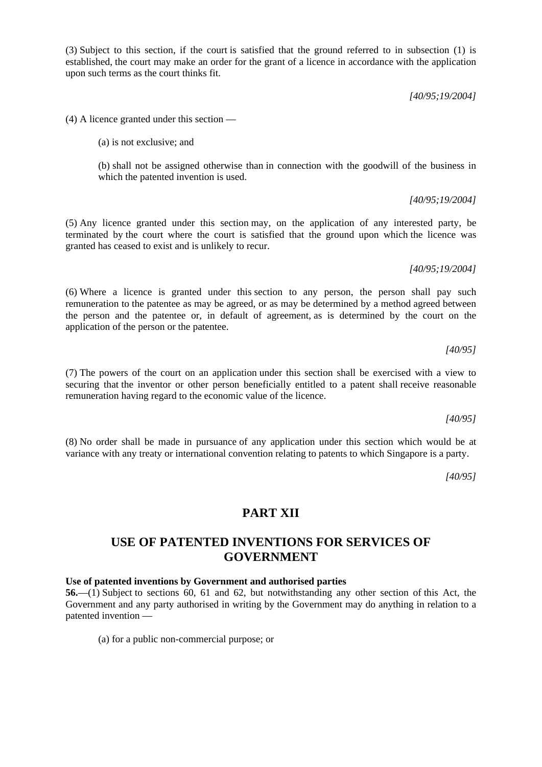(3) Subject to this section, if the court is satisfied that the ground referred to in subsection (1) is established, the court may make an order for the grant of a licence in accordance with the application upon such terms as the court thinks fit.

*[40/95;19/2004]* 

(4) A licence granted under this section —

(a) is not exclusive; and

(b) shall not be assigned otherwise than in connection with the goodwill of the business in which the patented invention is used.

*[40/95;19/2004]* 

(5) Any licence granted under this section may, on the application of any interested party, be terminated by the court where the court is satisfied that the ground upon which the licence was granted has ceased to exist and is unlikely to recur.

*[40/95;19/2004]* 

(6) Where a licence is granted under this section to any person, the person shall pay such remuneration to the patentee as may be agreed, or as may be determined by a method agreed between the person and the patentee or, in default of agreement, as is determined by the court on the application of the person or the patentee.

*[40/95]* 

(7) The powers of the court on an application under this section shall be exercised with a view to securing that the inventor or other person beneficially entitled to a patent shall receive reasonable remuneration having regard to the economic value of the licence.

(8) No order shall be made in pursuance of any application under this section which would be at variance with any treaty or international convention relating to patents to which Singapore is a party.

*[40/95]* 

*[40/95]* 

# **PART XII**

## **USE OF PATENTED INVENTIONS FOR SERVICES OF GOVERNMENT**

### **Use of patented inventions by Government and authorised parties**

**56.**—(1) Subject to sections 60, 61 and 62, but notwithstanding any other section of this Act, the Government and any party authorised in writing by the Government may do anything in relation to a patented invention —

(a) for a public non-commercial purpose; or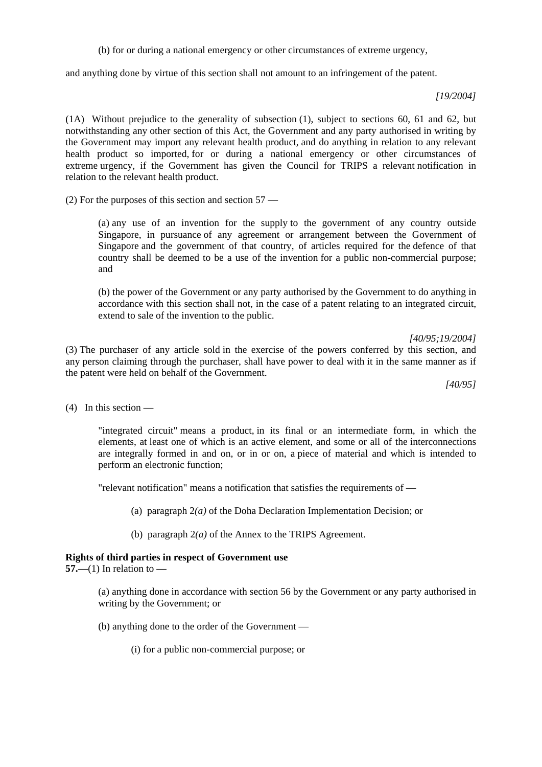(b) for or during a national emergency or other circumstances of extreme urgency,

and anything done by virtue of this section shall not amount to an infringement of the patent.

*[19/2004]* 

(1A) Without prejudice to the generality of subsection (1), subject to sections 60, 61 and 62, but notwithstanding any other section of this Act, the Government and any party authorised in writing by the Government may import any relevant health product, and do anything in relation to any relevant health product so imported, for or during a national emergency or other circumstances of extreme urgency, if the Government has given the Council for TRIPS a relevant notification in relation to the relevant health product.

(2) For the purposes of this section and section 57 —

(a) any use of an invention for the supply to the government of any country outside Singapore, in pursuance of any agreement or arrangement between the Government of Singapore and the government of that country, of articles required for the defence of that country shall be deemed to be a use of the invention for a public non-commercial purpose; and

(b) the power of the Government or any party authorised by the Government to do anything in accordance with this section shall not, in the case of a patent relating to an integrated circuit, extend to sale of the invention to the public.

*[40/95;19/2004]* 

(3) The purchaser of any article sold in the exercise of the powers conferred by this section, and any person claiming through the purchaser, shall have power to deal with it in the same manner as if the patent were held on behalf of the Government.

*[40/95]* 

(4) In this section —

"integrated circuit" means a product, in its final or an intermediate form, in which the elements, at least one of which is an active element, and some or all of the interconnections are integrally formed in and on, or in or on, a piece of material and which is intended to perform an electronic function;

"relevant notification" means a notification that satisfies the requirements of —

- (a) paragraph 2*(a)* of the Doha Declaration Implementation Decision; or
- (b) paragraph 2*(a)* of the Annex to the TRIPS Agreement.

#### **Rights of third parties in respect of Government use**

**57.**—(1) In relation to —

(a) anything done in accordance with section 56 by the Government or any party authorised in writing by the Government; or

(b) anything done to the order of the Government —

(i) for a public non-commercial purpose; or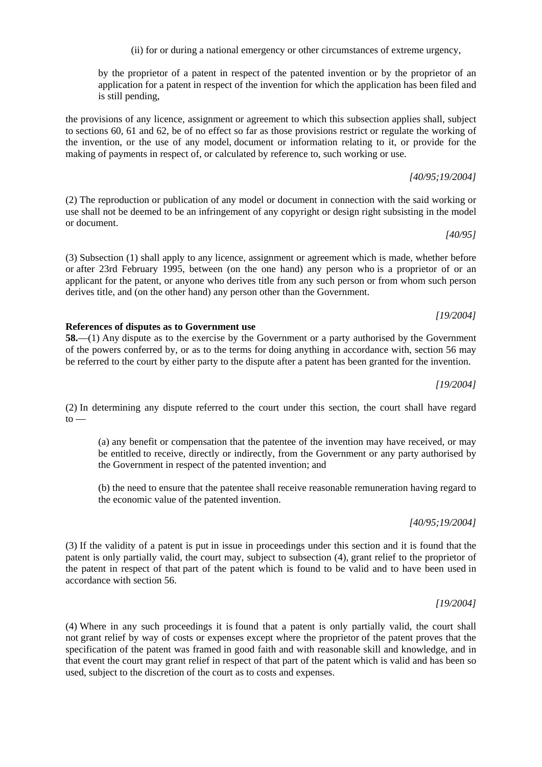(ii) for or during a national emergency or other circumstances of extreme urgency,

by the proprietor of a patent in respect of the patented invention or by the proprietor of an application for a patent in respect of the invention for which the application has been filed and is still pending,

the provisions of any licence, assignment or agreement to which this subsection applies shall, subject to sections 60, 61 and 62, be of no effect so far as those provisions restrict or regulate the working of the invention, or the use of any model, document or information relating to it, or provide for the making of payments in respect of, or calculated by reference to, such working or use.

*[40/95;19/2004]* 

(2) The reproduction or publication of any model or document in connection with the said working or use shall not be deemed to be an infringement of any copyright or design right subsisting in the model or document.

(3) Subsection (1) shall apply to any licence, assignment or agreement which is made, whether before or after 23rd February 1995, between (on the one hand) any person who is a proprietor of or an applicant for the patent, or anyone who derives title from any such person or from whom such person derives title, and (on the other hand) any person other than the Government.

**References of disputes as to Government use 58.**—(1) Any dispute as to the exercise by the Government or a party authorised by the Government of the powers conferred by, or as to the terms for doing anything in accordance with, section 56 may be referred to the court by either party to the dispute after a patent has been granted for the invention.

(2) In determining any dispute referred to the court under this section, the court shall have regard to —

(a) any benefit or compensation that the patentee of the invention may have received, or may be entitled to receive, directly or indirectly, from the Government or any party authorised by the Government in respect of the patented invention; and

(b) the need to ensure that the patentee shall receive reasonable remuneration having regard to the economic value of the patented invention.

*[40/95;19/2004]* 

(3) If the validity of a patent is put in issue in proceedings under this section and it is found that the patent is only partially valid, the court may, subject to subsection (4), grant relief to the proprietor of the patent in respect of that part of the patent which is found to be valid and to have been used in accordance with section 56.

*[19/2004]* 

(4) Where in any such proceedings it is found that a patent is only partially valid, the court shall not grant relief by way of costs or expenses except where the proprietor of the patent proves that the specification of the patent was framed in good faith and with reasonable skill and knowledge, and in that event the court may grant relief in respect of that part of the patent which is valid and has been so used, subject to the discretion of the court as to costs and expenses.

*[19/2004]* 

*[40/95]* 

*[19/2004]*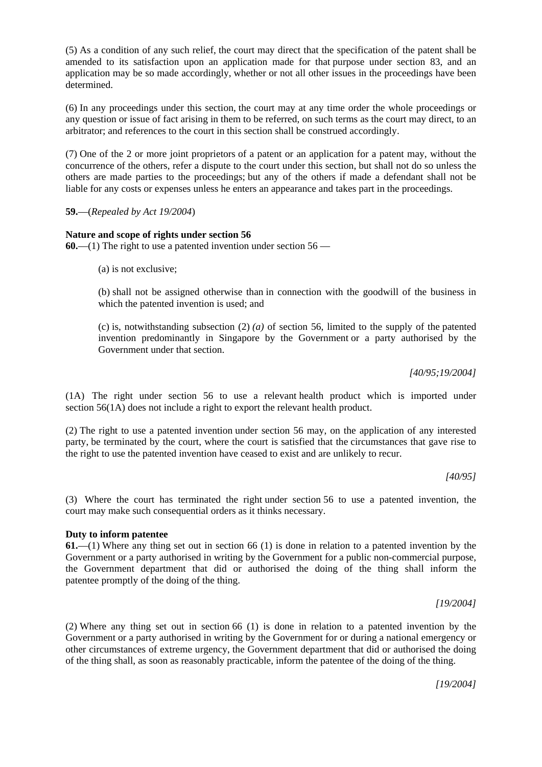(5) As a condition of any such relief, the court may direct that the specification of the patent shall be amended to its satisfaction upon an application made for that purpose under section 83, and an application may be so made accordingly, whether or not all other issues in the proceedings have been determined.

(6) In any proceedings under this section, the court may at any time order the whole proceedings or any question or issue of fact arising in them to be referred, on such terms as the court may direct, to an arbitrator; and references to the court in this section shall be construed accordingly.

(7) One of the 2 or more joint proprietors of a patent or an application for a patent may, without the concurrence of the others, refer a dispute to the court under this section, but shall not do so unless the others are made parties to the proceedings; but any of the others if made a defendant shall not be liable for any costs or expenses unless he enters an appearance and takes part in the proceedings.

**59.**—(*Repealed by Act 19/2004*)

### **Nature and scope of rights under section 56**

**60.**—(1) The right to use a patented invention under section 56 —

(a) is not exclusive;

(b) shall not be assigned otherwise than in connection with the goodwill of the business in which the patented invention is used; and

(c) is, notwithstanding subsection (2) *(a)* of section 56, limited to the supply of the patented invention predominantly in Singapore by the Government or a party authorised by the Government under that section.

*[40/95;19/2004]* 

(1A) The right under section 56 to use a relevant health product which is imported under section 56(1A) does not include a right to export the relevant health product.

(2) The right to use a patented invention under section 56 may, on the application of any interested party, be terminated by the court, where the court is satisfied that the circumstances that gave rise to the right to use the patented invention have ceased to exist and are unlikely to recur.

*[40/95]* 

(3) Where the court has terminated the right under section 56 to use a patented invention, the court may make such consequential orders as it thinks necessary.

#### **Duty to inform patentee**

**61.**—(1) Where any thing set out in section 66 (1) is done in relation to a patented invention by the Government or a party authorised in writing by the Government for a public non-commercial purpose, the Government department that did or authorised the doing of the thing shall inform the patentee promptly of the doing of the thing.

*[19/2004]* 

(2) Where any thing set out in section 66 (1) is done in relation to a patented invention by the Government or a party authorised in writing by the Government for or during a national emergency or other circumstances of extreme urgency, the Government department that did or authorised the doing of the thing shall, as soon as reasonably practicable, inform the patentee of the doing of the thing.

*[19/2004]*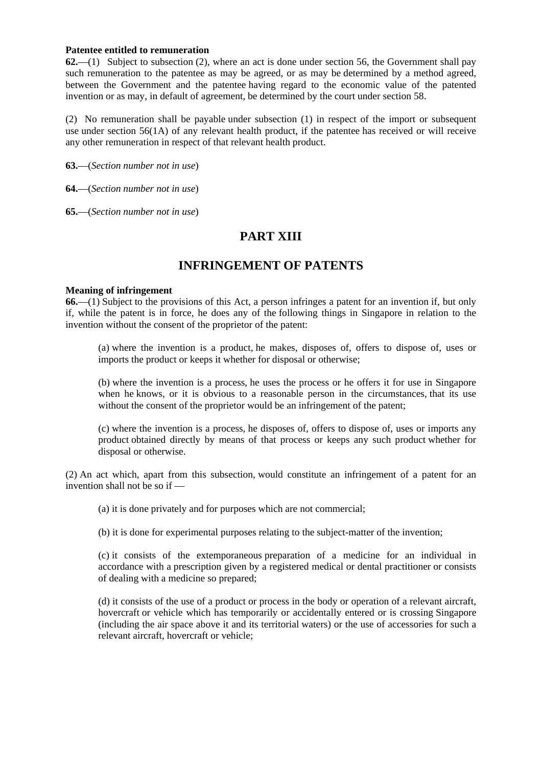### **Patentee entitled to remuneration**

**62.**—(1) Subject to subsection (2), where an act is done under section 56, the Government shall pay such remuneration to the patentee as may be agreed, or as may be determined by a method agreed, between the Government and the patentee having regard to the economic value of the patented invention or as may, in default of agreement, be determined by the court under section 58.

(2) No remuneration shall be payable under subsection (1) in respect of the import or subsequent use under section 56(1A) of any relevant health product, if the patentee has received or will receive any other remuneration in respect of that relevant health product.

**63.**—(*Section number not in use*)

**64.**—(*Section number not in use*)

**65.**—(*Section number not in use*)

## **PART XIII**

# **INFRINGEMENT OF PATENTS**

#### **Meaning of infringement**

**66.**—(1) Subject to the provisions of this Act, a person infringes a patent for an invention if, but only if, while the patent is in force, he does any of the following things in Singapore in relation to the invention without the consent of the proprietor of the patent:

(a) where the invention is a product, he makes, disposes of, offers to dispose of, uses or imports the product or keeps it whether for disposal or otherwise;

(b) where the invention is a process, he uses the process or he offers it for use in Singapore when he knows, or it is obvious to a reasonable person in the circumstances, that its use without the consent of the proprietor would be an infringement of the patent;

(c) where the invention is a process, he disposes of, offers to dispose of, uses or imports any product obtained directly by means of that process or keeps any such product whether for disposal or otherwise.

(2) An act which, apart from this subsection, would constitute an infringement of a patent for an invention shall not be so if —

(a) it is done privately and for purposes which are not commercial;

(b) it is done for experimental purposes relating to the subject-matter of the invention;

(c) it consists of the extemporaneous preparation of a medicine for an individual in accordance with a prescription given by a registered medical or dental practitioner or consists of dealing with a medicine so prepared;

(d) it consists of the use of a product or process in the body or operation of a relevant aircraft, hovercraft or vehicle which has temporarily or accidentally entered or is crossing Singapore (including the air space above it and its territorial waters) or the use of accessories for such a relevant aircraft, hovercraft or vehicle;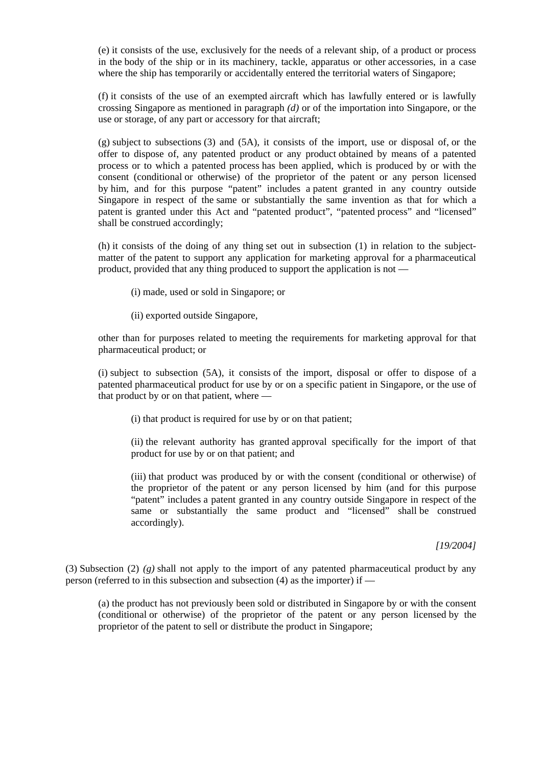(e) it consists of the use, exclusively for the needs of a relevant ship, of a product or process in the body of the ship or in its machinery, tackle, apparatus or other accessories, in a case where the ship has temporarily or accidentally entered the territorial waters of Singapore;

(f) it consists of the use of an exempted aircraft which has lawfully entered or is lawfully crossing Singapore as mentioned in paragraph *(d)* or of the importation into Singapore, or the use or storage, of any part or accessory for that aircraft;

(g) subject to subsections (3) and (5A), it consists of the import, use or disposal of, or the offer to dispose of, any patented product or any product obtained by means of a patented process or to which a patented process has been applied, which is produced by or with the consent (conditional or otherwise) of the proprietor of the patent or any person licensed by him, and for this purpose "patent" includes a patent granted in any country outside Singapore in respect of the same or substantially the same invention as that for which a patent is granted under this Act and "patented product", "patented process" and "licensed" shall be construed accordingly;

(h) it consists of the doing of any thing set out in subsection (1) in relation to the subjectmatter of the patent to support any application for marketing approval for a pharmaceutical product, provided that any thing produced to support the application is not —

(i) made, used or sold in Singapore; or

(ii) exported outside Singapore,

other than for purposes related to meeting the requirements for marketing approval for that pharmaceutical product; or

(i) subject to subsection (5A), it consists of the import, disposal or offer to dispose of a patented pharmaceutical product for use by or on a specific patient in Singapore, or the use of that product by or on that patient, where —

(i) that product is required for use by or on that patient;

(ii) the relevant authority has granted approval specifically for the import of that product for use by or on that patient; and

(iii) that product was produced by or with the consent (conditional or otherwise) of the proprietor of the patent or any person licensed by him (and for this purpose "patent" includes a patent granted in any country outside Singapore in respect of the same or substantially the same product and "licensed" shall be construed accordingly).

*[19/2004]* 

(3) Subsection (2) *(g)* shall not apply to the import of any patented pharmaceutical product by any person (referred to in this subsection and subsection (4) as the importer) if —

(a) the product has not previously been sold or distributed in Singapore by or with the consent (conditional or otherwise) of the proprietor of the patent or any person licensed by the proprietor of the patent to sell or distribute the product in Singapore;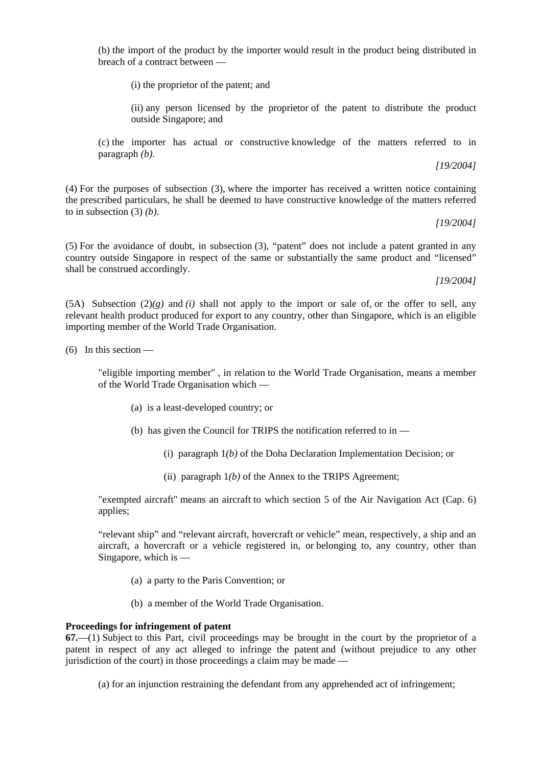(b) the import of the product by the importer would result in the product being distributed in breach of a contract between —

(i) the proprietor of the patent; and

(ii) any person licensed by the proprietor of the patent to distribute the product outside Singapore; and

(c) the importer has actual or constructive knowledge of the matters referred to in paragraph *(b)*.

(4) For the purposes of subsection (3), where the importer has received a written notice containing the prescribed particulars, he shall be deemed to have constructive knowledge of the matters referred

*[19/2004]* 

*[19/2004]* 

(5) For the avoidance of doubt, in subsection (3), "patent" does not include a patent granted in any country outside Singapore in respect of the same or substantially the same product and "licensed" shall be construed accordingly.

*[19/2004]* 

(5A) Subsection  $(2)(g)$  and *(i)* shall not apply to the import or sale of, or the offer to sell, any relevant health product produced for export to any country, other than Singapore, which is an eligible importing member of the World Trade Organisation.

(6) In this section —

to in subsection (3) *(b)*.

"eligible importing member" , in relation to the World Trade Organisation, means a member of the World Trade Organisation which —

(a) is a least-developed country; or

(b) has given the Council for TRIPS the notification referred to in —

- (i) paragraph 1*(b)* of the Doha Declaration Implementation Decision; or
- (ii) paragraph  $1(b)$  of the Annex to the TRIPS Agreement;

"exempted aircraft" means an aircraft to which section 5 of the Air Navigation Act (Cap. 6) applies;

"relevant ship" and "relevant aircraft, hovercraft or vehicle" mean, respectively, a ship and an aircraft, a hovercraft or a vehicle registered in, or belonging to, any country, other than Singapore, which is —

- (a) a party to the Paris Convention; or
- (b) a member of the World Trade Organisation.

#### **Proceedings for infringement of patent**

**67.**—(1) Subject to this Part, civil proceedings may be brought in the court by the proprietor of a patent in respect of any act alleged to infringe the patent and (without prejudice to any other jurisdiction of the court) in those proceedings a claim may be made —

(a) for an injunction restraining the defendant from any apprehended act of infringement;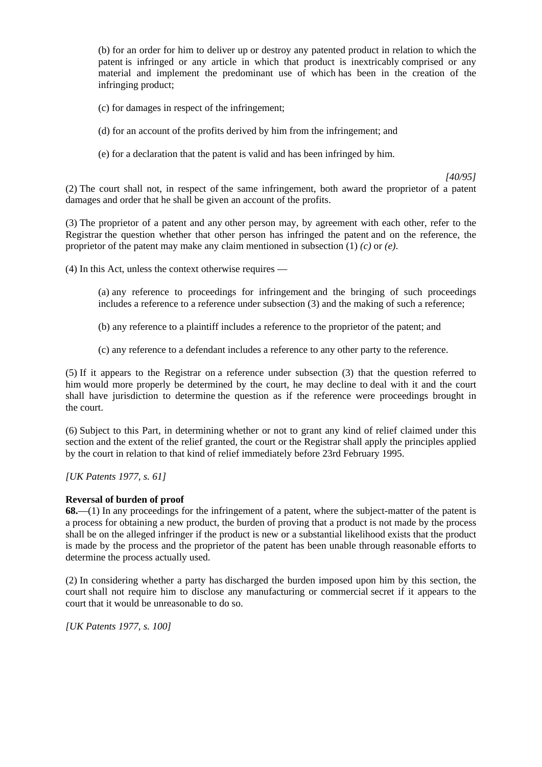(b) for an order for him to deliver up or destroy any patented product in relation to which the patent is infringed or any article in which that product is inextricably comprised or any material and implement the predominant use of which has been in the creation of the infringing product;

- (c) for damages in respect of the infringement;
- (d) for an account of the profits derived by him from the infringement; and
- (e) for a declaration that the patent is valid and has been infringed by him.

*[40/95]* 

(2) The court shall not, in respect of the same infringement, both award the proprietor of a patent damages and order that he shall be given an account of the profits.

(3) The proprietor of a patent and any other person may, by agreement with each other, refer to the Registrar the question whether that other person has infringed the patent and on the reference, the proprietor of the patent may make any claim mentioned in subsection (1) *(c)* or *(e)*.

(4) In this Act, unless the context otherwise requires —

(a) any reference to proceedings for infringement and the bringing of such proceedings includes a reference to a reference under subsection (3) and the making of such a reference;

- (b) any reference to a plaintiff includes a reference to the proprietor of the patent; and
- (c) any reference to a defendant includes a reference to any other party to the reference.

(5) If it appears to the Registrar on a reference under subsection (3) that the question referred to him would more properly be determined by the court, he may decline to deal with it and the court shall have jurisdiction to determine the question as if the reference were proceedings brought in the court.

(6) Subject to this Part, in determining whether or not to grant any kind of relief claimed under this section and the extent of the relief granted, the court or the Registrar shall apply the principles applied by the court in relation to that kind of relief immediately before 23rd February 1995.

*[UK Patents 1977, s. 61]* 

### **Reversal of burden of proof**

**68.**—(1) In any proceedings for the infringement of a patent, where the subject-matter of the patent is a process for obtaining a new product, the burden of proving that a product is not made by the process shall be on the alleged infringer if the product is new or a substantial likelihood exists that the product is made by the process and the proprietor of the patent has been unable through reasonable efforts to determine the process actually used.

(2) In considering whether a party has discharged the burden imposed upon him by this section, the court shall not require him to disclose any manufacturing or commercial secret if it appears to the court that it would be unreasonable to do so.

*[UK Patents 1977, s. 100]*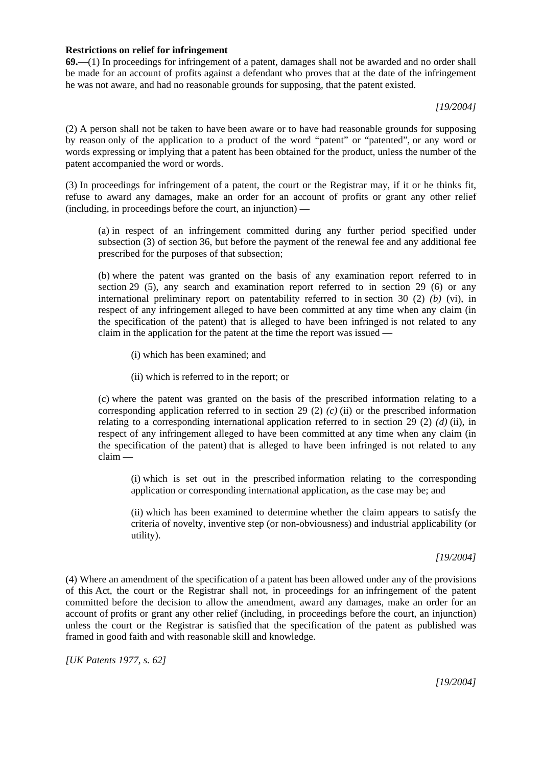### **Restrictions on relief for infringement**

**69.**—(1) In proceedings for infringement of a patent, damages shall not be awarded and no order shall be made for an account of profits against a defendant who proves that at the date of the infringement he was not aware, and had no reasonable grounds for supposing, that the patent existed.

*[19/2004]* 

(2) A person shall not be taken to have been aware or to have had reasonable grounds for supposing by reason only of the application to a product of the word "patent" or "patented", or any word or words expressing or implying that a patent has been obtained for the product, unless the number of the patent accompanied the word or words.

(3) In proceedings for infringement of a patent, the court or the Registrar may, if it or he thinks fit, refuse to award any damages, make an order for an account of profits or grant any other relief (including, in proceedings before the court, an injunction) —

(a) in respect of an infringement committed during any further period specified under subsection (3) of section 36, but before the payment of the renewal fee and any additional fee prescribed for the purposes of that subsection;

(b) where the patent was granted on the basis of any examination report referred to in section 29 (5), any search and examination report referred to in section 29 (6) or any international preliminary report on patentability referred to in section 30 (2) *(b)* (vi), in respect of any infringement alleged to have been committed at any time when any claim (in the specification of the patent) that is alleged to have been infringed is not related to any claim in the application for the patent at the time the report was issued —

(i) which has been examined; and

(ii) which is referred to in the report; or

(c) where the patent was granted on the basis of the prescribed information relating to a corresponding application referred to in section 29 (2)  $(c)$  (ii) or the prescribed information relating to a corresponding international application referred to in section 29 (2)  $(d)$  (ii), in respect of any infringement alleged to have been committed at any time when any claim (in the specification of the patent) that is alleged to have been infringed is not related to any claim —

(i) which is set out in the prescribed information relating to the corresponding application or corresponding international application, as the case may be; and

(ii) which has been examined to determine whether the claim appears to satisfy the criteria of novelty, inventive step (or non-obviousness) and industrial applicability (or utility).

*[19/2004]* 

(4) Where an amendment of the specification of a patent has been allowed under any of the provisions of this Act, the court or the Registrar shall not, in proceedings for an infringement of the patent committed before the decision to allow the amendment, award any damages, make an order for an account of profits or grant any other relief (including, in proceedings before the court, an injunction) unless the court or the Registrar is satisfied that the specification of the patent as published was framed in good faith and with reasonable skill and knowledge.

*[UK Patents 1977, s. 62]* 

*[19/2004]*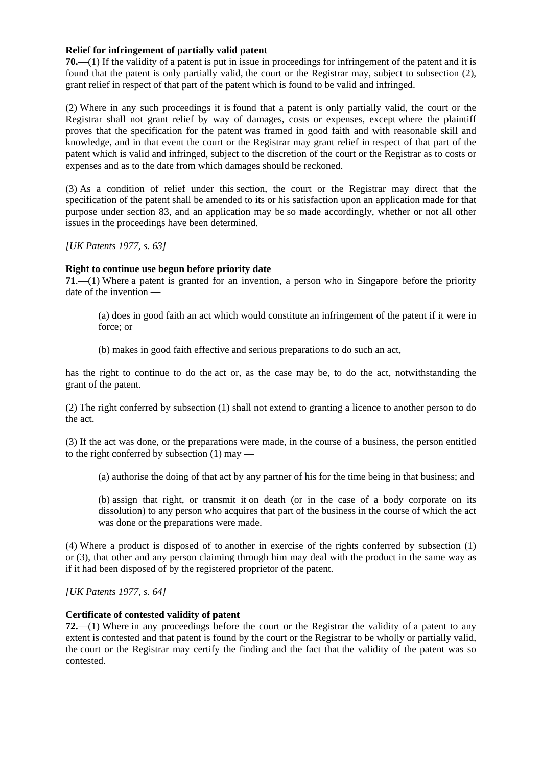### **Relief for infringement of partially valid patent**

**70.**—(1) If the validity of a patent is put in issue in proceedings for infringement of the patent and it is found that the patent is only partially valid, the court or the Registrar may, subject to subsection (2), grant relief in respect of that part of the patent which is found to be valid and infringed.

(2) Where in any such proceedings it is found that a patent is only partially valid, the court or the Registrar shall not grant relief by way of damages, costs or expenses, except where the plaintiff proves that the specification for the patent was framed in good faith and with reasonable skill and knowledge, and in that event the court or the Registrar may grant relief in respect of that part of the patent which is valid and infringed, subject to the discretion of the court or the Registrar as to costs or expenses and as to the date from which damages should be reckoned.

(3) As a condition of relief under this section, the court or the Registrar may direct that the specification of the patent shall be amended to its or his satisfaction upon an application made for that purpose under section 83, and an application may be so made accordingly, whether or not all other issues in the proceedings have been determined.

*[UK Patents 1977, s. 63]* 

## **Right to continue use begun before priority date**

**71**.—(1) Where a patent is granted for an invention, a person who in Singapore before the priority date of the invention —

(a) does in good faith an act which would constitute an infringement of the patent if it were in force; or

(b) makes in good faith effective and serious preparations to do such an act,

has the right to continue to do the act or, as the case may be, to do the act, notwithstanding the grant of the patent.

(2) The right conferred by subsection (1) shall not extend to granting a licence to another person to do the act.

(3) If the act was done, or the preparations were made, in the course of a business, the person entitled to the right conferred by subsection (1) may —

(a) authorise the doing of that act by any partner of his for the time being in that business; and

(b) assign that right, or transmit it on death (or in the case of a body corporate on its dissolution) to any person who acquires that part of the business in the course of which the act was done or the preparations were made.

(4) Where a product is disposed of to another in exercise of the rights conferred by subsection (1) or (3), that other and any person claiming through him may deal with the product in the same way as if it had been disposed of by the registered proprietor of the patent.

### *[UK Patents 1977, s. 64]*

### **Certificate of contested validity of patent**

**72.**—(1) Where in any proceedings before the court or the Registrar the validity of a patent to any extent is contested and that patent is found by the court or the Registrar to be wholly or partially valid, the court or the Registrar may certify the finding and the fact that the validity of the patent was so contested.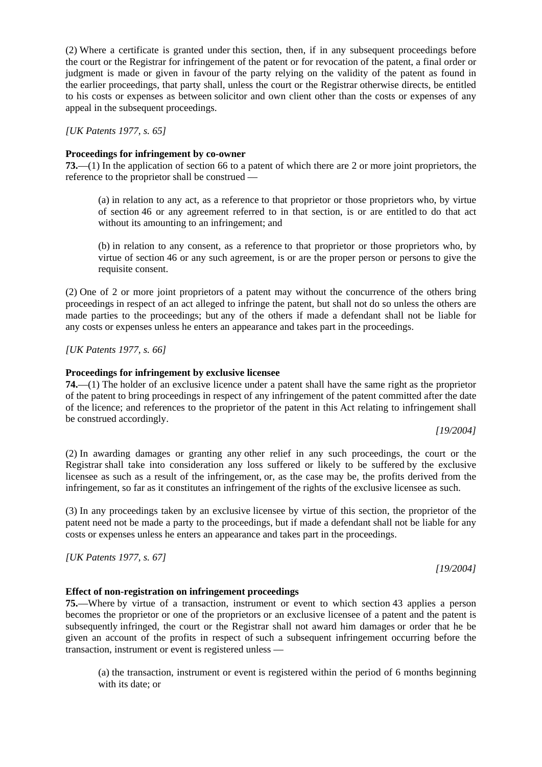(2) Where a certificate is granted under this section, then, if in any subsequent proceedings before the court or the Registrar for infringement of the patent or for revocation of the patent, a final order or judgment is made or given in favour of the party relying on the validity of the patent as found in the earlier proceedings, that party shall, unless the court or the Registrar otherwise directs, be entitled to his costs or expenses as between solicitor and own client other than the costs or expenses of any appeal in the subsequent proceedings.

*[UK Patents 1977, s. 65]* 

### **Proceedings for infringement by co-owner**

**73.**—(1) In the application of section 66 to a patent of which there are 2 or more joint proprietors, the reference to the proprietor shall be construed —

(a) in relation to any act, as a reference to that proprietor or those proprietors who, by virtue of section 46 or any agreement referred to in that section, is or are entitled to do that act without its amounting to an infringement; and

(b) in relation to any consent, as a reference to that proprietor or those proprietors who, by virtue of section 46 or any such agreement, is or are the proper person or persons to give the requisite consent.

(2) One of 2 or more joint proprietors of a patent may without the concurrence of the others bring proceedings in respect of an act alleged to infringe the patent, but shall not do so unless the others are made parties to the proceedings; but any of the others if made a defendant shall not be liable for any costs or expenses unless he enters an appearance and takes part in the proceedings.

*[UK Patents 1977, s. 66]* 

### **Proceedings for infringement by exclusive licensee**

**74.**—(1) The holder of an exclusive licence under a patent shall have the same right as the proprietor of the patent to bring proceedings in respect of any infringement of the patent committed after the date of the licence; and references to the proprietor of the patent in this Act relating to infringement shall be construed accordingly.

*[19/2004]* 

(2) In awarding damages or granting any other relief in any such proceedings, the court or the Registrar shall take into consideration any loss suffered or likely to be suffered by the exclusive licensee as such as a result of the infringement, or, as the case may be, the profits derived from the infringement, so far as it constitutes an infringement of the rights of the exclusive licensee as such.

(3) In any proceedings taken by an exclusive licensee by virtue of this section, the proprietor of the patent need not be made a party to the proceedings, but if made a defendant shall not be liable for any costs or expenses unless he enters an appearance and takes part in the proceedings.

*[UK Patents 1977, s. 67]* 

### **Effect of non-registration on infringement proceedings**

**75.**—Where by virtue of a transaction, instrument or event to which section 43 applies a person becomes the proprietor or one of the proprietors or an exclusive licensee of a patent and the patent is subsequently infringed, the court or the Registrar shall not award him damages or order that he be given an account of the profits in respect of such a subsequent infringement occurring before the transaction, instrument or event is registered unless —

(a) the transaction, instrument or event is registered within the period of 6 months beginning with its date; or

*[19/2004]*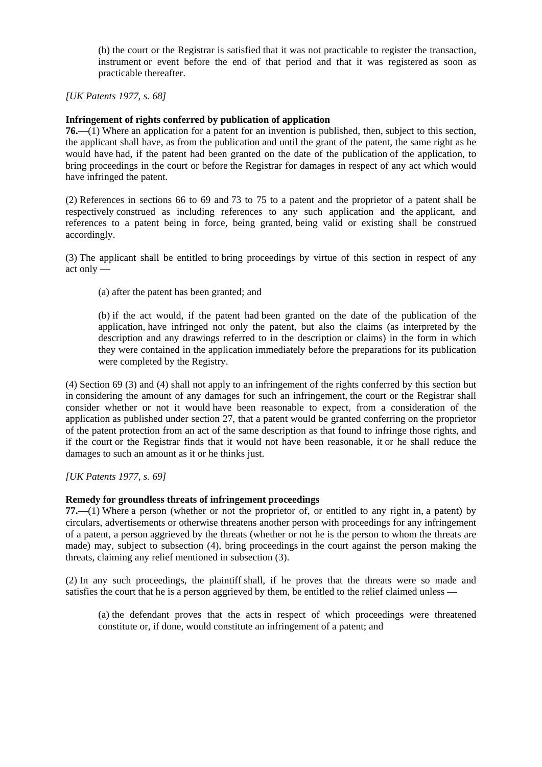(b) the court or the Registrar is satisfied that it was not practicable to register the transaction, instrument or event before the end of that period and that it was registered as soon as practicable thereafter.

*[UK Patents 1977, s. 68]* 

## **Infringement of rights conferred by publication of application**

**76.**—(1) Where an application for a patent for an invention is published, then, subject to this section, the applicant shall have, as from the publication and until the grant of the patent, the same right as he would have had, if the patent had been granted on the date of the publication of the application, to bring proceedings in the court or before the Registrar for damages in respect of any act which would have infringed the patent.

(2) References in sections 66 to 69 and 73 to 75 to a patent and the proprietor of a patent shall be respectively construed as including references to any such application and the applicant, and references to a patent being in force, being granted, being valid or existing shall be construed accordingly.

(3) The applicant shall be entitled to bring proceedings by virtue of this section in respect of any act only —

(a) after the patent has been granted; and

(b) if the act would, if the patent had been granted on the date of the publication of the application, have infringed not only the patent, but also the claims (as interpreted by the description and any drawings referred to in the description or claims) in the form in which they were contained in the application immediately before the preparations for its publication were completed by the Registry.

(4) Section 69 (3) and (4) shall not apply to an infringement of the rights conferred by this section but in considering the amount of any damages for such an infringement, the court or the Registrar shall consider whether or not it would have been reasonable to expect, from a consideration of the application as published under section 27, that a patent would be granted conferring on the proprietor of the patent protection from an act of the same description as that found to infringe those rights, and if the court or the Registrar finds that it would not have been reasonable, it or he shall reduce the damages to such an amount as it or he thinks just.

*[UK Patents 1977, s. 69]* 

### **Remedy for groundless threats of infringement proceedings**

**77.**—(1) Where a person (whether or not the proprietor of, or entitled to any right in, a patent) by circulars, advertisements or otherwise threatens another person with proceedings for any infringement of a patent, a person aggrieved by the threats (whether or not he is the person to whom the threats are made) may, subject to subsection (4), bring proceedings in the court against the person making the threats, claiming any relief mentioned in subsection (3).

(2) In any such proceedings, the plaintiff shall, if he proves that the threats were so made and satisfies the court that he is a person aggrieved by them, be entitled to the relief claimed unless –

(a) the defendant proves that the acts in respect of which proceedings were threatened constitute or, if done, would constitute an infringement of a patent; and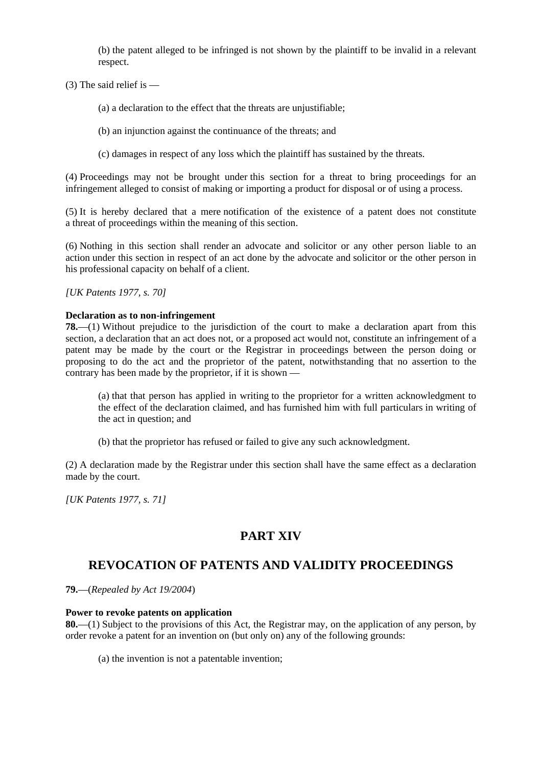(b) the patent alleged to be infringed is not shown by the plaintiff to be invalid in a relevant respect.

(3) The said relief is —

- (a) a declaration to the effect that the threats are unjustifiable;
- (b) an injunction against the continuance of the threats; and
- (c) damages in respect of any loss which the plaintiff has sustained by the threats.

(4) Proceedings may not be brought under this section for a threat to bring proceedings for an infringement alleged to consist of making or importing a product for disposal or of using a process.

(5) It is hereby declared that a mere notification of the existence of a patent does not constitute a threat of proceedings within the meaning of this section.

(6) Nothing in this section shall render an advocate and solicitor or any other person liable to an action under this section in respect of an act done by the advocate and solicitor or the other person in his professional capacity on behalf of a client.

*[UK Patents 1977, s. 70]* 

### **Declaration as to non-infringement**

**78.**—(1) Without prejudice to the jurisdiction of the court to make a declaration apart from this section, a declaration that an act does not, or a proposed act would not, constitute an infringement of a patent may be made by the court or the Registrar in proceedings between the person doing or proposing to do the act and the proprietor of the patent, notwithstanding that no assertion to the contrary has been made by the proprietor, if it is shown —

(a) that that person has applied in writing to the proprietor for a written acknowledgment to the effect of the declaration claimed, and has furnished him with full particulars in writing of the act in question; and

(b) that the proprietor has refused or failed to give any such acknowledgment.

(2) A declaration made by the Registrar under this section shall have the same effect as a declaration made by the court.

*[UK Patents 1977, s. 71]* 

## **PART XIV**

## **REVOCATION OF PATENTS AND VALIDITY PROCEEDINGS**

**79.**—(*Repealed by Act 19/2004*)

### **Power to revoke patents on application**

**80.**—(1) Subject to the provisions of this Act, the Registrar may, on the application of any person, by order revoke a patent for an invention on (but only on) any of the following grounds:

(a) the invention is not a patentable invention;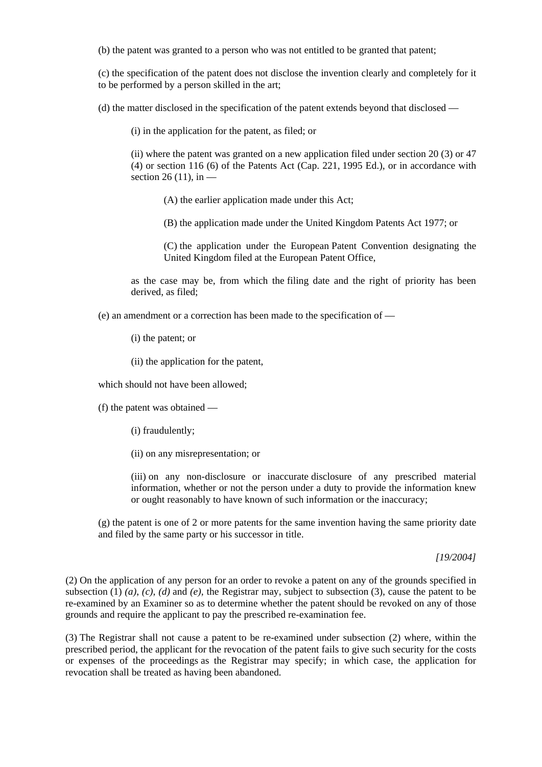(b) the patent was granted to a person who was not entitled to be granted that patent;

(c) the specification of the patent does not disclose the invention clearly and completely for it to be performed by a person skilled in the art;

(d) the matter disclosed in the specification of the patent extends beyond that disclosed —

(i) in the application for the patent, as filed; or

(ii) where the patent was granted on a new application filed under section 20 (3) or 47 (4) or section 116 (6) of the Patents Act (Cap. 221, 1995 Ed.), or in accordance with section 26 (11), in  $-$ 

(A) the earlier application made under this Act;

(B) the application made under the United Kingdom Patents Act 1977; or

(C) the application under the European Patent Convention designating the United Kingdom filed at the European Patent Office,

as the case may be, from which the filing date and the right of priority has been derived, as filed;

(e) an amendment or a correction has been made to the specification of —

(i) the patent; or

(ii) the application for the patent,

which should not have been allowed;

(f) the patent was obtained —

(i) fraudulently;

(ii) on any misrepresentation; or

(iii) on any non-disclosure or inaccurate disclosure of any prescribed material information, whether or not the person under a duty to provide the information knew or ought reasonably to have known of such information or the inaccuracy;

(g) the patent is one of 2 or more patents for the same invention having the same priority date and filed by the same party or his successor in title.

*[19/2004]* 

(2) On the application of any person for an order to revoke a patent on any of the grounds specified in subsection (1) *(a)*, *(c)*, *(d)* and *(e)*, the Registrar may, subject to subsection (3), cause the patent to be re-examined by an Examiner so as to determine whether the patent should be revoked on any of those grounds and require the applicant to pay the prescribed re-examination fee.

(3) The Registrar shall not cause a patent to be re-examined under subsection (2) where, within the prescribed period, the applicant for the revocation of the patent fails to give such security for the costs or expenses of the proceedings as the Registrar may specify; in which case, the application for revocation shall be treated as having been abandoned.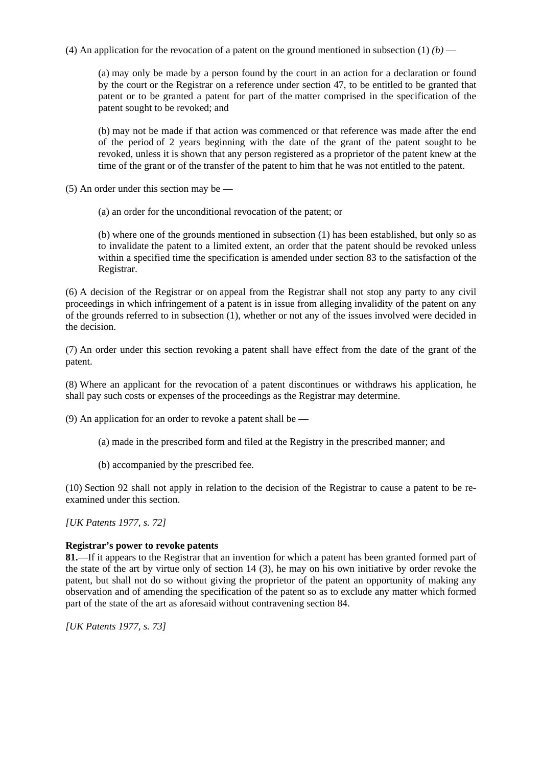(4) An application for the revocation of a patent on the ground mentioned in subsection  $(1)$   $(b)$  —

(a) may only be made by a person found by the court in an action for a declaration or found by the court or the Registrar on a reference under section 47, to be entitled to be granted that patent or to be granted a patent for part of the matter comprised in the specification of the patent sought to be revoked; and

(b) may not be made if that action was commenced or that reference was made after the end of the period of 2 years beginning with the date of the grant of the patent sought to be revoked, unless it is shown that any person registered as a proprietor of the patent knew at the time of the grant or of the transfer of the patent to him that he was not entitled to the patent.

(5) An order under this section may be —

(a) an order for the unconditional revocation of the patent; or

(b) where one of the grounds mentioned in subsection (1) has been established, but only so as to invalidate the patent to a limited extent, an order that the patent should be revoked unless within a specified time the specification is amended under section 83 to the satisfaction of the Registrar.

(6) A decision of the Registrar or on appeal from the Registrar shall not stop any party to any civil proceedings in which infringement of a patent is in issue from alleging invalidity of the patent on any of the grounds referred to in subsection (1), whether or not any of the issues involved were decided in the decision.

(7) An order under this section revoking a patent shall have effect from the date of the grant of the patent.

(8) Where an applicant for the revocation of a patent discontinues or withdraws his application, he shall pay such costs or expenses of the proceedings as the Registrar may determine.

(9) An application for an order to revoke a patent shall be —

- (a) made in the prescribed form and filed at the Registry in the prescribed manner; and
- (b) accompanied by the prescribed fee.

(10) Section 92 shall not apply in relation to the decision of the Registrar to cause a patent to be reexamined under this section.

*[UK Patents 1977, s. 72]* 

### **Registrar's power to revoke patents**

**81.**—If it appears to the Registrar that an invention for which a patent has been granted formed part of the state of the art by virtue only of section 14 (3), he may on his own initiative by order revoke the patent, but shall not do so without giving the proprietor of the patent an opportunity of making any observation and of amending the specification of the patent so as to exclude any matter which formed part of the state of the art as aforesaid without contravening section 84.

*[UK Patents 1977, s. 73]*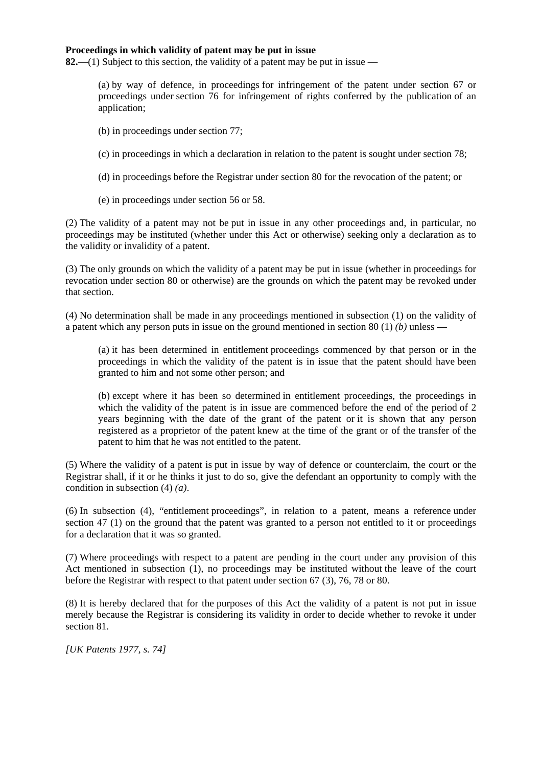### **Proceedings in which validity of patent may be put in issue**

**82.**—(1) Subject to this section, the validity of a patent may be put in issue —

(a) by way of defence, in proceedings for infringement of the patent under section 67 or proceedings under section 76 for infringement of rights conferred by the publication of an application;

- (b) in proceedings under section 77;
- (c) in proceedings in which a declaration in relation to the patent is sought under section 78;
- (d) in proceedings before the Registrar under section 80 for the revocation of the patent; or
- (e) in proceedings under section 56 or 58.

(2) The validity of a patent may not be put in issue in any other proceedings and, in particular, no proceedings may be instituted (whether under this Act or otherwise) seeking only a declaration as to the validity or invalidity of a patent.

(3) The only grounds on which the validity of a patent may be put in issue (whether in proceedings for revocation under section 80 or otherwise) are the grounds on which the patent may be revoked under that section.

(4) No determination shall be made in any proceedings mentioned in subsection (1) on the validity of a patent which any person puts in issue on the ground mentioned in section 80 (1) *(b)* unless —

(a) it has been determined in entitlement proceedings commenced by that person or in the proceedings in which the validity of the patent is in issue that the patent should have been granted to him and not some other person; and

(b) except where it has been so determined in entitlement proceedings, the proceedings in which the validity of the patent is in issue are commenced before the end of the period of 2 years beginning with the date of the grant of the patent or it is shown that any person registered as a proprietor of the patent knew at the time of the grant or of the transfer of the patent to him that he was not entitled to the patent.

(5) Where the validity of a patent is put in issue by way of defence or counterclaim, the court or the Registrar shall, if it or he thinks it just to do so, give the defendant an opportunity to comply with the condition in subsection (4) *(a)*.

(6) In subsection (4), "entitlement proceedings", in relation to a patent, means a reference under section 47 (1) on the ground that the patent was granted to a person not entitled to it or proceedings for a declaration that it was so granted.

(7) Where proceedings with respect to a patent are pending in the court under any provision of this Act mentioned in subsection (1), no proceedings may be instituted without the leave of the court before the Registrar with respect to that patent under section 67 (3), 76, 78 or 80.

(8) It is hereby declared that for the purposes of this Act the validity of a patent is not put in issue merely because the Registrar is considering its validity in order to decide whether to revoke it under section 81.

*[UK Patents 1977, s. 74]*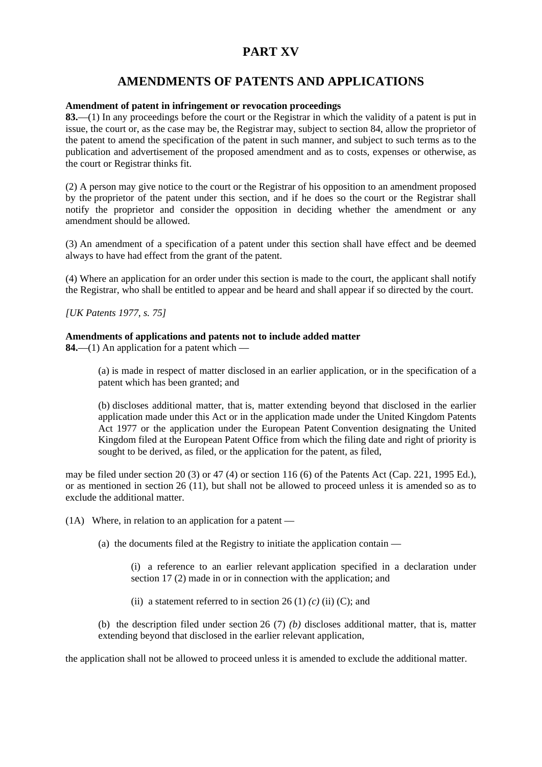# **PART XV**

# **AMENDMENTS OF PATENTS AND APPLICATIONS**

### **Amendment of patent in infringement or revocation proceedings**

**83.**—(1) In any proceedings before the court or the Registrar in which the validity of a patent is put in issue, the court or, as the case may be, the Registrar may, subject to section 84, allow the proprietor of the patent to amend the specification of the patent in such manner, and subject to such terms as to the publication and advertisement of the proposed amendment and as to costs, expenses or otherwise, as the court or Registrar thinks fit.

(2) A person may give notice to the court or the Registrar of his opposition to an amendment proposed by the proprietor of the patent under this section, and if he does so the court or the Registrar shall notify the proprietor and consider the opposition in deciding whether the amendment or any amendment should be allowed.

(3) An amendment of a specification of a patent under this section shall have effect and be deemed always to have had effect from the grant of the patent.

(4) Where an application for an order under this section is made to the court, the applicant shall notify the Registrar, who shall be entitled to appear and be heard and shall appear if so directed by the court.

*[UK Patents 1977, s. 75]* 

### **Amendments of applications and patents not to include added matter**

**84.**—(1) An application for a patent which —

(a) is made in respect of matter disclosed in an earlier application, or in the specification of a patent which has been granted; and

(b) discloses additional matter, that is, matter extending beyond that disclosed in the earlier application made under this Act or in the application made under the United Kingdom Patents Act 1977 or the application under the European Patent Convention designating the United Kingdom filed at the European Patent Office from which the filing date and right of priority is sought to be derived, as filed, or the application for the patent, as filed,

may be filed under section 20 (3) or 47 (4) or section 116 (6) of the Patents Act (Cap. 221, 1995 Ed.), or as mentioned in section 26 (11), but shall not be allowed to proceed unless it is amended so as to exclude the additional matter.

(1A) Where, in relation to an application for a patent —

(a) the documents filed at the Registry to initiate the application contain —

(i) a reference to an earlier relevant application specified in a declaration under section 17 (2) made in or in connection with the application; and

(ii) a statement referred to in section 26 (1)  $(c)$  (ii)  $(C)$ ; and

(b) the description filed under section 26 (7) *(b)* discloses additional matter, that is, matter extending beyond that disclosed in the earlier relevant application,

the application shall not be allowed to proceed unless it is amended to exclude the additional matter.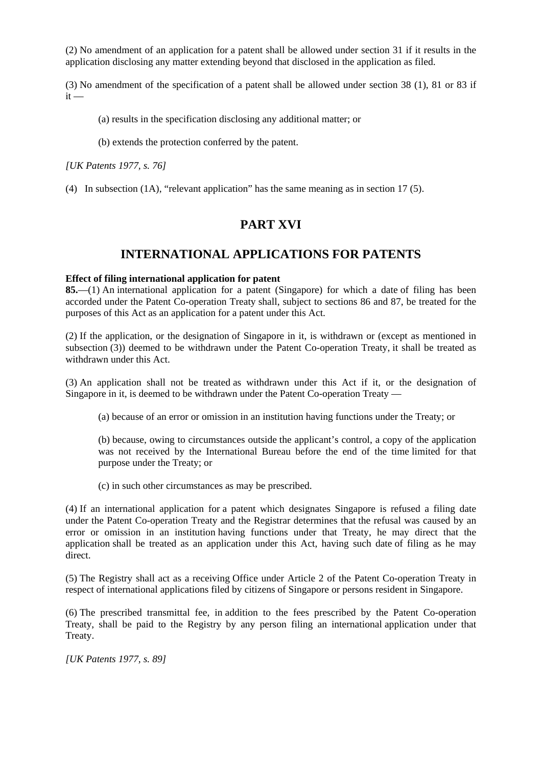(2) No amendment of an application for a patent shall be allowed under section 31 if it results in the application disclosing any matter extending beyond that disclosed in the application as filed.

(3) No amendment of the specification of a patent shall be allowed under section 38 (1), 81 or 83 if  $it -$ 

- (a) results in the specification disclosing any additional matter; or
- (b) extends the protection conferred by the patent.

*[UK Patents 1977, s. 76]* 

(4) In subsection (1A), "relevant application" has the same meaning as in section 17 (5).

# **PART XVI**

## **INTERNATIONAL APPLICATIONS FOR PATENTS**

### **Effect of filing international application for patent**

**85.**—(1) An international application for a patent (Singapore) for which a date of filing has been accorded under the Patent Co-operation Treaty shall, subject to sections 86 and 87, be treated for the purposes of this Act as an application for a patent under this Act.

(2) If the application, or the designation of Singapore in it, is withdrawn or (except as mentioned in subsection (3)) deemed to be withdrawn under the Patent Co-operation Treaty, it shall be treated as withdrawn under this Act.

(3) An application shall not be treated as withdrawn under this Act if it, or the designation of Singapore in it, is deemed to be withdrawn under the Patent Co-operation Treaty —

(a) because of an error or omission in an institution having functions under the Treaty; or

(b) because, owing to circumstances outside the applicant's control, a copy of the application was not received by the International Bureau before the end of the time limited for that purpose under the Treaty; or

(c) in such other circumstances as may be prescribed.

(4) If an international application for a patent which designates Singapore is refused a filing date under the Patent Co-operation Treaty and the Registrar determines that the refusal was caused by an error or omission in an institution having functions under that Treaty, he may direct that the application shall be treated as an application under this Act, having such date of filing as he may direct.

(5) The Registry shall act as a receiving Office under Article 2 of the Patent Co-operation Treaty in respect of international applications filed by citizens of Singapore or persons resident in Singapore.

(6) The prescribed transmittal fee, in addition to the fees prescribed by the Patent Co-operation Treaty, shall be paid to the Registry by any person filing an international application under that Treaty.

*[UK Patents 1977, s. 89]*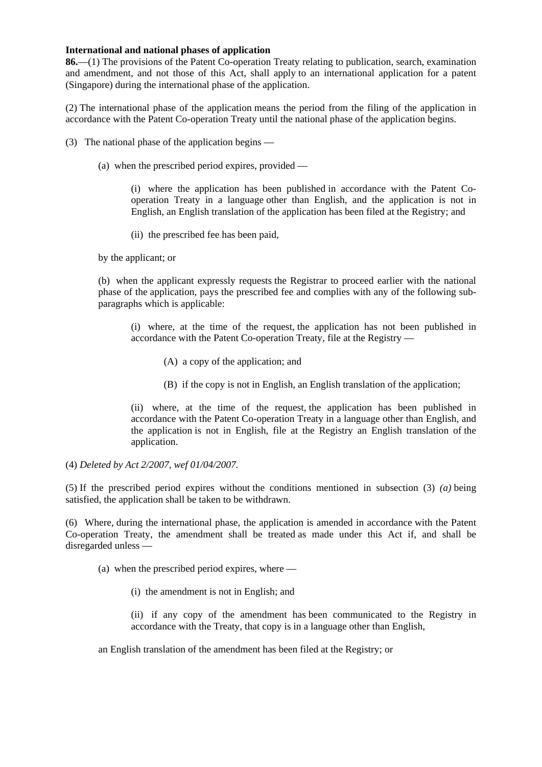### **International and national phases of application**

**86.**—(1) The provisions of the Patent Co-operation Treaty relating to publication, search, examination and amendment, and not those of this Act, shall apply to an international application for a patent (Singapore) during the international phase of the application.

(2) The international phase of the application means the period from the filing of the application in accordance with the Patent Co-operation Treaty until the national phase of the application begins.

- (3) The national phase of the application begins
	- (a) when the prescribed period expires, provided —

(i) where the application has been published in accordance with the Patent Cooperation Treaty in a language other than English, and the application is not in English, an English translation of the application has been filed at the Registry; and

(ii) the prescribed fee has been paid,

by the applicant; or

(b) when the applicant expressly requests the Registrar to proceed earlier with the national phase of the application, pays the prescribed fee and complies with any of the following subparagraphs which is applicable:

(i) where, at the time of the request, the application has not been published in accordance with the Patent Co-operation Treaty, file at the Registry —

- (A) a copy of the application; and
- (B) if the copy is not in English, an English translation of the application;

(ii) where, at the time of the request, the application has been published in accordance with the Patent Co-operation Treaty in a language other than English, and the application is not in English, file at the Registry an English translation of the application.

(4) *Deleted by Act 2/2007, wef 01/04/2007.* 

(5) If the prescribed period expires without the conditions mentioned in subsection (3) *(a)* being satisfied, the application shall be taken to be withdrawn.

(6) Where, during the international phase, the application is amended in accordance with the Patent Co-operation Treaty, the amendment shall be treated as made under this Act if, and shall be disregarded unless —

- (a) when the prescribed period expires, where
	- (i) the amendment is not in English; and

(ii) if any copy of the amendment has been communicated to the Registry in accordance with the Treaty, that copy is in a language other than English,

an English translation of the amendment has been filed at the Registry; or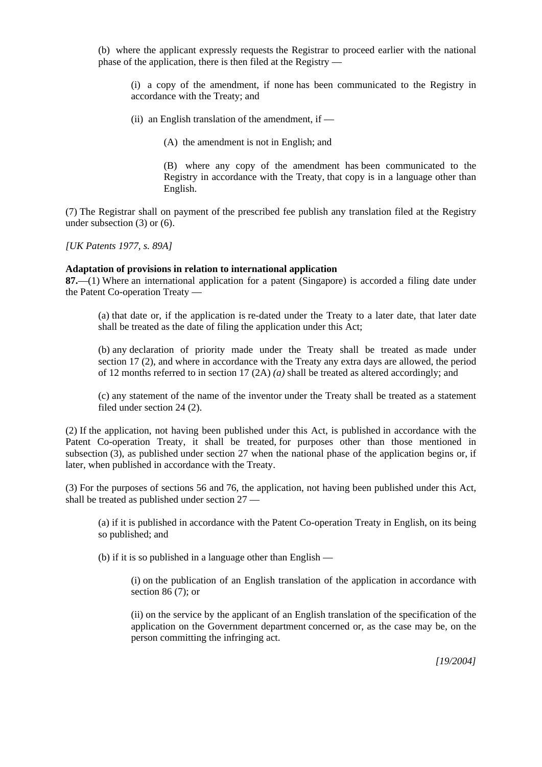(b) where the applicant expressly requests the Registrar to proceed earlier with the national phase of the application, there is then filed at the Registry —

(i) a copy of the amendment, if none has been communicated to the Registry in accordance with the Treaty; and

(ii) an English translation of the amendment, if  $-$ 

(A) the amendment is not in English; and

(B) where any copy of the amendment has been communicated to the Registry in accordance with the Treaty, that copy is in a language other than English.

(7) The Registrar shall on payment of the prescribed fee publish any translation filed at the Registry under subsection (3) or (6).

### *[UK Patents 1977, s. 89A]*

### **Adaptation of provisions in relation to international application**

**87.**—(1) Where an international application for a patent (Singapore) is accorded a filing date under the Patent Co-operation Treaty —

(a) that date or, if the application is re-dated under the Treaty to a later date, that later date shall be treated as the date of filing the application under this Act;

(b) any declaration of priority made under the Treaty shall be treated as made under section 17 (2), and where in accordance with the Treaty any extra days are allowed, the period of 12 months referred to in section 17 (2A) *(a)* shall be treated as altered accordingly; and

(c) any statement of the name of the inventor under the Treaty shall be treated as a statement filed under section 24 (2).

(2) If the application, not having been published under this Act, is published in accordance with the Patent Co-operation Treaty, it shall be treated, for purposes other than those mentioned in subsection (3), as published under section 27 when the national phase of the application begins or, if later, when published in accordance with the Treaty.

(3) For the purposes of sections 56 and 76, the application, not having been published under this Act, shall be treated as published under section 27 —

(a) if it is published in accordance with the Patent Co-operation Treaty in English, on its being so published; and

(b) if it is so published in a language other than English —

(i) on the publication of an English translation of the application in accordance with section  $86(7)$ ; or

(ii) on the service by the applicant of an English translation of the specification of the application on the Government department concerned or, as the case may be, on the person committing the infringing act.

*[19/2004]*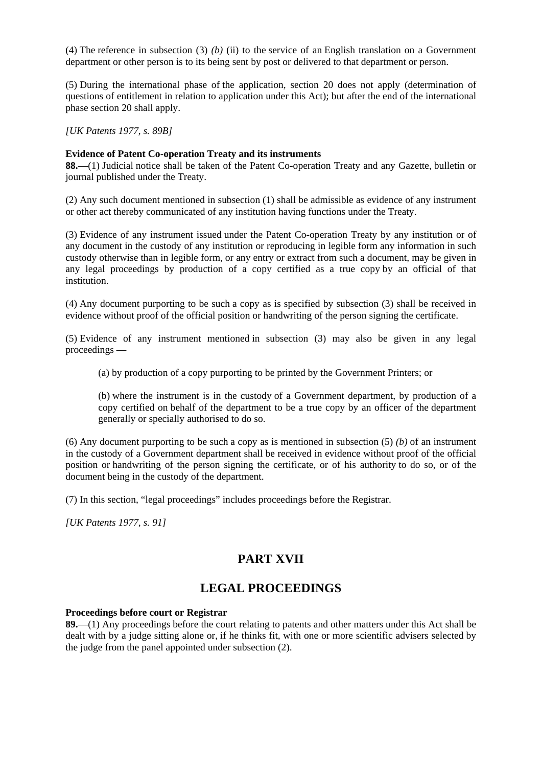(4) The reference in subsection (3) *(b)* (ii) to the service of an English translation on a Government department or other person is to its being sent by post or delivered to that department or person.

(5) During the international phase of the application, section 20 does not apply (determination of questions of entitlement in relation to application under this Act); but after the end of the international phase section 20 shall apply.

*[UK Patents 1977, s. 89B]* 

### **Evidence of Patent Co-operation Treaty and its instruments**

**88.**—(1) Judicial notice shall be taken of the Patent Co-operation Treaty and any Gazette, bulletin or journal published under the Treaty.

(2) Any such document mentioned in subsection (1) shall be admissible as evidence of any instrument or other act thereby communicated of any institution having functions under the Treaty.

(3) Evidence of any instrument issued under the Patent Co-operation Treaty by any institution or of any document in the custody of any institution or reproducing in legible form any information in such custody otherwise than in legible form, or any entry or extract from such a document, may be given in any legal proceedings by production of a copy certified as a true copy by an official of that institution.

(4) Any document purporting to be such a copy as is specified by subsection (3) shall be received in evidence without proof of the official position or handwriting of the person signing the certificate.

(5) Evidence of any instrument mentioned in subsection (3) may also be given in any legal proceedings —

(a) by production of a copy purporting to be printed by the Government Printers; or

(b) where the instrument is in the custody of a Government department, by production of a copy certified on behalf of the department to be a true copy by an officer of the department generally or specially authorised to do so.

(6) Any document purporting to be such a copy as is mentioned in subsection (5) *(b)* of an instrument in the custody of a Government department shall be received in evidence without proof of the official position or handwriting of the person signing the certificate, or of his authority to do so, or of the document being in the custody of the department.

(7) In this section, "legal proceedings" includes proceedings before the Registrar.

*[UK Patents 1977, s. 91]* 

# **PART XVII**

## **LEGAL PROCEEDINGS**

#### **Proceedings before court or Registrar**

**89.**—(1) Any proceedings before the court relating to patents and other matters under this Act shall be dealt with by a judge sitting alone or, if he thinks fit, with one or more scientific advisers selected by the judge from the panel appointed under subsection (2).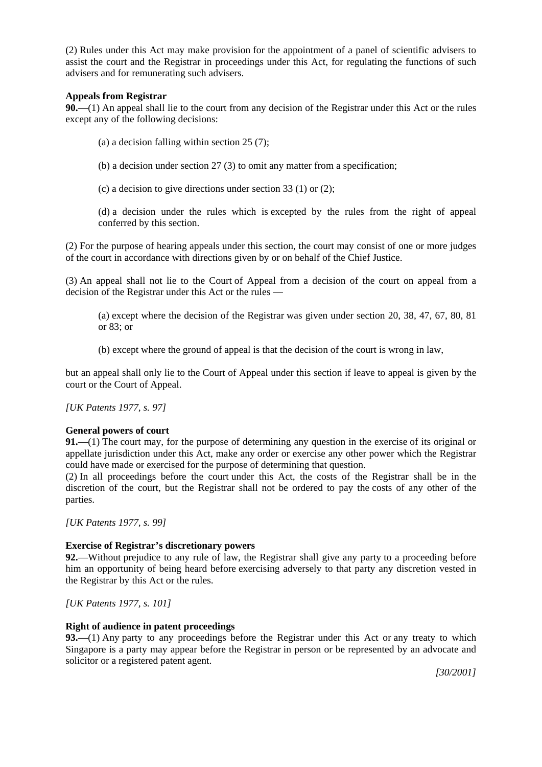(2) Rules under this Act may make provision for the appointment of a panel of scientific advisers to assist the court and the Registrar in proceedings under this Act, for regulating the functions of such advisers and for remunerating such advisers.

### **Appeals from Registrar**

**90.**—(1) An appeal shall lie to the court from any decision of the Registrar under this Act or the rules except any of the following decisions:

- (a) a decision falling within section 25 (7);
- (b) a decision under section 27 (3) to omit any matter from a specification;

(c) a decision to give directions under section 33 (1) or (2);

(d) a decision under the rules which is excepted by the rules from the right of appeal conferred by this section.

(2) For the purpose of hearing appeals under this section, the court may consist of one or more judges of the court in accordance with directions given by or on behalf of the Chief Justice.

(3) An appeal shall not lie to the Court of Appeal from a decision of the court on appeal from a decision of the Registrar under this Act or the rules —

(a) except where the decision of the Registrar was given under section 20, 38, 47, 67, 80, 81 or 83; or

(b) except where the ground of appeal is that the decision of the court is wrong in law,

but an appeal shall only lie to the Court of Appeal under this section if leave to appeal is given by the court or the Court of Appeal.

*[UK Patents 1977, s. 97]* 

### **General powers of court**

**91.**—(1) The court may, for the purpose of determining any question in the exercise of its original or appellate jurisdiction under this Act, make any order or exercise any other power which the Registrar could have made or exercised for the purpose of determining that question.

(2) In all proceedings before the court under this Act, the costs of the Registrar shall be in the discretion of the court, but the Registrar shall not be ordered to pay the costs of any other of the parties.

*[UK Patents 1977, s. 99]* 

### **Exercise of Registrar's discretionary powers**

**92.**—Without prejudice to any rule of law, the Registrar shall give any party to a proceeding before him an opportunity of being heard before exercising adversely to that party any discretion vested in the Registrar by this Act or the rules.

*[UK Patents 1977, s. 101]* 

### **Right of audience in patent proceedings**

**93.**—(1) Any party to any proceedings before the Registrar under this Act or any treaty to which Singapore is a party may appear before the Registrar in person or be represented by an advocate and solicitor or a registered patent agent.

*[30/2001]*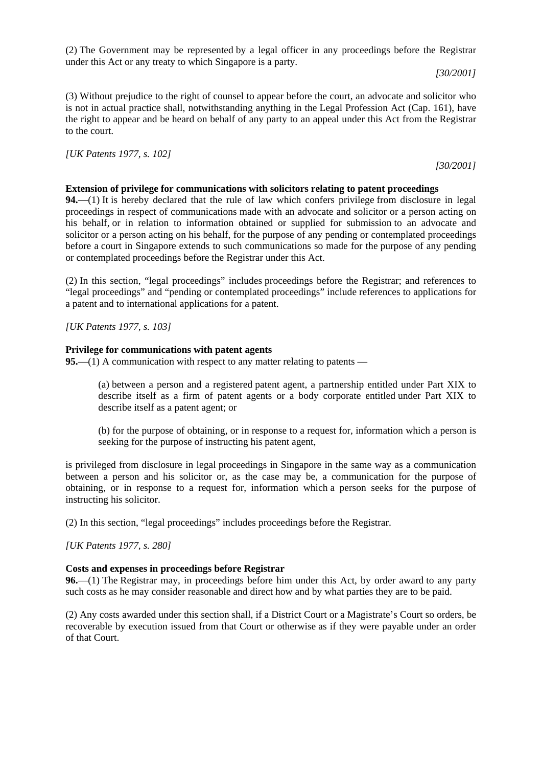(2) The Government may be represented by a legal officer in any proceedings before the Registrar under this Act or any treaty to which Singapore is a party.

*[30/2001]* 

(3) Without prejudice to the right of counsel to appear before the court, an advocate and solicitor who is not in actual practice shall, notwithstanding anything in the Legal Profession Act (Cap. 161), have the right to appear and be heard on behalf of any party to an appeal under this Act from the Registrar to the court.

*[UK Patents 1977, s. 102]* 

### **Extension of privilege for communications with solicitors relating to patent proceedings**

**94.**—(1) It is hereby declared that the rule of law which confers privilege from disclosure in legal proceedings in respect of communications made with an advocate and solicitor or a person acting on his behalf, or in relation to information obtained or supplied for submission to an advocate and solicitor or a person acting on his behalf, for the purpose of any pending or contemplated proceedings before a court in Singapore extends to such communications so made for the purpose of any pending or contemplated proceedings before the Registrar under this Act.

(2) In this section, "legal proceedings" includes proceedings before the Registrar; and references to "legal proceedings" and "pending or contemplated proceedings" include references to applications for a patent and to international applications for a patent.

*[UK Patents 1977, s. 103]* 

### **Privilege for communications with patent agents**

**95.**—(1) A communication with respect to any matter relating to patents —

(a) between a person and a registered patent agent, a partnership entitled under Part XIX to describe itself as a firm of patent agents or a body corporate entitled under Part XIX to describe itself as a patent agent; or

(b) for the purpose of obtaining, or in response to a request for, information which a person is seeking for the purpose of instructing his patent agent,

is privileged from disclosure in legal proceedings in Singapore in the same way as a communication between a person and his solicitor or, as the case may be, a communication for the purpose of obtaining, or in response to a request for, information which a person seeks for the purpose of instructing his solicitor.

(2) In this section, "legal proceedings" includes proceedings before the Registrar.

*[UK Patents 1977, s. 280]* 

### **Costs and expenses in proceedings before Registrar**

**96.**—(1) The Registrar may, in proceedings before him under this Act, by order award to any party such costs as he may consider reasonable and direct how and by what parties they are to be paid.

(2) Any costs awarded under this section shall, if a District Court or a Magistrate's Court so orders, be recoverable by execution issued from that Court or otherwise as if they were payable under an order of that Court.

*[30/2001]*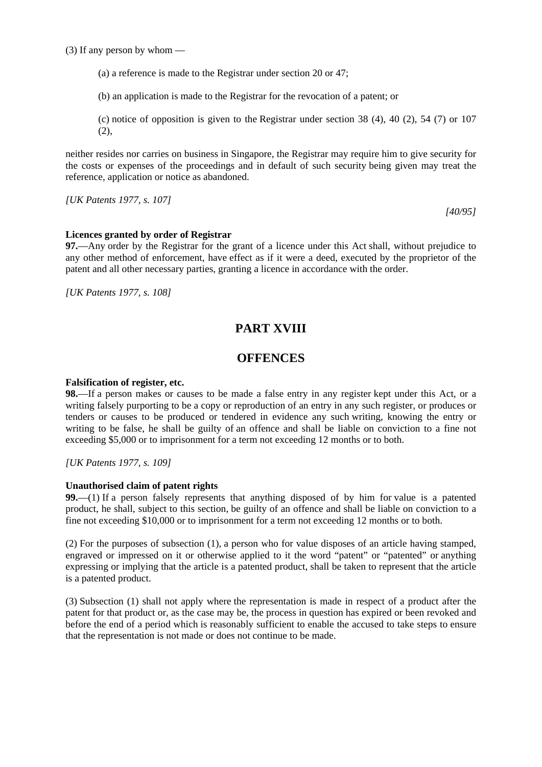(3) If any person by whom —

- (a) a reference is made to the Registrar under section 20 or 47;
- (b) an application is made to the Registrar for the revocation of a patent; or
- (c) notice of opposition is given to the Registrar under section 38 (4), 40 (2), 54 (7) or 107 (2),

neither resides nor carries on business in Singapore, the Registrar may require him to give security for the costs or expenses of the proceedings and in default of such security being given may treat the reference, application or notice as abandoned.

*[UK Patents 1977, s. 107]* 

*[40/95]* 

### **Licences granted by order of Registrar**

**97.**—Any order by the Registrar for the grant of a licence under this Act shall, without prejudice to any other method of enforcement, have effect as if it were a deed, executed by the proprietor of the patent and all other necessary parties, granting a licence in accordance with the order.

*[UK Patents 1977, s. 108]* 

## **PART XVIII**

### **OFFENCES**

#### **Falsification of register, etc.**

**98.**—If a person makes or causes to be made a false entry in any register kept under this Act, or a writing falsely purporting to be a copy or reproduction of an entry in any such register, or produces or tenders or causes to be produced or tendered in evidence any such writing, knowing the entry or writing to be false, he shall be guilty of an offence and shall be liable on conviction to a fine not exceeding \$5,000 or to imprisonment for a term not exceeding 12 months or to both.

### *[UK Patents 1977, s. 109]*

#### **Unauthorised claim of patent rights**

**99.**—(1) If a person falsely represents that anything disposed of by him for value is a patented product, he shall, subject to this section, be guilty of an offence and shall be liable on conviction to a fine not exceeding \$10,000 or to imprisonment for a term not exceeding 12 months or to both.

(2) For the purposes of subsection (1), a person who for value disposes of an article having stamped, engraved or impressed on it or otherwise applied to it the word "patent" or "patented" or anything expressing or implying that the article is a patented product, shall be taken to represent that the article is a patented product.

(3) Subsection (1) shall not apply where the representation is made in respect of a product after the patent for that product or, as the case may be, the process in question has expired or been revoked and before the end of a period which is reasonably sufficient to enable the accused to take steps to ensure that the representation is not made or does not continue to be made.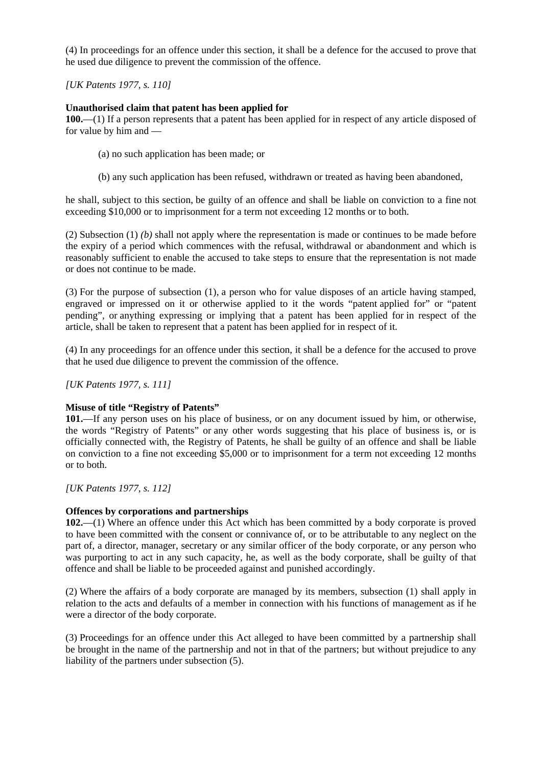(4) In proceedings for an offence under this section, it shall be a defence for the accused to prove that he used due diligence to prevent the commission of the offence.

### *[UK Patents 1977, s. 110]*

### **Unauthorised claim that patent has been applied for**

**100.**—(1) If a person represents that a patent has been applied for in respect of any article disposed of for value by him and —

- (a) no such application has been made; or
- (b) any such application has been refused, withdrawn or treated as having been abandoned,

he shall, subject to this section, be guilty of an offence and shall be liable on conviction to a fine not exceeding \$10,000 or to imprisonment for a term not exceeding 12 months or to both.

(2) Subsection (1) *(b)* shall not apply where the representation is made or continues to be made before the expiry of a period which commences with the refusal, withdrawal or abandonment and which is reasonably sufficient to enable the accused to take steps to ensure that the representation is not made or does not continue to be made.

(3) For the purpose of subsection (1), a person who for value disposes of an article having stamped, engraved or impressed on it or otherwise applied to it the words "patent applied for" or "patent pending", or anything expressing or implying that a patent has been applied for in respect of the article, shall be taken to represent that a patent has been applied for in respect of it.

(4) In any proceedings for an offence under this section, it shall be a defence for the accused to prove that he used due diligence to prevent the commission of the offence.

### *[UK Patents 1977, s. 111]*

### **Misuse of title "Registry of Patents"**

**101.**—If any person uses on his place of business, or on any document issued by him, or otherwise, the words "Registry of Patents" or any other words suggesting that his place of business is, or is officially connected with, the Registry of Patents, he shall be guilty of an offence and shall be liable on conviction to a fine not exceeding \$5,000 or to imprisonment for a term not exceeding 12 months or to both.

*[UK Patents 1977, s. 112]* 

### **Offences by corporations and partnerships**

**102.**—(1) Where an offence under this Act which has been committed by a body corporate is proved to have been committed with the consent or connivance of, or to be attributable to any neglect on the part of, a director, manager, secretary or any similar officer of the body corporate, or any person who was purporting to act in any such capacity, he, as well as the body corporate, shall be guilty of that offence and shall be liable to be proceeded against and punished accordingly.

(2) Where the affairs of a body corporate are managed by its members, subsection (1) shall apply in relation to the acts and defaults of a member in connection with his functions of management as if he were a director of the body corporate.

(3) Proceedings for an offence under this Act alleged to have been committed by a partnership shall be brought in the name of the partnership and not in that of the partners; but without prejudice to any liability of the partners under subsection (5).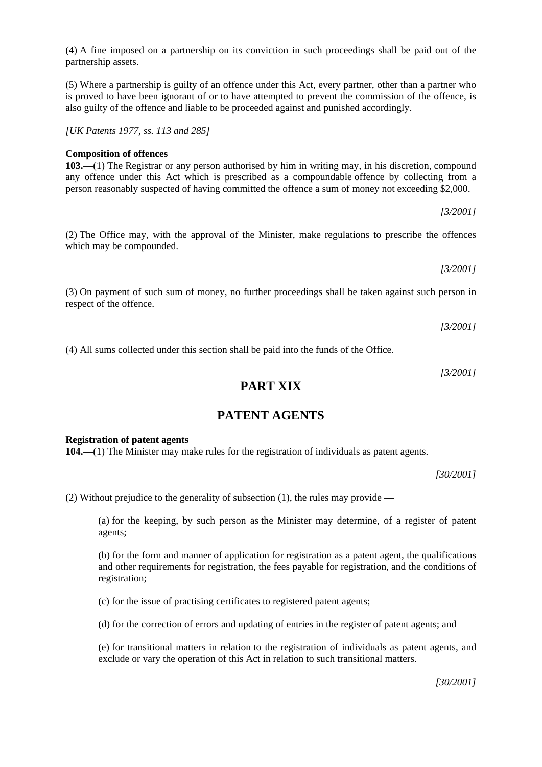(4) A fine imposed on a partnership on its conviction in such proceedings shall be paid out of the partnership assets.

(5) Where a partnership is guilty of an offence under this Act, every partner, other than a partner who is proved to have been ignorant of or to have attempted to prevent the commission of the offence, is also guilty of the offence and liable to be proceeded against and punished accordingly.

*[UK Patents 1977, ss. 113 and 285]* 

### **Composition of offences**

**103.**—(1) The Registrar or any person authorised by him in writing may, in his discretion, compound any offence under this Act which is prescribed as a compoundable offence by collecting from a person reasonably suspected of having committed the offence a sum of money not exceeding \$2,000.

*[3/2001]* 

(2) The Office may, with the approval of the Minister, make regulations to prescribe the offences which may be compounded.

*[3/2001]* 

(3) On payment of such sum of money, no further proceedings shall be taken against such person in respect of the offence.

*[3/2001]* 

(4) All sums collected under this section shall be paid into the funds of the Office.

*[3/2001]* 

# **PART XIX**

## **PATENT AGENTS**

#### **Registration of patent agents**

**104.**—(1) The Minister may make rules for the registration of individuals as patent agents.

*[30/2001]* 

(2) Without prejudice to the generality of subsection (1), the rules may provide —

(a) for the keeping, by such person as the Minister may determine, of a register of patent agents;

(b) for the form and manner of application for registration as a patent agent, the qualifications and other requirements for registration, the fees payable for registration, and the conditions of registration;

(c) for the issue of practising certificates to registered patent agents;

(d) for the correction of errors and updating of entries in the register of patent agents; and

(e) for transitional matters in relation to the registration of individuals as patent agents, and exclude or vary the operation of this Act in relation to such transitional matters.

*[30/2001]*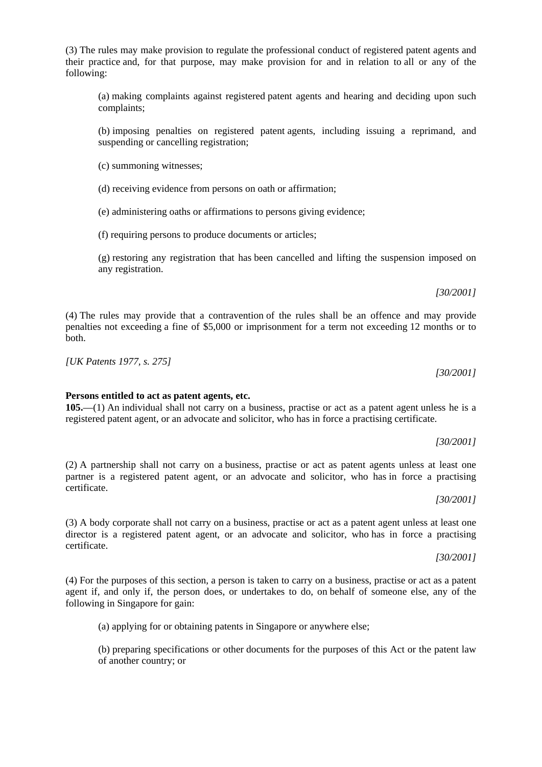(3) The rules may make provision to regulate the professional conduct of registered patent agents and their practice and, for that purpose, may make provision for and in relation to all or any of the following:

(a) making complaints against registered patent agents and hearing and deciding upon such complaints;

(b) imposing penalties on registered patent agents, including issuing a reprimand, and suspending or cancelling registration;

(c) summoning witnesses;

(d) receiving evidence from persons on oath or affirmation;

(e) administering oaths or affirmations to persons giving evidence;

(f) requiring persons to produce documents or articles;

(g) restoring any registration that has been cancelled and lifting the suspension imposed on any registration.

(4) The rules may provide that a contravention of the rules shall be an offence and may provide penalties not exceeding a fine of \$5,000 or imprisonment for a term not exceeding 12 months or to both.

*[UK Patents 1977, s. 275]* 

**Persons entitled to act as patent agents, etc.** 

**105.**—(1) An individual shall not carry on a business, practise or act as a patent agent unless he is a registered patent agent, or an advocate and solicitor, who has in force a practising certificate.

(2) A partnership shall not carry on a business, practise or act as patent agents unless at least one partner is a registered patent agent, or an advocate and solicitor, who has in force a practising certificate.

(3) A body corporate shall not carry on a business, practise or act as a patent agent unless at least one director is a registered patent agent, or an advocate and solicitor, who has in force a practising certificate.

(4) For the purposes of this section, a person is taken to carry on a business, practise or act as a patent agent if, and only if, the person does, or undertakes to do, on behalf of someone else, any of the following in Singapore for gain:

(a) applying for or obtaining patents in Singapore or anywhere else;

(b) preparing specifications or other documents for the purposes of this Act or the patent law of another country; or

*[30/2001]* 

*[30/2001]* 

*[30/2001]* 

*[30/2001]* 

*[30/2001]*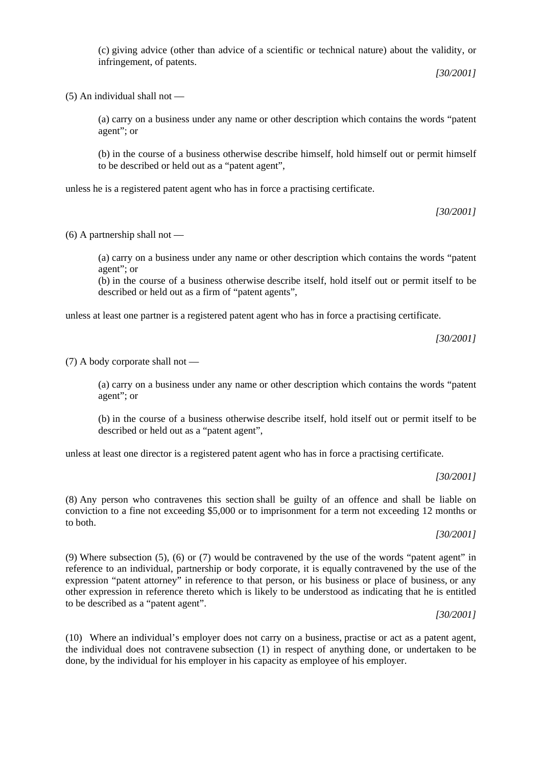(c) giving advice (other than advice of a scientific or technical nature) about the validity, or infringement, of patents.

*[30/2001]* 

 $(5)$  An individual shall not —

(a) carry on a business under any name or other description which contains the words "patent agent"; or

(b) in the course of a business otherwise describe himself, hold himself out or permit himself to be described or held out as a "patent agent",

unless he is a registered patent agent who has in force a practising certificate.

*[30/2001]* 

(6) A partnership shall not —

(a) carry on a business under any name or other description which contains the words "patent agent"; or

(b) in the course of a business otherwise describe itself, hold itself out or permit itself to be described or held out as a firm of "patent agents",

unless at least one partner is a registered patent agent who has in force a practising certificate.

*[30/2001]* 

(7) A body corporate shall not —

(a) carry on a business under any name or other description which contains the words "patent agent"; or

(b) in the course of a business otherwise describe itself, hold itself out or permit itself to be described or held out as a "patent agent",

unless at least one director is a registered patent agent who has in force a practising certificate.

*[30/2001]* 

(8) Any person who contravenes this section shall be guilty of an offence and shall be liable on conviction to a fine not exceeding \$5,000 or to imprisonment for a term not exceeding 12 months or to both.

*[30/2001]* 

(9) Where subsection (5), (6) or (7) would be contravened by the use of the words "patent agent" in reference to an individual, partnership or body corporate, it is equally contravened by the use of the expression "patent attorney" in reference to that person, or his business or place of business, or any other expression in reference thereto which is likely to be understood as indicating that he is entitled to be described as a "patent agent".

*[30/2001]* 

(10) Where an individual's employer does not carry on a business, practise or act as a patent agent, the individual does not contravene subsection (1) in respect of anything done, or undertaken to be done, by the individual for his employer in his capacity as employee of his employer.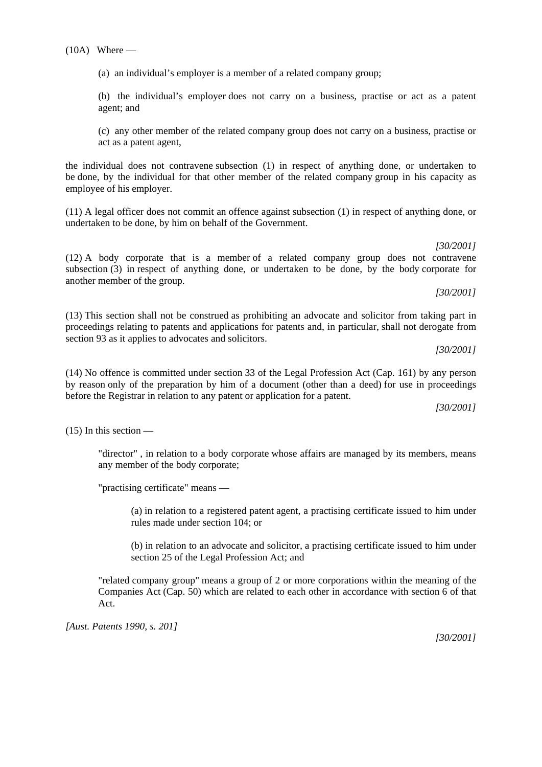(a) an individual's employer is a member of a related company group;

(b) the individual's employer does not carry on a business, practise or act as a patent agent; and

(c) any other member of the related company group does not carry on a business, practise or act as a patent agent,

the individual does not contravene subsection (1) in respect of anything done, or undertaken to be done, by the individual for that other member of the related company group in his capacity as employee of his employer.

(11) A legal officer does not commit an offence against subsection (1) in respect of anything done, or undertaken to be done, by him on behalf of the Government.

#### *[30/2001]*

*[30/2001]* 

(12) A body corporate that is a member of a related company group does not contravene subsection (3) in respect of anything done, or undertaken to be done, by the body corporate for another member of the group.

(13) This section shall not be construed as prohibiting an advocate and solicitor from taking part in proceedings relating to patents and applications for patents and, in particular, shall not derogate from section 93 as it applies to advocates and solicitors.

*[30/2001]* 

(14) No offence is committed under section 33 of the Legal Profession Act (Cap. 161) by any person by reason only of the preparation by him of a document (other than a deed) for use in proceedings before the Registrar in relation to any patent or application for a patent.

*[30/2001]* 

 $(15)$  In this section —

"director" , in relation to a body corporate whose affairs are managed by its members, means any member of the body corporate;

"practising certificate" means —

(a) in relation to a registered patent agent, a practising certificate issued to him under rules made under section 104; or

(b) in relation to an advocate and solicitor, a practising certificate issued to him under section 25 of the Legal Profession Act; and

"related company group" means a group of 2 or more corporations within the meaning of the Companies Act (Cap. 50) which are related to each other in accordance with section 6 of that Act.

*[Aust. Patents 1990, s. 201]* 

*[30/2001]* 

#### $(10A)$  Where —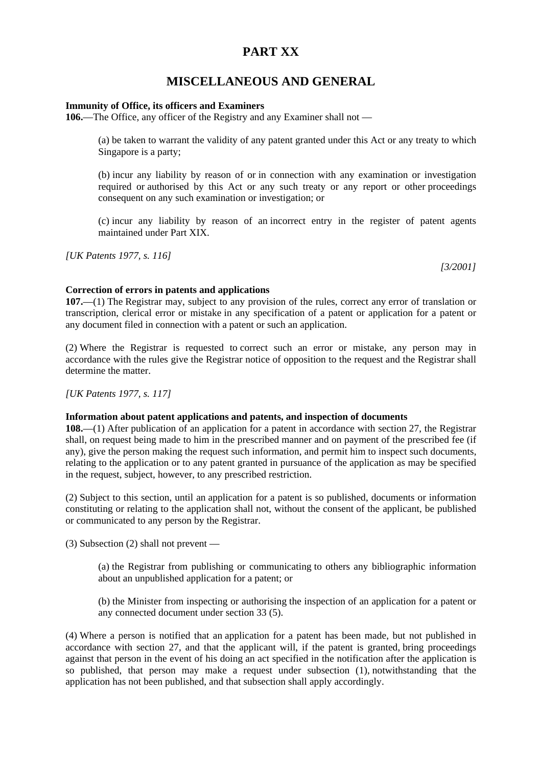# **PART XX**

## **MISCELLANEOUS AND GENERAL**

### **Immunity of Office, its officers and Examiners**

**106.**—The Office, any officer of the Registry and any Examiner shall not —

(a) be taken to warrant the validity of any patent granted under this Act or any treaty to which Singapore is a party;

(b) incur any liability by reason of or in connection with any examination or investigation required or authorised by this Act or any such treaty or any report or other proceedings consequent on any such examination or investigation; or

(c) incur any liability by reason of an incorrect entry in the register of patent agents maintained under Part XIX.

*[UK Patents 1977, s. 116]* 

*[3/2001]* 

### **Correction of errors in patents and applications**

**107.**—(1) The Registrar may, subject to any provision of the rules, correct any error of translation or transcription, clerical error or mistake in any specification of a patent or application for a patent or any document filed in connection with a patent or such an application.

(2) Where the Registrar is requested to correct such an error or mistake, any person may in accordance with the rules give the Registrar notice of opposition to the request and the Registrar shall determine the matter.

*[UK Patents 1977, s. 117]* 

#### **Information about patent applications and patents, and inspection of documents**

**108.**—(1) After publication of an application for a patent in accordance with section 27, the Registrar shall, on request being made to him in the prescribed manner and on payment of the prescribed fee (if any), give the person making the request such information, and permit him to inspect such documents, relating to the application or to any patent granted in pursuance of the application as may be specified in the request, subject, however, to any prescribed restriction.

(2) Subject to this section, until an application for a patent is so published, documents or information constituting or relating to the application shall not, without the consent of the applicant, be published or communicated to any person by the Registrar.

(3) Subsection (2) shall not prevent —

(a) the Registrar from publishing or communicating to others any bibliographic information about an unpublished application for a patent; or

(b) the Minister from inspecting or authorising the inspection of an application for a patent or any connected document under section 33 (5).

(4) Where a person is notified that an application for a patent has been made, but not published in accordance with section 27, and that the applicant will, if the patent is granted, bring proceedings against that person in the event of his doing an act specified in the notification after the application is so published, that person may make a request under subsection (1), notwithstanding that the application has not been published, and that subsection shall apply accordingly.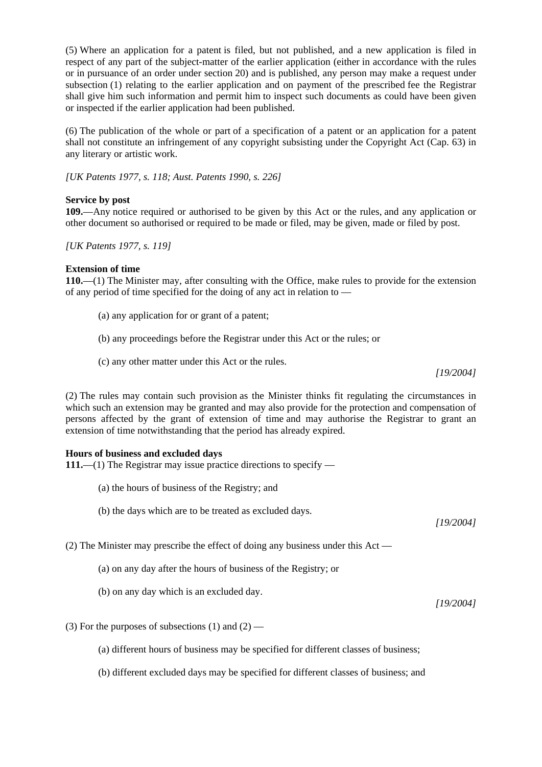(5) Where an application for a patent is filed, but not published, and a new application is filed in respect of any part of the subject-matter of the earlier application (either in accordance with the rules or in pursuance of an order under section 20) and is published, any person may make a request under subsection (1) relating to the earlier application and on payment of the prescribed fee the Registrar shall give him such information and permit him to inspect such documents as could have been given or inspected if the earlier application had been published.

(6) The publication of the whole or part of a specification of a patent or an application for a patent shall not constitute an infringement of any copyright subsisting under the Copyright Act (Cap. 63) in any literary or artistic work.

*[UK Patents 1977, s. 118; Aust. Patents 1990, s. 226]* 

### **Service by post**

**109.**—Any notice required or authorised to be given by this Act or the rules, and any application or other document so authorised or required to be made or filed, may be given, made or filed by post.

*[UK Patents 1977, s. 119]* 

### **Extension of time**

**110.**—(1) The Minister may, after consulting with the Office, make rules to provide for the extension of any period of time specified for the doing of any act in relation to —

- (a) any application for or grant of a patent;
- (b) any proceedings before the Registrar under this Act or the rules; or
- (c) any other matter under this Act or the rules.

(2) The rules may contain such provision as the Minister thinks fit regulating the circumstances in which such an extension may be granted and may also provide for the protection and compensation of persons affected by the grant of extension of time and may authorise the Registrar to grant an extension of time notwithstanding that the period has already expired.

### **Hours of business and excluded days**

**111.**—(1) The Registrar may issue practice directions to specify —

- (a) the hours of business of the Registry; and
- (b) the days which are to be treated as excluded days.

*[19/2004]* 

(2) The Minister may prescribe the effect of doing any business under this Act —

- (a) on any day after the hours of business of the Registry; or
- (b) on any day which is an excluded day.

*[19/2004]* 

- (3) For the purposes of subsections (1) and (2)
	- (a) different hours of business may be specified for different classes of business;
	- (b) different excluded days may be specified for different classes of business; and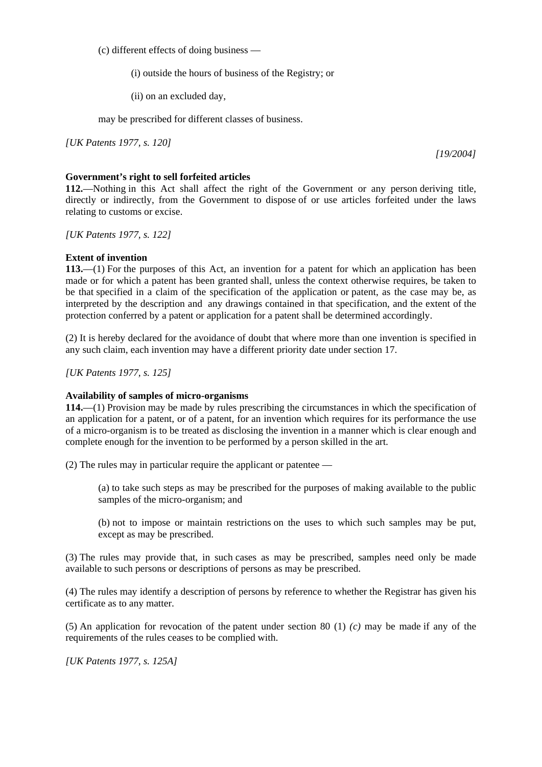(c) different effects of doing business —

(i) outside the hours of business of the Registry; or

(ii) on an excluded day,

may be prescribed for different classes of business.

*[UK Patents 1977, s. 120]* 

**Government's right to sell forfeited articles** 

**112.**—Nothing in this Act shall affect the right of the Government or any person deriving title, directly or indirectly, from the Government to dispose of or use articles forfeited under the laws relating to customs or excise.

*[UK Patents 1977, s. 122]* 

### **Extent of invention**

**113.**—(1) For the purposes of this Act, an invention for a patent for which an application has been made or for which a patent has been granted shall, unless the context otherwise requires, be taken to be that specified in a claim of the specification of the application or patent, as the case may be, as interpreted by the description and any drawings contained in that specification, and the extent of the protection conferred by a patent or application for a patent shall be determined accordingly.

(2) It is hereby declared for the avoidance of doubt that where more than one invention is specified in any such claim, each invention may have a different priority date under section 17.

*[UK Patents 1977, s. 125]* 

### **Availability of samples of micro-organisms**

**114.**—(1) Provision may be made by rules prescribing the circumstances in which the specification of an application for a patent, or of a patent, for an invention which requires for its performance the use of a micro-organism is to be treated as disclosing the invention in a manner which is clear enough and complete enough for the invention to be performed by a person skilled in the art.

(2) The rules may in particular require the applicant or patentee —

(a) to take such steps as may be prescribed for the purposes of making available to the public samples of the micro-organism; and

(b) not to impose or maintain restrictions on the uses to which such samples may be put, except as may be prescribed.

(3) The rules may provide that, in such cases as may be prescribed, samples need only be made available to such persons or descriptions of persons as may be prescribed.

(4) The rules may identify a description of persons by reference to whether the Registrar has given his certificate as to any matter.

(5) An application for revocation of the patent under section 80 (1) *(c)* may be made if any of the requirements of the rules ceases to be complied with.

*[UK Patents 1977, s. 125A]* 

*[19/2004]*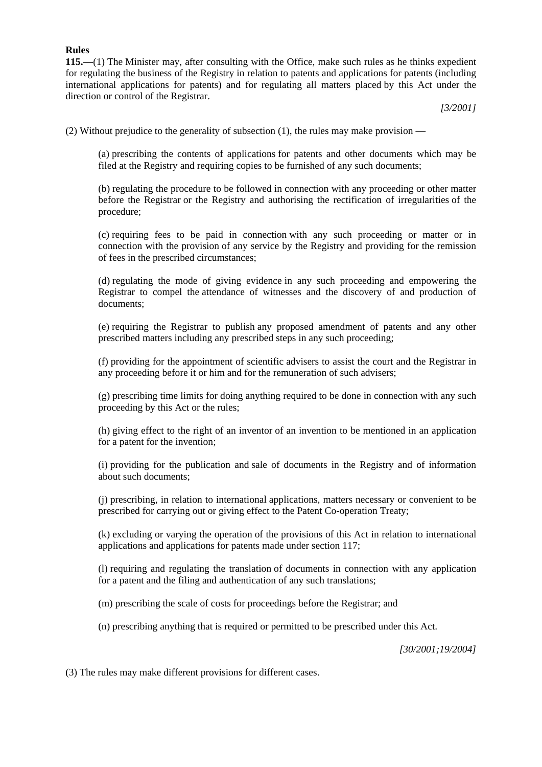### **Rules**

**115.**—(1) The Minister may, after consulting with the Office, make such rules as he thinks expedient for regulating the business of the Registry in relation to patents and applications for patents (including international applications for patents) and for regulating all matters placed by this Act under the direction or control of the Registrar.

*[3/2001]* 

(2) Without prejudice to the generality of subsection (1), the rules may make provision —

(a) prescribing the contents of applications for patents and other documents which may be filed at the Registry and requiring copies to be furnished of any such documents;

(b) regulating the procedure to be followed in connection with any proceeding or other matter before the Registrar or the Registry and authorising the rectification of irregularities of the procedure;

(c) requiring fees to be paid in connection with any such proceeding or matter or in connection with the provision of any service by the Registry and providing for the remission of fees in the prescribed circumstances;

(d) regulating the mode of giving evidence in any such proceeding and empowering the Registrar to compel the attendance of witnesses and the discovery of and production of documents;

(e) requiring the Registrar to publish any proposed amendment of patents and any other prescribed matters including any prescribed steps in any such proceeding;

(f) providing for the appointment of scientific advisers to assist the court and the Registrar in any proceeding before it or him and for the remuneration of such advisers;

(g) prescribing time limits for doing anything required to be done in connection with any such proceeding by this Act or the rules;

(h) giving effect to the right of an inventor of an invention to be mentioned in an application for a patent for the invention;

(i) providing for the publication and sale of documents in the Registry and of information about such documents;

(j) prescribing, in relation to international applications, matters necessary or convenient to be prescribed for carrying out or giving effect to the Patent Co-operation Treaty;

(k) excluding or varying the operation of the provisions of this Act in relation to international applications and applications for patents made under section 117;

(l) requiring and regulating the translation of documents in connection with any application for a patent and the filing and authentication of any such translations;

(m) prescribing the scale of costs for proceedings before the Registrar; and

(n) prescribing anything that is required or permitted to be prescribed under this Act.

*[30/2001;19/2004]* 

(3) The rules may make different provisions for different cases.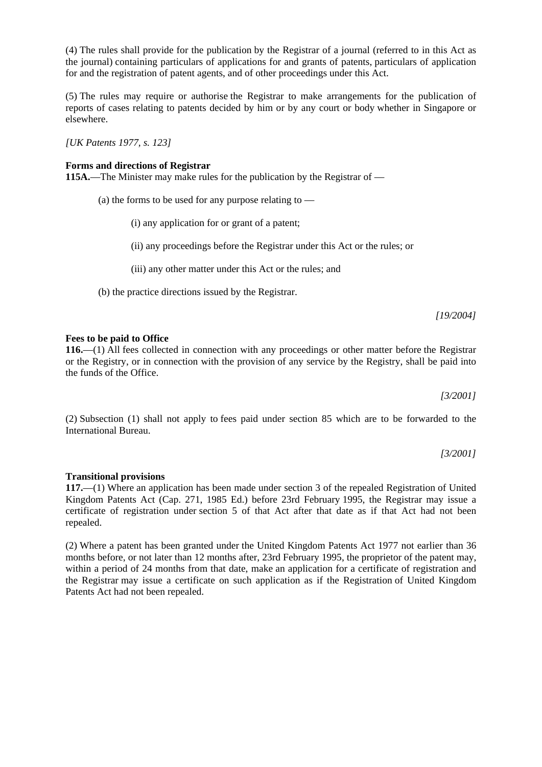(4) The rules shall provide for the publication by the Registrar of a journal (referred to in this Act as the journal) containing particulars of applications for and grants of patents, particulars of application for and the registration of patent agents, and of other proceedings under this Act.

(5) The rules may require or authorise the Registrar to make arrangements for the publication of reports of cases relating to patents decided by him or by any court or body whether in Singapore or elsewhere.

*[UK Patents 1977, s. 123]* 

## **Forms and directions of Registrar**

**115A.**—The Minister may make rules for the publication by the Registrar of —

- (a) the forms to be used for any purpose relating to
	- (i) any application for or grant of a patent;
	- (ii) any proceedings before the Registrar under this Act or the rules; or
	- (iii) any other matter under this Act or the rules; and
- (b) the practice directions issued by the Registrar.

*[19/2004]* 

## **Fees to be paid to Office**

**116.**—(1) All fees collected in connection with any proceedings or other matter before the Registrar or the Registry, or in connection with the provision of any service by the Registry, shall be paid into the funds of the Office.

(2) Subsection (1) shall not apply to fees paid under section 85 which are to be forwarded to the International Bureau.

*[3/2001]* 

*[3/2001]* 

## **Transitional provisions**

**117.**—(1) Where an application has been made under section 3 of the repealed Registration of United Kingdom Patents Act (Cap. 271, 1985 Ed.) before 23rd February 1995, the Registrar may issue a certificate of registration under section 5 of that Act after that date as if that Act had not been repealed.

(2) Where a patent has been granted under the United Kingdom Patents Act 1977 not earlier than 36 months before, or not later than 12 months after, 23rd February 1995, the proprietor of the patent may, within a period of 24 months from that date, make an application for a certificate of registration and the Registrar may issue a certificate on such application as if the Registration of United Kingdom Patents Act had not been repealed.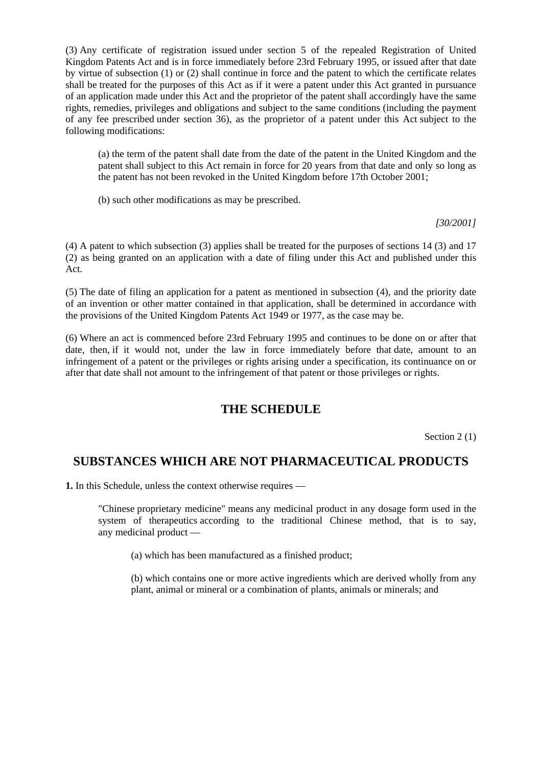(3) Any certificate of registration issued under section 5 of the repealed Registration of United Kingdom Patents Act and is in force immediately before 23rd February 1995, or issued after that date by virtue of subsection (1) or (2) shall continue in force and the patent to which the certificate relates shall be treated for the purposes of this Act as if it were a patent under this Act granted in pursuance of an application made under this Act and the proprietor of the patent shall accordingly have the same rights, remedies, privileges and obligations and subject to the same conditions (including the payment of any fee prescribed under section 36), as the proprietor of a patent under this Act subject to the following modifications:

(a) the term of the patent shall date from the date of the patent in the United Kingdom and the patent shall subject to this Act remain in force for 20 years from that date and only so long as the patent has not been revoked in the United Kingdom before 17th October 2001;

(b) such other modifications as may be prescribed.

*[30/2001]* 

(4) A patent to which subsection (3) applies shall be treated for the purposes of sections 14 (3) and 17 (2) as being granted on an application with a date of filing under this Act and published under this Act.

(5) The date of filing an application for a patent as mentioned in subsection (4), and the priority date of an invention or other matter contained in that application, shall be determined in accordance with the provisions of the United Kingdom Patents Act 1949 or 1977, as the case may be.

(6) Where an act is commenced before 23rd February 1995 and continues to be done on or after that date, then, if it would not, under the law in force immediately before that date, amount to an infringement of a patent or the privileges or rights arising under a specification, its continuance on or after that date shall not amount to the infringement of that patent or those privileges or rights.

## **THE SCHEDULE**

Section 2(1)

## **SUBSTANCES WHICH ARE NOT PHARMACEUTICAL PRODUCTS**

**1.** In this Schedule, unless the context otherwise requires —

"Chinese proprietary medicine" means any medicinal product in any dosage form used in the system of therapeutics according to the traditional Chinese method, that is to say, any medicinal product —

(a) which has been manufactured as a finished product;

(b) which contains one or more active ingredients which are derived wholly from any plant, animal or mineral or a combination of plants, animals or minerals; and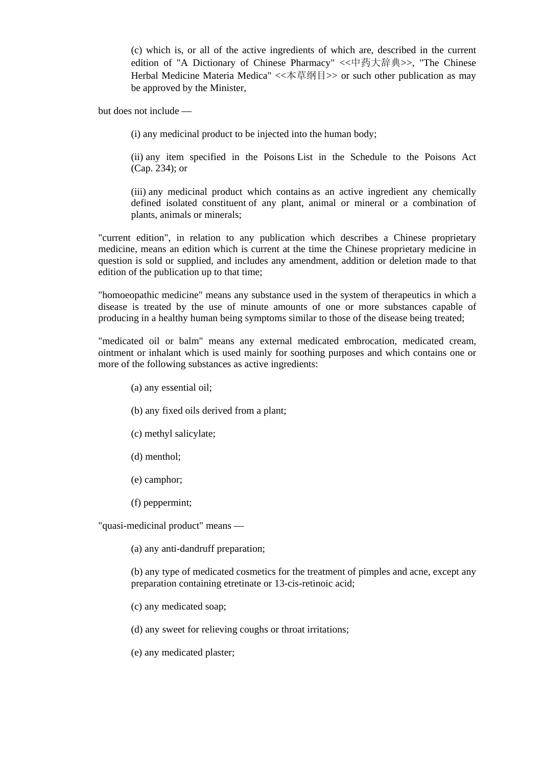(c) which is, or all of the active ingredients of which are, described in the current edition of "A Dictionary of Chinese Pharmacy" <<中药大辞典>>, "The Chinese Herbal Medicine Materia Medica" <<本草纲目>> or such other publication as may be approved by the Minister,

but does not include —

(i) any medicinal product to be injected into the human body;

(ii) any item specified in the Poisons List in the Schedule to the Poisons Act (Cap. 234); or

(iii) any medicinal product which contains as an active ingredient any chemically defined isolated constituent of any plant, animal or mineral or a combination of plants, animals or minerals;

"current edition", in relation to any publication which describes a Chinese proprietary medicine, means an edition which is current at the time the Chinese proprietary medicine in question is sold or supplied, and includes any amendment, addition or deletion made to that edition of the publication up to that time;

"homoeopathic medicine" means any substance used in the system of therapeutics in which a disease is treated by the use of minute amounts of one or more substances capable of producing in a healthy human being symptoms similar to those of the disease being treated;

"medicated oil or balm" means any external medicated embrocation, medicated cream, ointment or inhalant which is used mainly for soothing purposes and which contains one or more of the following substances as active ingredients:

- (a) any essential oil;
- (b) any fixed oils derived from a plant;
- (c) methyl salicylate;
- (d) menthol;
- (e) camphor;
- (f) peppermint;

"quasi-medicinal product" means —

(a) any anti-dandruff preparation;

(b) any type of medicated cosmetics for the treatment of pimples and acne, except any preparation containing etretinate or 13-cis-retinoic acid;

(c) any medicated soap;

(d) any sweet for relieving coughs or throat irritations;

(e) any medicated plaster;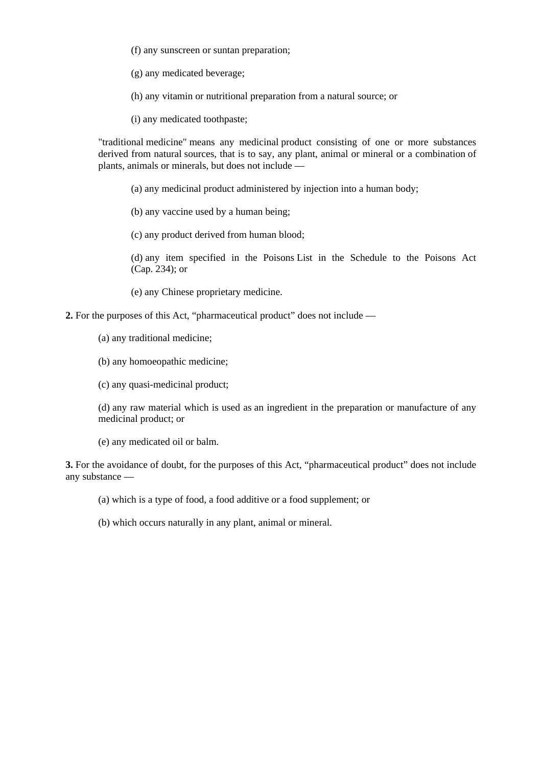- (f) any sunscreen or suntan preparation;
- (g) any medicated beverage;
- (h) any vitamin or nutritional preparation from a natural source; or
- (i) any medicated toothpaste;

"traditional medicine" means any medicinal product consisting of one or more substances derived from natural sources, that is to say, any plant, animal or mineral or a combination of plants, animals or minerals, but does not include —

(a) any medicinal product administered by injection into a human body;

(b) any vaccine used by a human being;

(c) any product derived from human blood;

(d) any item specified in the Poisons List in the Schedule to the Poisons Act (Cap. 234); or

- (e) any Chinese proprietary medicine.
- **2.** For the purposes of this Act, "pharmaceutical product" does not include
	- (a) any traditional medicine;
	- (b) any homoeopathic medicine;
	- (c) any quasi-medicinal product;

(d) any raw material which is used as an ingredient in the preparation or manufacture of any medicinal product; or

(e) any medicated oil or balm.

**3.** For the avoidance of doubt, for the purposes of this Act, "pharmaceutical product" does not include any substance —

- (a) which is a type of food, a food additive or a food supplement; or
- (b) which occurs naturally in any plant, animal or mineral.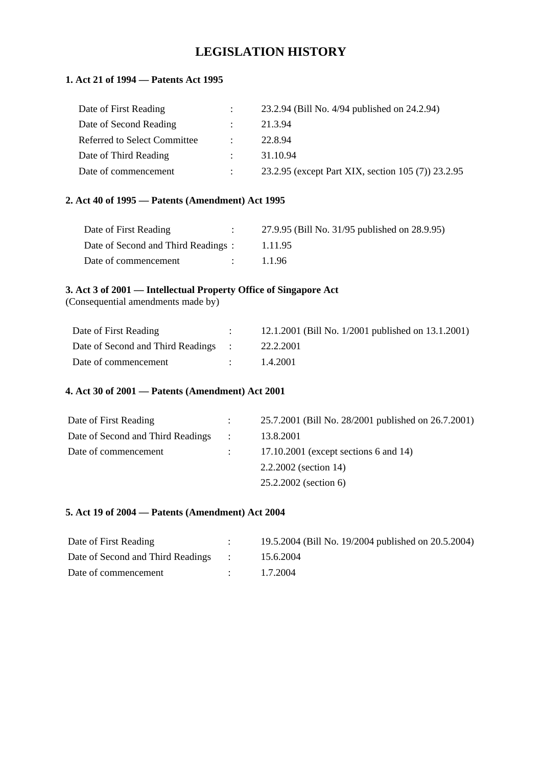# **LEGISLATION HISTORY**

### **1. Act 21 of 1994 — Patents Act 1995**

| Date of First Reading        |                           | 23.2.94 (Bill No. 4/94 published on 24.2.94)       |
|------------------------------|---------------------------|----------------------------------------------------|
| Date of Second Reading       | $\mathbb{R}^{\mathbb{Z}}$ | 21.3.94                                            |
| Referred to Select Committee | $\bullet$                 | 22.8.94                                            |
| Date of Third Reading        | $\mathbb{R}^{\mathbb{Z}}$ | 31.10.94                                           |
| Date of commencement         |                           | 23.2.95 (except Part XIX, section 105 (7)) 23.2.95 |

### **2. Act 40 of 1995 — Patents (Amendment) Act 1995**

| Date of First Reading              |                      | 27.9.95 (Bill No. 31/95 published on 28.9.95) |
|------------------------------------|----------------------|-----------------------------------------------|
| Date of Second and Third Readings: |                      | 1.11.95                                       |
| Date of commencement               | <b>Service State</b> | 1.1.96                                        |

### **3. Act 3 of 2001 — Intellectual Property Office of Singapore Act**

(Consequential amendments made by)

| Date of First Reading               |                          | 12.1.2001 (Bill No. 1/2001 published on 13.1.2001) |
|-------------------------------------|--------------------------|----------------------------------------------------|
| Date of Second and Third Readings : |                          | 22.2.2001                                          |
| Date of commencement                | <b>Contract Contract</b> | 1.4.2001                                           |

### **4. Act 30 of 2001 — Patents (Amendment) Act 2001**

| Date of First Reading             |                                   | 25.7.2001 (Bill No. 28/2001 published on 26.7.2001) |
|-----------------------------------|-----------------------------------|-----------------------------------------------------|
| Date of Second and Third Readings | $\mathcal{L} = \{1, 2, \ldots \}$ | 13.8.2001                                           |
| Date of commencement              |                                   | $17.10.2001$ (except sections 6 and 14)             |
|                                   |                                   | 2.2.2002 (section 14)                               |
|                                   |                                   | 25.2.2002 (section 6)                               |

### **5. Act 19 of 2004 — Patents (Amendment) Act 2004**

| Date of First Reading                                     | 19.5.2004 (Bill No. 19/2004 published on 20.5.2004) |
|-----------------------------------------------------------|-----------------------------------------------------|
| Date of Second and Third Readings :                       | 15.6.2004                                           |
| Date of commencement<br><b>Contract Contract Contract</b> | 1.7.2004                                            |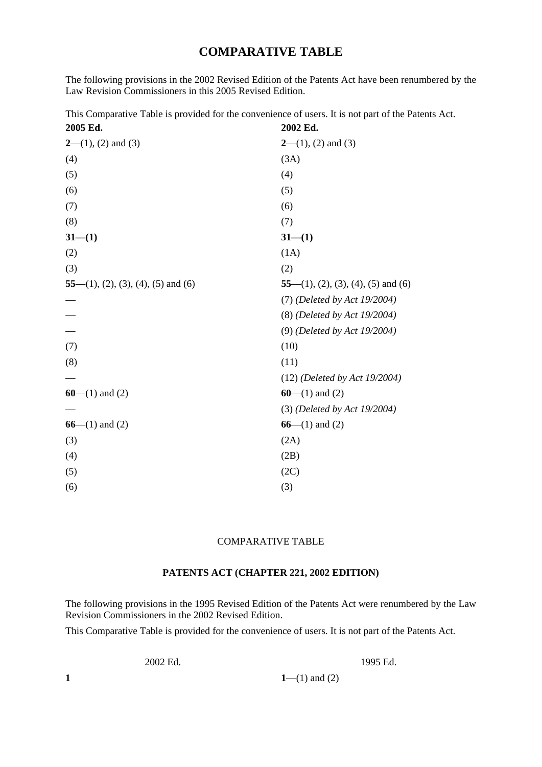# **COMPARATIVE TABLE**

The following provisions in the 2002 Revised Edition of the Patents Act have been renumbered by the Law Revision Commissioners in this 2005 Revised Edition.

|          | This Comparative Table is provided for the convenience of users. It is not part of the Patents Act. |
|----------|-----------------------------------------------------------------------------------------------------|
| 2005 Ed. | 2002 Ed.                                                                                            |

| $2-(1)$ , (2) and (3)              | $2-(1)$ , (2) and (3)                               |
|------------------------------------|-----------------------------------------------------|
| (4)                                | (3A)                                                |
| (5)                                | (4)                                                 |
| (6)                                | (5)                                                 |
| (7)                                | (6)                                                 |
| (8)                                | (7)                                                 |
| $31-(1)$                           | $31 - (1)$                                          |
| (2)                                | (1A)                                                |
| (3)                                | (2)                                                 |
| 55—(1), (2), (3), (4), (5) and (6) | 55— $(1)$ , $(2)$ , $(3)$ , $(4)$ , $(5)$ and $(6)$ |
|                                    | $(7)$ (Deleted by Act 19/2004)                      |
|                                    | $(8)$ (Deleted by Act 19/2004)                      |
|                                    | $(9)$ (Deleted by Act 19/2004)                      |
| (7)                                | (10)                                                |
| (8)                                | (11)                                                |
|                                    | $(12)$ (Deleted by Act 19/2004)                     |
| $60-(1)$ and (2)                   | $60-(1)$ and (2)                                    |
|                                    | $(3)$ (Deleted by Act 19/2004)                      |
| $66-(1)$ and (2)                   | $66-(1)$ and (2)                                    |
| (3)                                | (2A)                                                |
| (4)                                | (2B)                                                |
| (5)                                | (2C)                                                |
| (6)                                | (3)                                                 |

### COMPARATIVE TABLE

### **PATENTS ACT (CHAPTER 221, 2002 EDITION)**

The following provisions in the 1995 Revised Edition of the Patents Act were renumbered by the Law Revision Commissioners in the 2002 Revised Edition.

This Comparative Table is provided for the convenience of users. It is not part of the Patents Act.

2002 Ed. 1995 Ed.

**1**—(1) and (2)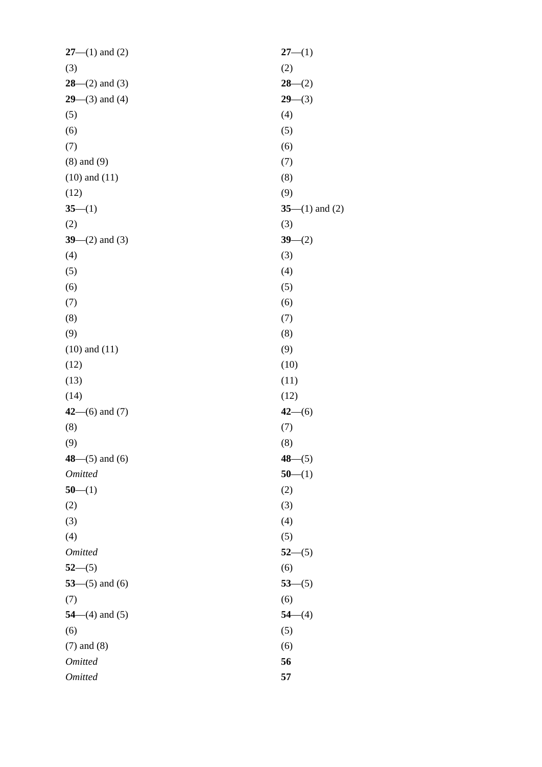| $27 - (1)$ and (2)  | $27 - (1)$          |
|---------------------|---------------------|
| (3)                 | (2)                 |
| $28-(2)$ and (3)    | $28 - (2)$          |
| $29 - (3)$ and (4)  | $29-(3)$            |
| (5)                 | (4)                 |
| (6)                 | (5)                 |
| (7)                 | (6)                 |
| $(8)$ and $(9)$     | (7)                 |
| $(10)$ and $(11)$   | (8)                 |
| (12)                | (9)                 |
| $35-(1)$            | 35— $(1)$ and $(2)$ |
| (2)                 | (3)                 |
| $39-(2)$ and (3)    | $39-(2)$            |
| (4)                 | (3)                 |
| (5)                 | (4)                 |
| (6)                 | (5)                 |
| (7)                 | (6)                 |
| (8)                 | (7)                 |
| (9)                 | (8)                 |
| $(10)$ and $(11)$   | (9)                 |
| (12)                | (10)                |
| (13)                | (11)                |
| (14)                | (12)                |
| 42— $(6)$ and $(7)$ | $42- (6)$           |
| (8)                 | (7)                 |
| (9)                 | (8)                 |
| 48– $(5)$ and $(6)$ | $48 - (5)$          |
| <b>Omitted</b>      | $50-(1)$            |
| $50-(1)$            | (2)                 |
| (2)                 | (3)                 |
| (3)                 | (4)                 |
| (4)                 | (5)                 |
| <b>Omitted</b>      | $52-(5)$            |
| $52-(5)$            | (6)                 |
| $53-(5)$ and (6)    | $53-(5)$            |
| (7)                 | (6)                 |
| $54-(4)$ and (5)    | $54-(4)$            |
| (6)                 | (5)                 |
| $(7)$ and $(8)$     | (6)                 |
| <b>Omitted</b>      | 56                  |
| <b>Omitted</b>      | 57                  |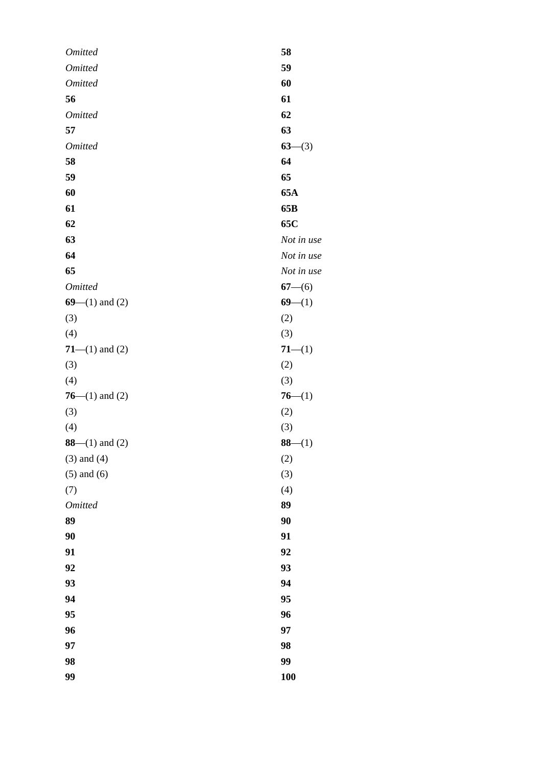| <b>Omitted</b>      | 58         |
|---------------------|------------|
| <b>Omitted</b>      | 59         |
| <b>Omitted</b>      | 60         |
| 56                  | 61         |
| <b>Omitted</b>      | 62         |
| 57                  | 63         |
| <b>Omitted</b>      | $63-(3)$   |
| 58                  | 64         |
| 59                  | 65         |
| 60                  | 65A        |
| 61                  | 65B        |
| 62                  | 65C        |
| 63                  | Not in use |
| 64                  | Not in use |
| 65                  | Not in use |
| <b>Omitted</b>      | $67 - (6)$ |
| $69-(1)$ and (2)    | $69-(1)$   |
| (3)                 | (2)        |
| (4)                 | (3)        |
| 71— $(1)$ and $(2)$ | $71-(1)$   |
| (3)                 | (2)        |
| (4)                 | (3)        |
| 76— $(1)$ and $(2)$ | $76 - (1)$ |
| (3)                 | (2)        |
| (4)                 | (3)        |
| 88— $(1)$ and $(2)$ | $88-(1)$   |
| $(3)$ and $(4)$     | (2)        |
| $(5)$ and $(6)$     | (3)        |
| (7)                 | (4)        |
| <b>Omitted</b>      | 89         |
| 89                  | 90         |
| 90                  | 91         |
| 91                  | 92         |
| 92                  | 93         |
| 93                  | 94         |
| 94                  | 95         |
| 95                  | 96         |
| 96                  | 97         |
| 97                  | 98         |
| 98                  | 99         |
| 99                  | <b>100</b> |